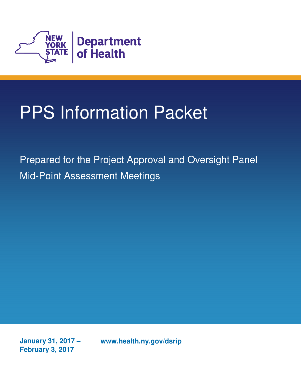

# PPS Information Packet

 Prepared for the Project Approval and Oversight Panel Mid-Point Assessment Meetings

**January 31, 2017 - February 3, 2017** 

www.health.ny.gov/dsrip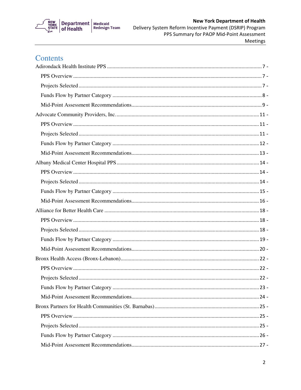

### Contents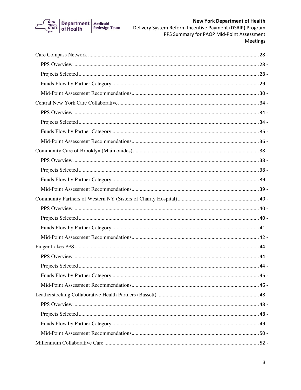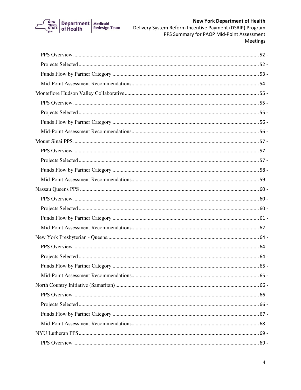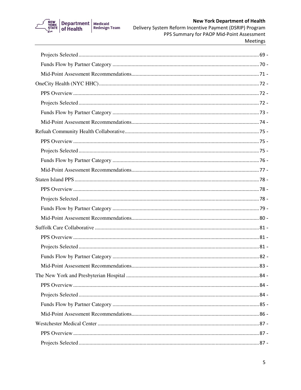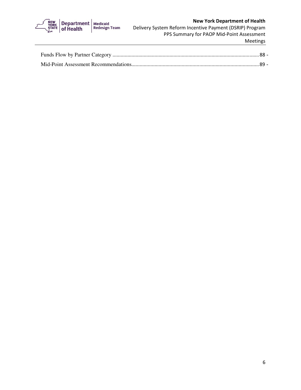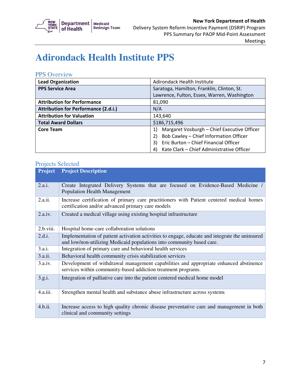

### **Adirondack Health Institute PPS**

#### PPS Overview

| <b>Lead Organization</b>                    | Adirondack Health Institute                       |
|---------------------------------------------|---------------------------------------------------|
| <b>PPS Service Area</b>                     | Saratoga, Hamilton, Franklin, Clinton, St.        |
|                                             | Lawrence, Fulton, Essex, Warren, Washington       |
| <b>Attribution for Performance</b>          | 81,090                                            |
| <b>Attribution for Performance (2.d.i.)</b> | N/A                                               |
| <b>Attribution for Valuation</b>            | 143,640                                           |
| <b>Total Award Dollars</b>                  | \$186,715,496                                     |
| <b>Core Team</b>                            | Margaret Vosburgh - Chief Executive Officer<br>1) |
|                                             | Bob Cawley - Chief Information Officer<br>2)      |
|                                             | Eric Burton - Chief Financial Officer<br>3)       |
|                                             | Kate Clark - Chief Administrative Officer<br>4)   |

| <b>Project</b> | <b>Project Description</b>                                                                                                                                              |
|----------------|-------------------------------------------------------------------------------------------------------------------------------------------------------------------------|
| 2.a.i.         | Create Integrated Delivery Systems that are focused on Evidence-Based Medicine /<br><b>Population Health Management</b>                                                 |
| 2.a.ii.        | Increase certification of primary care practitioners with Patient centered medical homes<br>certification and/or advanced primary care models                           |
| 2.a.iv.        | Created a medical village using existing hospital infrastructure                                                                                                        |
| 2.b.viii.      | Hospital home-care collaboration solutions                                                                                                                              |
| 2.d.i.         | Implementation of patient activation activities to engage, educate and integrate the uninsured<br>and low/non-utilizing Medicaid populations into community based care. |
| 3.a.i.         | Integration of primary care and behavioral health services                                                                                                              |
| 3.a.ii.        | Behavioral health community crisis stabilization services                                                                                                               |
| 3.a.iv.        | Development of withdrawal management capabilities and appropriate enhanced abstinence<br>services within community-based addiction treatment programs.                  |
| 3.g.i.         | Integration of palliative care into the patient centered medical home model                                                                                             |
| 4.a.iii.       | Strengthen mental health and substance abuse infrastructure across systems                                                                                              |
| 4.b.ii.        | Increase access to high quality chronic disease preventative care and management in both<br>clinical and community settings                                             |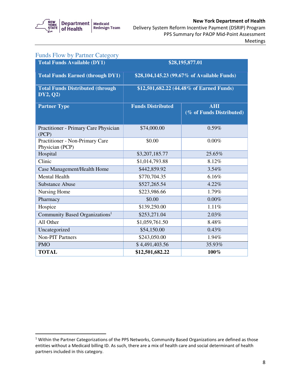

| <b>Funds Flow by Partner Category</b>               |                                             |                                        |
|-----------------------------------------------------|---------------------------------------------|----------------------------------------|
| <b>Total Funds Available (DY1)</b>                  |                                             | \$28,195,877.01                        |
| <b>Total Funds Earned (through DY1)</b>             | \$28,104,145.23 (99.67% of Available Funds) |                                        |
| <b>Total Funds Distributed (through</b><br>DY2, Q2) | \$12,501,682.22 (44.48% of Earned Funds)    |                                        |
| <b>Partner Type</b>                                 | <b>Funds Distributed</b>                    | <b>AHI</b><br>(% of Funds Distributed) |
| Practitioner - Primary Care Physician<br>(PCP)      | \$74,000.00                                 | 0.59%                                  |
| Practitioner - Non-Primary Care<br>Physician (PCP)  | \$0.00                                      | $0.00\%$                               |
| Hospital                                            | \$3,207,185.77                              | 25.65%                                 |
| Clinic                                              | \$1,014,793.88                              | 8.12%                                  |
| Case Management/Health Home                         | \$442,859.92                                | 3.54%                                  |
| <b>Mental Health</b>                                | \$770,704.35                                | 6.16%                                  |
| <b>Substance Abuse</b>                              | \$527,265.54                                | 4.22%                                  |
| Nursing Home                                        | \$223,986.66                                | 1.79%                                  |
| Pharmacy                                            | \$0.00                                      | 0.00%                                  |
| Hospice                                             | \$139,250.00                                | 1.11%                                  |
| Community Based Organizations <sup>1</sup>          | \$253,271.04                                | 2.03%                                  |
| All Other                                           | \$1,059,761.50                              | 8.48%                                  |
| Uncategorized                                       | \$54,150.00                                 | 0.43%                                  |
| <b>Non-PIT Partners</b>                             | \$243,050.00                                | 1.94%                                  |
| <b>PMO</b>                                          | \$4,491,403.56                              | 35.93%                                 |
| <b>TOTAL</b>                                        | \$12,501,682.22                             | 100%                                   |

 $1$  Within the Partner Categorizations of the PPS Networks, Community Based Organizations are defined as those entities without a Medicaid billing ID. As such, there are a mix of health care and social determinant of health partners included in this category.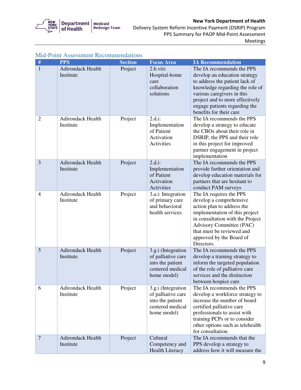

 Delivery System Reform Incentive Payment (DSRIP) Program PPS Summary for PAOP Mid-Point Assessment Meetings

| #              | <b>PPS</b>                            | <b>Section</b> | <b>Focus Area</b>                                                                               | <b>IA Recommendation</b>                                                                                                                                                                                                                                         |
|----------------|---------------------------------------|----------------|-------------------------------------------------------------------------------------------------|------------------------------------------------------------------------------------------------------------------------------------------------------------------------------------------------------------------------------------------------------------------|
| 1              | <b>Adirondack Health</b><br>Institute | Project        | 2.b.viii:<br>Hospital-home<br>care<br>collaboration<br>solutions                                | The IA recommends the PPS<br>develop an education strategy<br>to address the patient lack of<br>knowledge regarding the role of<br>various caregivers in this<br>project and to more effectively<br>engage patients regarding the<br>benefits for their care     |
| $\overline{2}$ | <b>Adirondack Health</b><br>Institute | Project        | $2.d.i$ :<br>Implementation<br>of Patient<br>Activation<br>Activities                           | The IA recommends the PPS<br>develop a strategy to educate<br>the CBOs about their role in<br>DSRIP, the PPS and their role<br>in this project for improved<br>partner engagement in project<br>implementation                                                   |
| 3              | Adirondack Health<br>Institute        | Project        | $2.d.i$ :<br>Implementation<br>of Patient<br>Activation<br>Activities                           | The IA recommends the PPS<br>provide further orientation and<br>develop education materials for<br>partners that are hesitant to<br>conduct PAM surveys                                                                                                          |
| $\overline{4}$ | Adirondack Health<br>Institute        | Project        | 3.a.i: Integration<br>of primary care<br>and behavioral<br>health services                      | The IA requires the PPS<br>develop a comprehensive<br>action plan to address the<br>implementation of this project<br>in consultation with the Project<br><b>Advisory Committee (PAC)</b><br>that must be reviewed and<br>approved by the Board of<br>Directors. |
| 5              | <b>Adirondack Health</b><br>Institute | Project        | 3.g.i (Integration<br>of palliative care<br>into the patient<br>centered medical<br>home model) | The IA recommends the PPS<br>develop a training strategy to<br>inform the targeted population<br>of the role of palliative care<br>services and the distinction<br>between hospice care                                                                          |
| 6              | Adirondack Health<br>Institute        | Project        | 3.g.i (Integration<br>of palliative care<br>into the patient<br>centered medical<br>home model) | The IA recommends the PPS<br>develop a workforce strategy to<br>increase the number of board<br>certified palliative care<br>professionals to assist with<br>training PCPs or to consider<br>other options such as telehealth<br>for consultation.               |
| $\overline{7}$ | <b>Adirondack Health</b><br>Institute | Project        | Cultural<br>Competency and<br><b>Health Literacy</b>                                            | The IA recommends that the<br>PPS develop a strategy to<br>address how it will measure the                                                                                                                                                                       |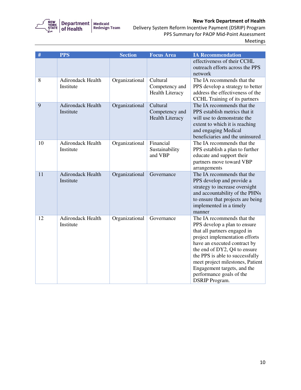

| #  | <b>PPS</b>                            | <b>Section</b> | <b>Focus Area</b>                                    | <b>IA Recommendation</b>                                                                                                                                                                                                                                                                                                                                |
|----|---------------------------------------|----------------|------------------------------------------------------|---------------------------------------------------------------------------------------------------------------------------------------------------------------------------------------------------------------------------------------------------------------------------------------------------------------------------------------------------------|
|    |                                       |                |                                                      | effectiveness of their CCHL<br>outreach efforts across the PPS<br>network                                                                                                                                                                                                                                                                               |
| 8  | Adirondack Health<br>Institute        | Organizational | Cultural<br>Competency and<br><b>Health Literacy</b> | The IA recommends that the<br>PPS develop a strategy to better<br>address the effectiveness of the<br>CCHL Training of its partners                                                                                                                                                                                                                     |
| 9  | <b>Adirondack Health</b><br>Institute | Organizational | Cultural<br>Competency and<br><b>Health Literacy</b> | The IA recommends that the<br>PPS establish metrics that it<br>will use to demonstrate the<br>extent to which it is reaching<br>and engaging Medical<br>beneficiaries and the uninsured                                                                                                                                                                 |
| 10 | <b>Adirondack Health</b><br>Institute | Organizational | Financial<br>Sustainability<br>and VBP               | The IA recommends that the<br>PPS establish a plan to further<br>educate and support their<br>partners move toward VBP<br>arrangements                                                                                                                                                                                                                  |
| 11 | <b>Adirondack Health</b><br>Institute | Organizational | Governance                                           | The IA recommends that the<br>PPS develop and provide a<br>strategy to increase oversight<br>and accountability of the PHNs<br>to ensure that projects are being<br>implemented in a timely<br>manner                                                                                                                                                   |
| 12 | Adirondack Health<br>Institute        | Organizational | Governance                                           | The IA recommends that the<br>PPS develop a plan to ensure<br>that all partners engaged in<br>project implementation efforts<br>have an executed contract by<br>the end of DY2, Q4 to ensure<br>the PPS is able to successfully<br>meet project milestones, Patient<br>Engagement targets, and the<br>performance goals of the<br><b>DSRIP</b> Program. |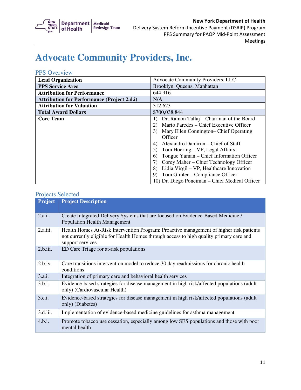

### **Advocate Community Providers, Inc.**

#### PPS Overview

| <b>Lead Organization</b>                           | Advocate Community Providers, LLC                            |  |
|----------------------------------------------------|--------------------------------------------------------------|--|
| <b>PPS Service Area</b>                            | Brooklyn, Queens, Manhattan                                  |  |
| <b>Attribution for Performance</b>                 | 644,916                                                      |  |
| <b>Attribution for Performance (Project 2.d.i)</b> | N/A                                                          |  |
| <b>Attribution for Valuation</b>                   | 312,623                                                      |  |
| <b>Total Award Dollars</b>                         | \$700,038,844                                                |  |
| <b>Core Team</b>                                   | Dr. Ramon Tallaj – Chairman of the Board<br>$\left  \right $ |  |
|                                                    | Mario Paredes – Chief Executive Officer<br>(2)               |  |
|                                                    | Mary Ellen Connington– Chief Operating<br>3)                 |  |
|                                                    | Officer                                                      |  |
|                                                    | Alexandro Damiron – Chief of Staff<br>4)                     |  |
|                                                    | Tom Hoering – VP, Legal Affairs<br>5)                        |  |
|                                                    | Tonguc Yaman – Chief Information Officer<br>6)               |  |
|                                                    | Corey Maher – Chief Technology Officer                       |  |
|                                                    | Lidia Virgil – VP, Healthcare Innovation<br>8)               |  |
|                                                    | Tom Gimler – Compliance Officer<br>9)                        |  |
|                                                    | 10) Dr. Diego Poneiman – Chief Medical Officer               |  |

| <b>Project</b> | <b>Project Description</b>                                                                                                                                                                             |
|----------------|--------------------------------------------------------------------------------------------------------------------------------------------------------------------------------------------------------|
|                |                                                                                                                                                                                                        |
| 2.a.i.         | Create Integrated Delivery Systems that are focused on Evidence-Based Medicine /<br><b>Population Health Management</b>                                                                                |
| 2.a.iii.       | Health Homes At-Risk Intervention Program: Proactive management of higher risk patients<br>not currently eligible for Health Homes through access to high quality primary care and<br>support services |
| 2.b.iii.       | ED Care Triage for at-risk populations                                                                                                                                                                 |
| 2.b.iv.        | Care transitions intervention model to reduce 30 day readmissions for chronic health<br>conditions                                                                                                     |
| 3.a.i.         | Integration of primary care and behavioral health services                                                                                                                                             |
| 3.b.i.         | Evidence-based strategies for disease management in high risk/affected populations (adult<br>only) (Cardiovascular Health)                                                                             |
| 3.c.i.         | Evidence-based strategies for disease management in high risk/affected populations (adult<br>only) (Diabetes)                                                                                          |
| 3.d.iii.       | Implementation of evidence-based medicine guidelines for asthma management                                                                                                                             |
| 4.b.i.         | Promote tobacco use cessation, especially among low SES populations and those with poor<br>mental health                                                                                               |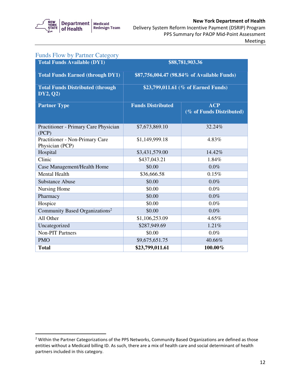

| <b>Funds Flow by Partner Category</b>                |                                             |                                        |
|------------------------------------------------------|---------------------------------------------|----------------------------------------|
| <b>Total Funds Available (DY1)</b>                   |                                             | \$88,781,903.36                        |
| <b>Total Funds Earned (through DY1)</b>              | \$87,756,004.47 (98.84% of Available Funds) |                                        |
| <b>Total Funds Distributed (through)</b><br>DY2, Q2) | \$23,799,011.61 (% of Earned Funds)         |                                        |
| <b>Partner Type</b>                                  | <b>Funds Distributed</b>                    | <b>ACP</b><br>(% of Funds Distributed) |
| Practitioner - Primary Care Physician<br>(PCP)       | \$7,673,869.10                              | 32.24%                                 |
| Practitioner - Non-Primary Care<br>Physician (PCP)   | \$1,149,999.18                              | 4.83%                                  |
| Hospital                                             | \$3,431,579.00                              | 14.42%                                 |
| Clinic                                               | \$437,043.21                                | 1.84%                                  |
| Case Management/Health Home                          | \$0.00                                      | $0.0\%$                                |
| <b>Mental Health</b>                                 | \$36,666.58                                 | 0.15%                                  |
| <b>Substance Abuse</b>                               | \$0.00                                      | $0.0\%$                                |
| Nursing Home                                         | \$0.00                                      | 0.0%                                   |
| Pharmacy                                             | \$0.00                                      | 0.0%                                   |
| Hospice                                              | \$0.00                                      | $0.0\%$                                |
| Community Based Organizations <sup>2</sup>           | \$0.00                                      | 0.0%                                   |
| All Other                                            | \$1,106,253.09                              | 4.65%                                  |
| Uncategorized                                        | \$287,949.69                                | 1.21%                                  |
| <b>Non-PIT Partners</b>                              | \$0.00                                      | $0.0\%$                                |
| <b>PMO</b>                                           | \$9,675,651.75                              | 40.66%                                 |
| <b>Total</b>                                         | \$23,799,011.61                             | 100.00%                                |

 $<sup>2</sup>$  Within the Partner Categorizations of the PPS Networks, Community Based Organizations are defined as those</sup> entities without a Medicaid billing ID. As such, there are a mix of health care and social determinant of health partners included in this category.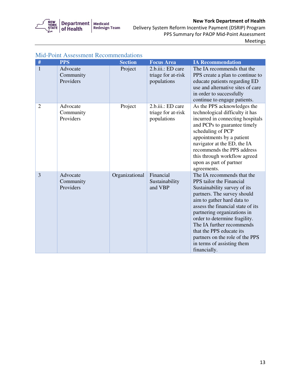

#### Delivery System Reform Incentive Payment (DSRIP) Program PPS Summary for PAOP Mid-Point Assessment Meetings

| ASSUSSINUM RUUUMMUUMMA |                                    |                |                                                        |                                                                                                                                                                                                                                                                                                                                                                                                    |
|------------------------|------------------------------------|----------------|--------------------------------------------------------|----------------------------------------------------------------------------------------------------------------------------------------------------------------------------------------------------------------------------------------------------------------------------------------------------------------------------------------------------------------------------------------------------|
| #                      | <b>PPS</b>                         | <b>Section</b> | <b>Focus</b> Area                                      | <b>IA Recommendation</b>                                                                                                                                                                                                                                                                                                                                                                           |
| $\mathbf{1}$           | Advocate<br>Community<br>Providers | Project        | 2.b.iii.: ED care<br>triage for at-risk<br>populations | The IA recommends that the<br>PPS create a plan to continue to<br>educate patients regarding ED<br>use and alternative sites of care<br>in order to successfully<br>continue to engage patients.                                                                                                                                                                                                   |
| $\overline{2}$         | Advocate<br>Community<br>Providers | Project        | 2.b.iii.: ED care<br>triage for at-risk<br>populations | As the PPS acknowledges the<br>technological difficulty it has<br>incurred in connecting hospitals<br>and PCPs to guarantee timely<br>scheduling of PCP<br>appointments by a patient<br>navigator at the ED, the IA<br>recommends the PPS address<br>this through workflow agreed<br>upon as part of partner<br>agreements.                                                                        |
| $\overline{3}$         | Advocate<br>Community<br>Providers | Organizational | Financial<br>Sustainability<br>and VBP                 | The IA recommends that the<br>PPS tailor the Financial<br>Sustainability survey of its<br>partners. The survey should<br>aim to gather hard data to<br>assess the financial state of its<br>partnering organizations in<br>order to determine fragility.<br>The IA further recommends<br>that the PPS educate its<br>partners on the role of the PPS<br>in terms of assisting them<br>financially. |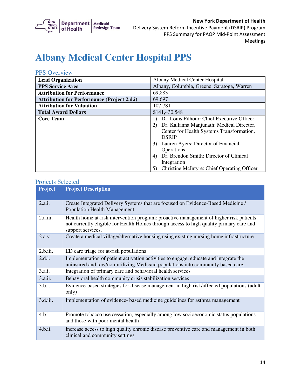

## **Albany Medical Center Hospital PPS**

#### PPS Overview

| <b>Lead Organization</b>                           | Albany Medical Center Hospital                                                                                                                                                                                                                                                                                                                    |
|----------------------------------------------------|---------------------------------------------------------------------------------------------------------------------------------------------------------------------------------------------------------------------------------------------------------------------------------------------------------------------------------------------------|
| <b>PPS Service Area</b>                            | Albany, Columbia, Greene, Saratoga, Warren                                                                                                                                                                                                                                                                                                        |
| <b>Attribution for Performance</b>                 | 69,883                                                                                                                                                                                                                                                                                                                                            |
| <b>Attribution for Performance (Project 2.d.i)</b> | 69,697                                                                                                                                                                                                                                                                                                                                            |
| <b>Attribution for Valuation</b>                   | 107,781                                                                                                                                                                                                                                                                                                                                           |
| <b>Total Award Dollars</b>                         | \$141,430,548                                                                                                                                                                                                                                                                                                                                     |
| <b>Core Team</b>                                   | Dr. Louis Filhour: Chief Executive Officer<br>Dr. Kallanna Manjunath: Medical Director,<br>2)<br>Center for Health Systems Transformation,<br><b>DSRIP</b><br>Lauren Ayers: Director of Financial<br>3)<br>Operations<br>Dr. Brendon Smith: Director of Clinical<br>4)<br>Integration<br><b>Christine McIntyre: Chief Operating Officer</b><br>5) |

| <b>Project</b> | <b>Project Description</b>                                                                                                                                                                             |
|----------------|--------------------------------------------------------------------------------------------------------------------------------------------------------------------------------------------------------|
| 2.a.i.         | Create Integrated Delivery Systems that are focused on Evidence-Based Medicine /<br><b>Population Health Management</b>                                                                                |
| 2.a.iii.       | Health home at-risk intervention program: proactive management of higher risk patients<br>not currently eligible for Health Homes through access to high quality primary care and<br>support services. |
| 2.a.v.         | Create a medical village/alternative housing using existing nursing home infrastructure                                                                                                                |
| 2.b.iii.       | ED care triage for at-risk populations                                                                                                                                                                 |
| 2.d.i.         | Implementation of patient activation activities to engage, educate and integrate the<br>uninsured and low/non-utilizing Medicaid populations into community based care.                                |
| 3.a.i.         | Integration of primary care and behavioral health services                                                                                                                                             |
| 3.a.ii.        | Behavioral health community crisis stabilization services                                                                                                                                              |
| 3.b.i.         | Evidence-based strategies for disease management in high risk/affected populations (adult<br>only)                                                                                                     |
| 3.d.iii.       | Implementation of evidence- based medicine guidelines for asthma management                                                                                                                            |
| 4.b.i.         | Promote tobacco use cessation, especially among low socioeconomic status populations<br>and those with poor mental health                                                                              |
| 4.b.ii.        | Increase access to high quality chronic disease preventive care and management in both<br>clinical and community settings                                                                              |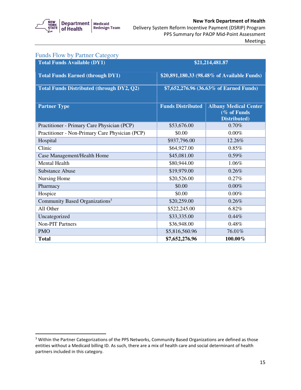

#### Delivery System Reform Incentive Payment (DSRIP) Program New York Department of Health PPS Summary for PAOP Mid-Point Assessment Meetings

| <b>Funds Flow by Partner Category</b>            |                          |                                                             |
|--------------------------------------------------|--------------------------|-------------------------------------------------------------|
| <b>Total Funds Available (DY1)</b>               |                          | \$21,214,481.87                                             |
| <b>Total Funds Earned (through DY1)</b>          |                          | \$20,891,180.33 (98.48% of Available Funds)                 |
| <b>Total Funds Distributed (through DY2, Q2)</b> |                          | \$7,652,276.96 (36.63% of Earned Funds)                     |
| <b>Partner Type</b>                              | <b>Funds Distributed</b> | <b>Albany Medical Center</b><br>(% of Funds<br>Distributed) |
| Practitioner - Primary Care Physician (PCP)      | \$53,676.00              | 0.70%                                                       |
| Practitioner - Non-Primary Care Physician (PCP)  | \$0.00                   | 0.00%                                                       |
| Hospital                                         | \$937,796.00             | 12.26%                                                      |
| Clinic                                           | \$64,927.00              | 0.85%                                                       |
| Case Management/Health Home                      | \$45,081.00              | 0.59%                                                       |
| Mental Health                                    | \$80,944.00              | 1.06%                                                       |
| <b>Substance Abuse</b>                           | \$19,979.00              | 0.26%                                                       |
| Nursing Home                                     | \$20,526.00              | 0.27%                                                       |
| Pharmacy                                         | \$0.00                   | 0.00%                                                       |
| Hospice                                          | \$0.00                   | 0.00%                                                       |
| Community Based Organizations <sup>3</sup>       | \$20,259.00              | 0.26%                                                       |
| All Other                                        | \$522,245.00             | 6.82%                                                       |
| Uncategorized                                    | \$33,335.00              | 0.44%                                                       |
| <b>Non-PIT Partners</b>                          | \$36,948.00              | 0.48%                                                       |
| <b>PMO</b>                                       | \$5,816,560.96           | 76.01%                                                      |
| <b>Total</b>                                     | \$7,652,276.96           | 100.00%                                                     |

 $3$  Within the Partner Categorizations of the PPS Networks, Community Based Organizations are defined as those entities without a Medicaid billing ID. As such, there are a mix of health care and social determinant of health partners included in this category.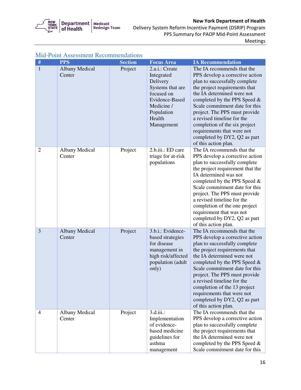

Meetings

| $\#$           | <b>PPS</b>                      | <b>Section</b> | <b>Focus Area</b>                                                                                                                                | <b>IA Recommendation</b>                                                                                                                                                                                                                                                                                                                                                                                              |
|----------------|---------------------------------|----------------|--------------------------------------------------------------------------------------------------------------------------------------------------|-----------------------------------------------------------------------------------------------------------------------------------------------------------------------------------------------------------------------------------------------------------------------------------------------------------------------------------------------------------------------------------------------------------------------|
| $\mathbf{1}$   | <b>Albany Medical</b><br>Center | Project        | 2.a.i.: Create<br>Integrated<br>Delivery<br>Systems that are<br>focused on<br>Evidence-Based<br>Medicine /<br>Population<br>Health<br>Management | The IA recommends that the<br>PPS develop a corrective action<br>plan to successfully complete<br>the project requirements that<br>the IA determined were not<br>completed by the PPS Speed &<br>Scale commitment date for this<br>project. The PPS must provide<br>a revised timeline for the<br>completion of the six project<br>requirements that were not<br>completed by DY2, Q2 as part<br>of this action plan. |
| $\overline{2}$ | <b>Albany Medical</b><br>Center | Project        | 2.b.iii.: ED care<br>triage for at-risk<br>populations                                                                                           | The IA recommends that the<br>PPS develop a corrective action<br>plan to successfully complete<br>the project requirement that the<br>IA determined was not<br>completed by the PPS Speed $&$<br>Scale commitment date for this<br>project. The PPS must provide<br>a revised timeline for the<br>completion of the one project<br>requirement that was not<br>completed by DY2, Q2 as part<br>of this action plan.   |
| 3              | <b>Albany Medical</b><br>Center | Project        | 3.b.i.: Evidence-<br>based strategies<br>for disease<br>management in<br>high risk/affected<br>population (adult<br>only)                        | The IA recommends that the<br>PPS develop a corrective action<br>plan to successfully complete<br>the project requirements that<br>the IA determined were not<br>completed by the PPS Speed &<br>Scale commitment date for this<br>project. The PPS must provide<br>a revised timeline for the<br>completion of the 13 project<br>requirements that were not<br>completed by DY2, Q2 as part<br>of this action plan.  |
| $\overline{4}$ | <b>Albany Medical</b><br>Center | Project        | $3.d.iii.$ :<br>Implementation<br>of evidence-<br>based medicine<br>guidelines for<br>asthma<br>management                                       | The IA recommends that the<br>PPS develop a corrective action<br>plan to successfully complete<br>the project requirements that<br>the IA determined were not<br>completed by the PPS Speed &<br>Scale commitment date for this                                                                                                                                                                                       |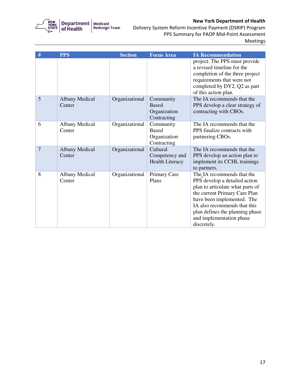

| #              | <b>PPS</b>                      | <b>Section</b> | <b>Focus Area</b>                                        | <b>IA Recommendation</b>                                                                                                                                                                                                                                                     |
|----------------|---------------------------------|----------------|----------------------------------------------------------|------------------------------------------------------------------------------------------------------------------------------------------------------------------------------------------------------------------------------------------------------------------------------|
|                |                                 |                |                                                          | project. The PPS must provide<br>a revised timeline for the<br>completion of the three project<br>requirements that were not<br>completed by DY2, Q2 as part<br>of this action plan.                                                                                         |
| 5              | <b>Albany Medical</b><br>Center | Organizational | Community<br><b>Based</b><br>Organization<br>Contracting | The IA recommends that the<br>PPS develop a clear strategy of<br>contracting with CBOs.                                                                                                                                                                                      |
| 6              | <b>Albany Medical</b><br>Center | Organizational | Community<br><b>Based</b><br>Organization<br>Contracting | The IA recommends that the<br>PPS finalize contracts with<br>partnering CBOs.                                                                                                                                                                                                |
| $\overline{7}$ | <b>Albany Medical</b><br>Center | Organizational | Cultural<br>Competency and<br><b>Health Literacy</b>     | The IA recommends that the<br>PPS develop an action plan to<br>implement its CCHL trainings<br>to partners.                                                                                                                                                                  |
| 8              | <b>Albany Medical</b><br>Center | Organizational | Primary Care<br>Plans                                    | The IA recommends that the<br>PPS develop a detailed action<br>plan to articulate what parts of<br>the current Primary Care Plan<br>have been implemented. The<br>IA also recommends that this<br>plan defines the planning phase<br>and implementation phase<br>discretely. |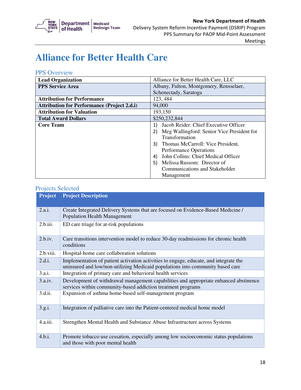

## **Alliance for Better Health Care**

#### PPS Overview

| <b>Lead Organization</b>                           | Alliance for Better Health Care, LLC             |
|----------------------------------------------------|--------------------------------------------------|
| <b>PPS Service Area</b>                            | Albany, Fulton, Montgomery, Rensselaer,          |
|                                                    | Schenectady, Saratoga                            |
| <b>Attribution for Performance</b>                 | 123, 484                                         |
| <b>Attribution for Performance (Project 2.d.i)</b> | 94,000                                           |
| <b>Attribution for Valuation</b>                   | 193,150                                          |
| <b>Total Award Dollars</b>                         | \$250,232,844                                    |
| <b>Core Team</b>                                   | Jacob Reider: Chief Executive Officer<br>1)      |
|                                                    | Meg Wallingford: Senior Vice President for<br>2) |
|                                                    | Transformation                                   |
|                                                    | Thomas McCarroll: Vice President,<br>3)          |
|                                                    | Performance Operations                           |
|                                                    | John Collins: Chief Medical Officer<br>4)        |
|                                                    | Melissa Russom: Director of<br>5)                |
|                                                    | <b>Communications and Stakeholder</b>            |
|                                                    | Management                                       |

| Project   | <b>Project Description</b>                                                                                                                                              |
|-----------|-------------------------------------------------------------------------------------------------------------------------------------------------------------------------|
| 2.a.i.    | Create Integrated Delivery Systems that are focused on Evidence-Based Medicine /<br><b>Population Health Management</b>                                                 |
| 2.b.iii.  | ED care triage for at-risk populations                                                                                                                                  |
| 2.b.iv.   | Care transitions intervention model to reduce 30-day readmissions for chronic health<br>conditions                                                                      |
| 2.b.viii. | Hospital-home care collaboration solutions                                                                                                                              |
| 2.d.i.    | Implementation of patient activation activities to engage, educate, and integrate the<br>uninsured and low/non-utilizing Medicaid populations into community based care |
| 3.a.i.    | Integration of primary care and behavioral health services                                                                                                              |
| 3.a.iv.   | Development of withdrawal management capabilities and appropriate enhanced abstinence<br>services within community-based addiction treatment programs                   |
| 3.d.ii.   | Expansion of asthma home-based self-management program                                                                                                                  |
| 3.g.i.    | Integration of palliative care into the Patient-centered medical home model                                                                                             |
| 4.a.iii.  | Strengthen Mental Health and Substance Abuse Infrastructure across Systems                                                                                              |
| 4.b.i.    | Promote tobacco use cessation, especially among low socioeconomic status populations<br>and those with poor mental health                                               |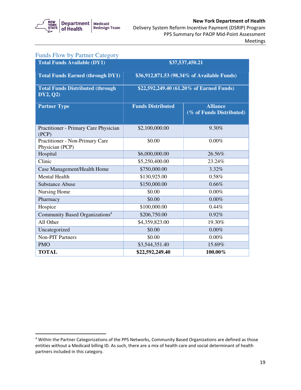

| <b>Funds Flow by Partner Category</b>                |                                             |                                             |
|------------------------------------------------------|---------------------------------------------|---------------------------------------------|
| <b>Total Funds Available (DY1)</b>                   |                                             | \$37,537,450.21                             |
| <b>Total Funds Earned (through DY1)</b>              | \$36,912,871.53 (98.34% of Available Funds) |                                             |
| <b>Total Funds Distributed (through)</b><br>DY2, Q2) | \$22,592,249.40 (61.20% of Earned Funds)    |                                             |
| <b>Partner Type</b>                                  | <b>Funds Distributed</b>                    | <b>Alliance</b><br>(% of Funds Distributed) |
| Practitioner - Primary Care Physician<br>(PCP)       | \$2,100,000.00                              | 9.30%                                       |
| Practitioner - Non-Primary Care<br>Physician (PCP)   | \$0.00                                      | $0.00\%$                                    |
| Hospital                                             | \$6,000,000.00                              | 26.56%                                      |
| Clinic                                               | \$5,250,400.00                              | 23.24%                                      |
| Case Management/Health Home                          | \$750,000.00                                | 3.32%                                       |
| Mental Health                                        | \$130,925.00                                | 0.58%                                       |
| <b>Substance Abuse</b>                               | \$150,000.00                                | 0.66%                                       |
| Nursing Home                                         | \$0.00                                      | 0.00%                                       |
| Pharmacy                                             | \$0.00                                      | 0.00%                                       |
| Hospice                                              | \$100,000.00                                | 0.44%                                       |
| Community Based Organizations <sup>4</sup>           | \$206,750.00                                | 0.92%                                       |
| All Other                                            | \$4,359,823.00                              | 19.30%                                      |
| Uncategorized                                        | \$0.00                                      | 0.00%                                       |
| <b>Non-PIT Partners</b>                              | \$0.00                                      | $0.00\%$                                    |
| <b>PMO</b>                                           | \$3,544,351.40                              | 15.69%                                      |
| <b>TOTAL</b>                                         | \$22,592,249.40                             | 100.00%                                     |

<sup>&</sup>lt;sup>4</sup> Within the Partner Categorizations of the PPS Networks, Community Based Organizations are defined as those entities without a Medicaid billing ID. As such, there are a mix of health care and social determinant of health partners included in this category.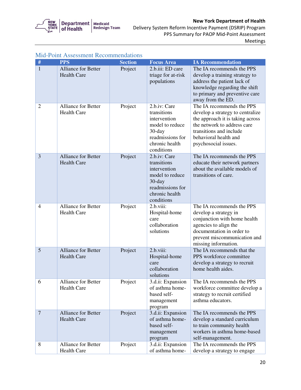

 Delivery System Reform Incentive Payment (DSRIP) Program PPS Summary for PAOP Mid-Point Assessment Meetings

| #              | <b>PPS</b>                                       | <b>Section</b> | <b>Focus Area</b>                                                                                                               | <b>IA Recommendation</b>                                                                                                                                                                                     |
|----------------|--------------------------------------------------|----------------|---------------------------------------------------------------------------------------------------------------------------------|--------------------------------------------------------------------------------------------------------------------------------------------------------------------------------------------------------------|
| $\mathbf{1}$   | <b>Alliance for Better</b><br><b>Health Care</b> | Project        | 2.b.iii: ED care<br>triage for at-risk<br>populations                                                                           | The IA recommends the PPS<br>develop a training strategy to<br>address the patient lack of<br>knowledge regarding the shift<br>to primary and preventive care<br>away from the ED.                           |
| $\overline{2}$ | <b>Alliance for Better</b><br><b>Health Care</b> | Project        | 2.b.iv: Care<br>transitions<br>intervention<br>model to reduce<br>$30$ -day<br>readmissions for<br>chronic health<br>conditions | The IA recommends the PPS<br>develop a strategy to centralize<br>the approach it is taking across<br>the network to address care<br>transitions and include<br>behavioral health and<br>psychosocial issues. |
| 3              | <b>Alliance for Better</b><br><b>Health Care</b> | Project        | 2.b.iv: Care<br>transitions<br>intervention<br>model to reduce<br>$30$ -day<br>readmissions for<br>chronic health<br>conditions | The IA recommends the PPS<br>educate their network partners<br>about the available models of<br>transitions of care.                                                                                         |
| $\overline{4}$ | <b>Alliance for Better</b><br><b>Health Care</b> | Project        | 2.b.viii:<br>Hospital-home<br>care<br>collaboration<br>solutions                                                                | The IA recommends the PPS<br>develop a strategy in<br>conjunction with home health<br>agencies to align the<br>documentation in order to<br>prevent miscommunication and<br>missing information.             |
| 5              | <b>Alliance for Better</b><br><b>Health Care</b> | Project        | 2.b.viii:<br>Hospital-home<br>care<br>collaboration<br>solutions                                                                | The IA recommends that the<br>PPS workforce committee<br>develop a strategy to recruit<br>home health aides.                                                                                                 |
| 6              | Alliance for Better<br><b>Health Care</b>        | Project        | 3.d.ii: Expansion<br>of asthma home-<br>based self-<br>management<br>program                                                    | The IA recommends the PPS<br>workforce committee develop a<br>strategy to recruit certified<br>asthma educators.                                                                                             |
| $\overline{7}$ | <b>Alliance for Better</b><br><b>Health Care</b> | Project        | 3.d.ii: Expansion<br>of asthma home-<br>based self-<br>management<br>program                                                    | The IA recommends the PPS<br>develop a standard curriculum<br>to train community health<br>workers in asthma home-based<br>self-management.                                                                  |
| 8              | <b>Alliance for Better</b><br><b>Health Care</b> | Project        | 3.d.ii: Expansion<br>of asthma home-                                                                                            | The IA recommends the PPS<br>develop a strategy to engage                                                                                                                                                    |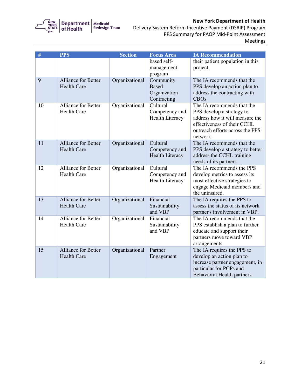

| $\#$ | <b>PPS</b>                                       | <b>Section</b> | <b>Focus Area</b>                                        | <b>IA Recommendation</b>                                                                                                                                                 |
|------|--------------------------------------------------|----------------|----------------------------------------------------------|--------------------------------------------------------------------------------------------------------------------------------------------------------------------------|
|      |                                                  |                | based self-<br>management<br>program                     | their patient population in this<br>project.                                                                                                                             |
| 9    | Alliance for Better<br><b>Health Care</b>        | Organizational | Community<br><b>Based</b><br>Organization<br>Contracting | The IA recommends that the<br>PPS develop an action plan to<br>address the contracting with<br>CBO <sub>s</sub> .                                                        |
| 10   | <b>Alliance for Better</b><br><b>Health Care</b> | Organizational | Cultural<br>Competency and<br><b>Health Literacy</b>     | The IA recommends that the<br>PPS develop a strategy to<br>address how it will measure the<br>effectiveness of their CCHL<br>outreach efforts across the PPS<br>network. |
| 11   | <b>Alliance for Better</b><br><b>Health Care</b> | Organizational | Cultural<br>Competency and<br><b>Health Literacy</b>     | The IA recommends that the<br>PPS develop a strategy to better<br>address the CCHL training<br>needs of its partners.                                                    |
| 12   | Alliance for Better<br><b>Health Care</b>        | Organizational | Cultural<br>Competency and<br><b>Health Literacy</b>     | The IA recommends the PPS<br>develop metrics to assess its<br>most effective strategies to<br>engage Medicaid members and<br>the uninsured.                              |
| 13   | <b>Alliance for Better</b><br><b>Health Care</b> | Organizational | Financial<br>Sustainability<br>and VBP                   | The IA requires the PPS to<br>assess the status of its network<br>partner's involvement in VBP.                                                                          |
| 14   | <b>Alliance for Better</b><br><b>Health Care</b> | Organizational | Financial<br>Sustainability<br>and VBP                   | The IA recommends that the<br>PPS establish a plan to further<br>educate and support their<br>partners move toward VBP<br>arrangements.                                  |
| 15   | <b>Alliance for Better</b><br><b>Health Care</b> | Organizational | Partner<br>Engagement                                    | The IA requires the PPS to<br>develop an action plan to<br>increase partner engagement, in<br>particular for PCPs and<br>Behavioral Health partners.                     |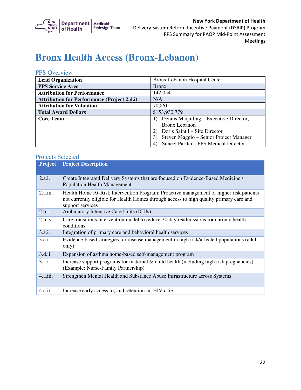

### **Bronx Health Access (Bronx-Lebanon)**

#### PPS Overview

| <b>Lead Organization</b>                           | Bronx Lebanon Hospital Center          |
|----------------------------------------------------|----------------------------------------|
| <b>PPS Service Area</b>                            | <b>Bronx</b>                           |
| <b>Attribution for Performance</b>                 | 142,054                                |
| <b>Attribution for Performance (Project 2.d.i)</b> | N/A                                    |
| <b>Attribution for Valuation</b>                   | 70,861                                 |
| <b>Total Award Dollars</b>                         | \$153,930,779                          |
| <b>Core Team</b>                                   | Dennis Maquiling – Executive Director, |
|                                                    | Bronx Lebanon                          |
|                                                    | Doris Saintil – Site Director          |
|                                                    | Steven Maggio – Senior Project Manager |
|                                                    | Suneel Parikh - PPS Medical Director   |

| Project  | <b>Project Description</b>                                                                                                                                                                            |
|----------|-------------------------------------------------------------------------------------------------------------------------------------------------------------------------------------------------------|
| 2.a.i.   | Create Integrated Delivery Systems that are focused on Evidence-Based Medicine /<br><b>Population Health Management</b>                                                                               |
| 2.a.iii. | Health Home At-Risk Intervention Program: Proactive management of higher risk patients<br>not currently eligible for Health Homes through access to high quality primary care and<br>support services |
| 2.b.i.   | Ambulatory Intensive Care Units (ICUs)                                                                                                                                                                |
| 2.b.iv.  | Care transitions intervention model to reduce 30 day readmissions for chronic health<br>conditions                                                                                                    |
| 3.a.i.   | Integration of primary care and behavioral health services                                                                                                                                            |
| 3.c.i.   | Evidence-based strategies for disease management in high risk/affected populations (adult<br>only)                                                                                                    |
| 3.d.ii.  | Expansion of asthma home-based self-management program                                                                                                                                                |
| 3.f.i.   | Increase support programs for maternal $\&$ child health (including high risk pregnancies)<br>(Example: Nurse-Family Partnership)                                                                     |
| 4.a.iii. | Strengthen Mental Health and Substance Abuse Infrastructure across Systems                                                                                                                            |
| 4.c.ii.  | Increase early access to, and retention in, HIV care                                                                                                                                                  |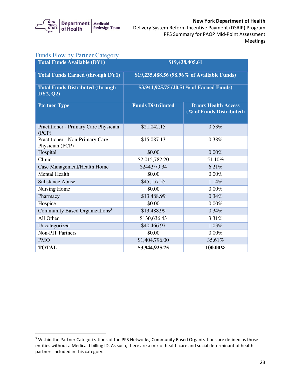

#### Delivery System Reform Incentive Payment (DSRIP) Program New York Department of Health PPS Summary for PAOP Mid-Point Assessment Meetings

| <b>Funds Flow by Partner Category</b>               |                          |                                                        |
|-----------------------------------------------------|--------------------------|--------------------------------------------------------|
| <b>Total Funds Available (DY1)</b>                  |                          | \$19,438,405.61                                        |
| <b>Total Funds Earned (through DY1)</b>             |                          | \$19,235,488.56 (98.96% of Available Funds)            |
| <b>Total Funds Distributed (through</b><br>DY2, Q2) |                          | \$3,944,925.75 (20.51% of Earned Funds)                |
| <b>Partner Type</b>                                 | <b>Funds Distributed</b> | <b>Bronx Health Access</b><br>(% of Funds Distributed) |
| Practitioner - Primary Care Physician<br>(PCP)      | \$21,042.15              | 0.53%                                                  |
| Practitioner - Non-Primary Care<br>Physician (PCP)  | \$15,087.13              | 0.38%                                                  |
| Hospital                                            | \$0.00                   | 0.00%                                                  |
| Clinic                                              | \$2,015,782.20           | 51.10%                                                 |
| Case Management/Health Home                         | \$244,979.34             | 6.21%                                                  |
| Mental Health                                       | \$0.00                   | 0.00%                                                  |
| <b>Substance Abuse</b>                              | \$45,157.55              | 1.14%                                                  |
| Nursing Home                                        | \$0.00                   | $0.00\%$                                               |
| Pharmacy                                            | \$13,488.99              | 0.34%                                                  |
| Hospice                                             | \$0.00                   | 0.00%                                                  |
| Community Based Organizations <sup>5</sup>          | \$13,488.99              | 0.34%                                                  |
| All Other                                           | \$130,636.43             | 3.31%                                                  |
| Uncategorized                                       | \$40,466.97              | 1.03%                                                  |
| <b>Non-PIT Partners</b>                             | \$0.00                   | 0.00%                                                  |
| <b>PMO</b>                                          | \$1,404,796.00           | 35.61%                                                 |
| <b>TOTAL</b>                                        | \$3,944,925.75           | 100.00%                                                |

 $5$  Within the Partner Categorizations of the PPS Networks, Community Based Organizations are defined as those entities without a Medicaid billing ID. As such, there are a mix of health care and social determinant of health partners included in this category.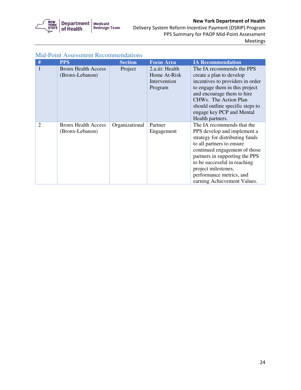

 Delivery System Reform Incentive Payment (DSRIP) Program PPS Summary for PAOP Mid-Point Assessment Meetings

| #              |                            |                |                   |                                  |
|----------------|----------------------------|----------------|-------------------|----------------------------------|
|                | <b>PPS</b>                 | <b>Section</b> | <b>Focus Area</b> | <b>IA Recommendation</b>         |
| 1              | <b>Bronx Health Access</b> | Project        | 2.a.iii: Health   | The IA recommends the PPS        |
|                | (Bronx-Lebanon)            |                | Home At-Risk      | create a plan to develop         |
|                |                            |                | Intervention      | incentives to providers in order |
|                |                            |                | Program           | to engage them in this project   |
|                |                            |                |                   | and encourage them to hire       |
|                |                            |                |                   | CHWs. The Action Plan            |
|                |                            |                |                   | should outline specific steps to |
|                |                            |                |                   | engage key PCP and Mental        |
|                |                            |                |                   | Health partners.                 |
| $\overline{2}$ | <b>Bronx Health Access</b> | Organizational | Partner           | The IA recommends that the       |
|                | (Bronx-Lebanon)            |                |                   | PPS develop and implement a      |
|                |                            |                | Engagement        | strategy for distributing funds  |
|                |                            |                |                   |                                  |
|                |                            |                |                   | to all partners to ensure        |
|                |                            |                |                   | continued engagement of those    |
|                |                            |                |                   | partners in supporting the PPS   |
|                |                            |                |                   | to be successful in reaching     |
|                |                            |                |                   | project milestones,              |
|                |                            |                |                   | performance metrics, and         |
|                |                            |                |                   | earning Achievement Values.      |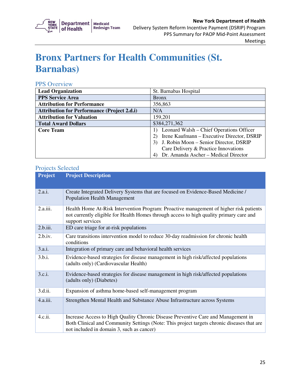

## **Bronx Partners for Health Communities (St. Barnabas)**

#### PPS Overview

| <b>Lead Organization</b>                           | St. Barnabas Hospital                      |
|----------------------------------------------------|--------------------------------------------|
| <b>PPS Service Area</b>                            | <b>Bronx</b>                               |
| <b>Attribution for Performance</b>                 | 356,863                                    |
| <b>Attribution for Performance (Project 2.d.i)</b> | N/A                                        |
| <b>Attribution for Valuation</b>                   | 159,201                                    |
| <b>Total Award Dollars</b>                         | \$384,271,362                              |
| <b>Core Team</b>                                   | Leonard Walsh – Chief Operations Officer   |
|                                                    | Irene Kaufmann – Executive Director, DSRIP |
|                                                    | J. Robin Moon – Senior Director, DSRIP     |
|                                                    | Care Delivery & Practice Innovations       |
|                                                    | Dr. Amanda Ascher - Medical Director<br>4) |

| <b>Project</b> | <b>Project Description</b>                                                                                                                                                                                                   |
|----------------|------------------------------------------------------------------------------------------------------------------------------------------------------------------------------------------------------------------------------|
| 2.a.i.         | Create Integrated Delivery Systems that are focused on Evidence-Based Medicine /<br><b>Population Health Management</b>                                                                                                      |
| 2.a.iii.       | Health Home At-Risk Intervention Program: Proactive management of higher risk patients<br>not currently eligible for Health Homes through access to high quality primary care and<br>support services                        |
| 2.b.iii.       | ED care triage for at-risk populations                                                                                                                                                                                       |
| 2.b.iv.        | Care transitions intervention model to reduce 30-day readmission for chronic health<br>conditions                                                                                                                            |
| 3.a.i.         | Integration of primary care and behavioral health services                                                                                                                                                                   |
| 3.b.i.         | Evidence-based strategies for disease management in high risk/affected populations<br>(adults only) (Cardiovascular Health)                                                                                                  |
| 3.c.i.         | Evidence-based strategies for disease management in high risk/affected populations<br>(adults only) (Diabetes)                                                                                                               |
| 3.d.ii.        | Expansion of asthma home-based self-management program                                                                                                                                                                       |
| 4.a.iii.       | Strengthen Mental Health and Substance Abuse Infrastructure across Systems                                                                                                                                                   |
| 4.c.ii.        | Increase Access to High Quality Chronic Disease Preventive Care and Management in<br>Both Clinical and Community Settings (Note: This project targets chronic diseases that are<br>not included in domain 3, such as cancer) |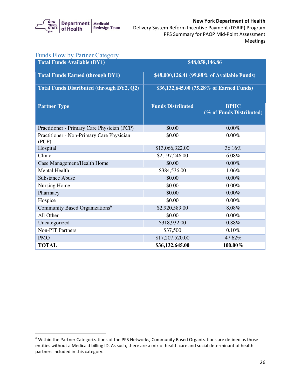

#### Delivery System Reform Incentive Payment (DSRIP) Program New York Department of Health PPS Summary for PAOP Mid-Point Assessment Meetings

| <b>Funds Flow by Partner Category</b>              |                          |                                             |
|----------------------------------------------------|--------------------------|---------------------------------------------|
| <b>Total Funds Available (DY1)</b>                 |                          | \$48,058,146.86                             |
| <b>Total Funds Earned (through DY1)</b>            |                          | \$48,000,126.41 (99.88% of Available Funds) |
| <b>Total Funds Distributed (through DY2, Q2)</b>   |                          | \$36,132,645.00 (75.28% of Earned Funds)    |
| <b>Partner Type</b>                                | <b>Funds Distributed</b> | <b>BPHC</b><br>(% of Funds Distributed)     |
| Practitioner - Primary Care Physician (PCP)        | \$0.00                   | 0.00%                                       |
| Practitioner - Non-Primary Care Physician<br>(PCP) | \$0.00                   | 0.00%                                       |
| Hospital                                           | \$13,066,322.00          | 36.16%                                      |
| Clinic                                             | \$2,197,246.00           | 6.08%                                       |
| Case Management/Health Home                        | \$0.00                   | 0.00%                                       |
| <b>Mental Health</b>                               | \$384,536.00             | 1.06%                                       |
| <b>Substance Abuse</b>                             | \$0.00                   | 0.00%                                       |
| Nursing Home                                       | \$0.00                   | 0.00%                                       |
| Pharmacy                                           | \$0.00                   | 0.00%                                       |
| Hospice                                            | \$0.00                   | 0.00%                                       |
| Community Based Organizations <sup>6</sup>         | \$2,920,589.00           | 8.08%                                       |
| All Other                                          | \$0.00                   | 0.00%                                       |
| Uncategorized                                      | \$318,932.00             | 0.88%                                       |
| <b>Non-PIT Partners</b>                            | \$37,500                 | 0.10%                                       |
| <b>PMO</b>                                         | \$17,207,520.00          | 47.62%                                      |
| <b>TOTAL</b>                                       | \$36,132,645.00          | 100.00%                                     |

 $6$  Within the Partner Categorizations of the PPS Networks, Community Based Organizations are defined as those entities without a Medicaid billing ID. As such, there are a mix of health care and social determinant of health partners included in this category.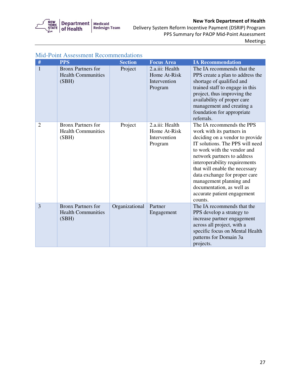

 Delivery System Reform Incentive Payment (DSRIP) Program PPS Summary for PAOP Mid-Point Assessment Meetings

| #              | <b>PPS</b>                                                      | <b>Section</b> | <b>Focus Area</b>                                          | <b>IA Recommendation</b>                                                                                                                                                                                                                                                                                                                                                                         |
|----------------|-----------------------------------------------------------------|----------------|------------------------------------------------------------|--------------------------------------------------------------------------------------------------------------------------------------------------------------------------------------------------------------------------------------------------------------------------------------------------------------------------------------------------------------------------------------------------|
| $\mathbf{1}$   | <b>Bronx Partners for</b><br><b>Health Communities</b><br>(SBH) | Project        | 2.a.iii: Health<br>Home At-Risk<br>Intervention<br>Program | The IA recommends that the<br>PPS create a plan to address the<br>shortage of qualified and<br>trained staff to engage in this<br>project, thus improving the<br>availability of proper care<br>management and creating a<br>foundation for appropriate<br>referrals.                                                                                                                            |
| $\overline{2}$ | <b>Bronx Partners for</b><br><b>Health Communities</b><br>(SBH) | Project        | 2.a.iii: Health<br>Home At-Risk<br>Intervention<br>Program | The IA recommends the PPS<br>work with its partners in<br>deciding on a vendor to provide<br>IT solutions. The PPS will need<br>to work with the vendor and<br>network partners to address<br>interoperability requirements<br>that will enable the necessary<br>data exchange for proper care<br>management planning and<br>documentation, as well as<br>accurate patient engagement<br>counts. |
| $\overline{3}$ | <b>Bronx Partners for</b><br><b>Health Communities</b><br>(SBH) | Organizational | Partner<br>Engagement                                      | The IA recommends that the<br>PPS develop a strategy to<br>increase partner engagement<br>across all project, with a<br>specific focus on Mental Health<br>patterns for Domain 3a<br>projects.                                                                                                                                                                                                   |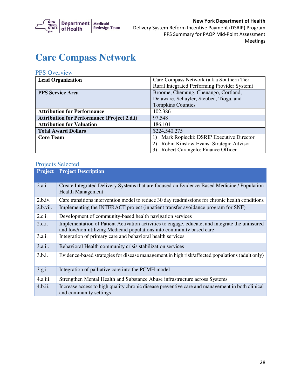

### **Care Compass Network**

#### PPS Overview

| <b>Lead Organization</b>                           | Care Compass Network (a.k.a Southern Tier    |  |  |
|----------------------------------------------------|----------------------------------------------|--|--|
|                                                    | Rural Integrated Performing Provider System) |  |  |
| <b>PPS Service Area</b>                            | Broome, Chemung, Chenango, Cortland,         |  |  |
|                                                    | Delaware, Schuyler, Steuben, Tioga, and      |  |  |
|                                                    | <b>Tompkins Counties</b>                     |  |  |
| <b>Attribution for Performance</b>                 | 102,386                                      |  |  |
| <b>Attribution for Performance (Project 2.d.i)</b> | 97,548                                       |  |  |
| <b>Attribution for Valuation</b>                   | 186,101                                      |  |  |
| <b>Total Award Dollars</b>                         | \$224,540,275                                |  |  |
| <b>Core Team</b>                                   | Mark Ropiecki: DSRIP Executive Director      |  |  |
|                                                    | Robin Kinslow-Evans: Strategic Advisor       |  |  |
|                                                    | Robert Carangelo: Finance Officer<br>3       |  |  |

| <b>Project</b> | <b>Project Description</b>                                                                                                                                              |
|----------------|-------------------------------------------------------------------------------------------------------------------------------------------------------------------------|
| 2.a.i.         | Create Integrated Delivery Systems that are focused on Evidence-Based Medicine / Population<br><b>Health Management</b>                                                 |
| 2.b.iv.        | Care transitions intervention model to reduce 30 day readmissions for chronic health conditions                                                                         |
| 2.b.vii.       | Implementing the INTERACT project (inpatient transfer avoidance program for SNF)                                                                                        |
| 2.c.i.         | Development of community-based health navigation services                                                                                                               |
| 2.d.i.         | Implementation of Patient Activation activities to engage, educate, and integrate the uninsured<br>and low/non-utilizing Medicaid populations into community based care |
| 3.a.i.         | Integration of primary care and behavioral health services                                                                                                              |
| 3.a.ii.        | Behavioral Health community crisis stabilization services                                                                                                               |
| 3.b.i.         | Evidence-based strategies for disease management in high risk/affected populations (adult only)                                                                         |
| 3.g.i.         | Integration of palliative care into the PCMH model                                                                                                                      |
| 4.a.iii.       | Strengthen Mental Health and Substance Abuse infrastructure across Systems                                                                                              |
| 4.b.ii.        | Increase access to high quality chronic disease preventive care and management in both clinical<br>and community settings                                               |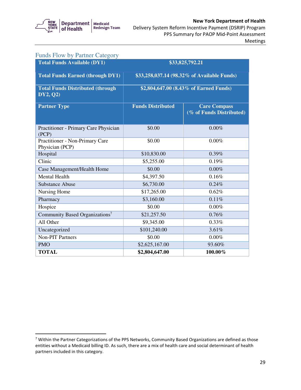

#### Delivery System Reform Incentive Payment (DSRIP) Program New York Department of Health PPS Summary for PAOP Mid-Point Assessment Meetings

| <b>Funds Flow by Partner Category</b>                |                                             |                                                 |
|------------------------------------------------------|---------------------------------------------|-------------------------------------------------|
| <b>Total Funds Available (DY1)</b>                   |                                             | \$33,825,792.21                                 |
| <b>Total Funds Earned (through DY1)</b>              | \$33,258,037.14 (98.32% of Available Funds) |                                                 |
| <b>Total Funds Distributed (through)</b><br>DY2, Q2) | \$2,804,647.00 (8.43% of Earned Funds)      |                                                 |
| <b>Partner Type</b>                                  | <b>Funds Distributed</b>                    | <b>Care Compass</b><br>(% of Funds Distributed) |
| Practitioner - Primary Care Physician<br>(PCP)       | \$0.00                                      | $0.00\%$                                        |
| Practitioner - Non-Primary Care<br>Physician (PCP)   | \$0.00                                      | 0.00%                                           |
| Hospital                                             | \$10,830.00                                 | $0.39\%$                                        |
| Clinic                                               | \$5,255.00                                  | 0.19%                                           |
| Case Management/Health Home                          | \$0.00                                      | $0.00\%$                                        |
| <b>Mental Health</b>                                 | \$4,397.50                                  | 0.16%                                           |
| <b>Substance Abuse</b>                               | \$6,730.00                                  | 0.24%                                           |
| Nursing Home                                         | \$17,265.00                                 | 0.62%                                           |
| Pharmacy                                             | \$3,160.00                                  | 0.11%                                           |
| Hospice                                              | \$0.00                                      | 0.00%                                           |
| Community Based Organizations <sup>7</sup>           | \$21,257.50                                 | 0.76%                                           |
| All Other                                            | \$9,345.00                                  | 0.33%                                           |
| Uncategorized                                        | \$101,240.00                                | 3.61%                                           |
| <b>Non-PIT Partners</b>                              | \$0.00                                      | 0.00%                                           |
| <b>PMO</b>                                           | \$2,625,167.00                              | 93.60%                                          |
| <b>TOTAL</b>                                         | \$2,804,647.00                              | 100.00%                                         |

 $7$  Within the Partner Categorizations of the PPS Networks, Community Based Organizations are defined as those entities without a Medicaid billing ID. As such, there are a mix of health care and social determinant of health partners included in this category.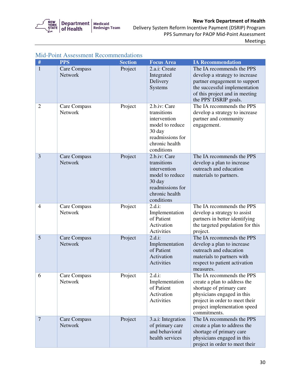

 Delivery System Reform Incentive Payment (DSRIP) Program PPS Summary for PAOP Mid-Point Assessment Meetings

| #              | <b>PPS</b>                     | <b>Section</b> | <b>Focus Area</b>                                                                                                            | <b>IA Recommendation</b>                                                                                                                                                                              |
|----------------|--------------------------------|----------------|------------------------------------------------------------------------------------------------------------------------------|-------------------------------------------------------------------------------------------------------------------------------------------------------------------------------------------------------|
| $\mathbf{1}$   | Care Compass<br><b>Network</b> | Project        | 2.a.i: Create<br>Integrated<br>Delivery<br><b>Systems</b>                                                                    | The IA recommends the PPS<br>develop a strategy to increase<br>partner engagement to support<br>the successful implementation<br>of this project and in meeting<br>the PPS' DSRIP goals.              |
| $\overline{2}$ | Care Compass<br>Network        | Project        | 2.b.iv: Care<br>transitions<br>intervention<br>model to reduce<br>30 day<br>readmissions for<br>chronic health<br>conditions | The IA recommends the PPS<br>develop a strategy to increase<br>partner and community<br>engagement.                                                                                                   |
| 3              | Care Compass<br><b>Network</b> | Project        | 2.b.iv: Care<br>transitions<br>intervention<br>model to reduce<br>30 day<br>readmissions for<br>chronic health<br>conditions | The IA recommends the PPS<br>develop a plan to increase<br>outreach and education<br>materials to partners.                                                                                           |
| $\overline{4}$ | Care Compass<br>Network        | Project        | $2.d.i$ :<br>Implementation<br>of Patient<br>Activation<br>Activities                                                        | The IA recommends the PPS<br>develop a strategy to assist<br>partners in better identifying<br>the targeted population for this<br>project.                                                           |
| 5              | Care Compass<br><b>Network</b> | Project        | $2.d.i$ :<br>Implementation<br>of Patient<br>Activation<br>Activities                                                        | The IA recommends the PPS<br>develop a plan to increase<br>outreach and education<br>materials to partners with<br>respect to patient activation<br>measures.                                         |
| 6              | Care Compass<br>Network        | Project        | $2.d.i$ :<br>Implementation<br>of Patient<br>Activation<br>Activities                                                        | The IA recommends the PPS<br>create a plan to address the<br>shortage of primary care<br>physicians engaged in this<br>project in order to meet their<br>project implementation speed<br>commitments. |
| $\overline{7}$ | Care Compass<br><b>Network</b> | Project        | 3.a.i: Integration<br>of primary care<br>and behavioral<br>health services                                                   | The IA recommends the PPS<br>create a plan to address the<br>shortage of primary care<br>physicians engaged in this<br>project in order to meet their                                                 |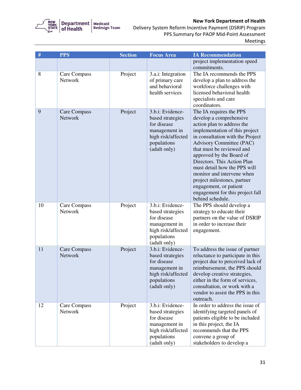

| #  | <b>PPS</b>                     | <b>Section</b> | <b>Focus Area</b>                                                                                                         | <b>IA Recommendation</b>                                                                                                                                                                                                                                                                                                                                                                                                                                         |
|----|--------------------------------|----------------|---------------------------------------------------------------------------------------------------------------------------|------------------------------------------------------------------------------------------------------------------------------------------------------------------------------------------------------------------------------------------------------------------------------------------------------------------------------------------------------------------------------------------------------------------------------------------------------------------|
|    |                                |                |                                                                                                                           | project implementation speed<br>commitments.                                                                                                                                                                                                                                                                                                                                                                                                                     |
| 8  | Care Compass<br>Network        | Project        | 3.a.i: Integration<br>of primary care<br>and behavioral<br>health services                                                | The IA recommends the PPS<br>develop a plan to address the<br>workforce challenges with<br>licensed behavioral health<br>specialists and care<br>coordinators.                                                                                                                                                                                                                                                                                                   |
| 9  | Care Compass<br>Network        | Project        | 3.b.i: Evidence-<br>based strategies<br>for disease<br>management in<br>high risk/affected<br>populations<br>(adult only) | The IA requires the PPS<br>develop a comprehensive<br>action plan to address the<br>implementation of this project<br>in consultation with the Project<br><b>Advisory Committee (PAC)</b><br>that must be reviewed and<br>approved by the Board of<br>Directors. This Action Plan<br>must detail how the PPS will<br>monitor and intervene when<br>project milestones, partner<br>engagement, or patient<br>engagement for this project fall<br>behind schedule. |
| 10 | Care Compass<br>Network        | Project        | 3.b.i: Evidence-<br>based strategies<br>for disease<br>management in<br>high risk/affected<br>populations<br>(adult only) | The PPS should develop a<br>strategy to educate their<br>partners on the value of DSRIP<br>in order to increase their<br>engagement.                                                                                                                                                                                                                                                                                                                             |
| 11 | Care Compass<br><b>Network</b> | Project        | 3.b.i: Evidence-<br>based strategies<br>for disease<br>management in<br>high risk/affected<br>populations<br>(adult only) | To address the issue of partner<br>reluctance to participate in this<br>project due to perceived lack of<br>reimbursement, the PPS should<br>develop creative strategies,<br>either in the form of services,<br>consultation, or work with a<br>vendor to assist the PPS in this<br>outreach.                                                                                                                                                                    |
| 12 | Care Compass<br>Network        | Project        | 3.b.i: Evidence-<br>based strategies<br>for disease<br>management in<br>high risk/affected<br>populations<br>(adult only) | In order to address the issue of<br>identifying targeted panels of<br>patients eligible to be included<br>in this project, the IA<br>recommends that the PPS<br>convene a group of<br>stakeholders to develop a                                                                                                                                                                                                                                                  |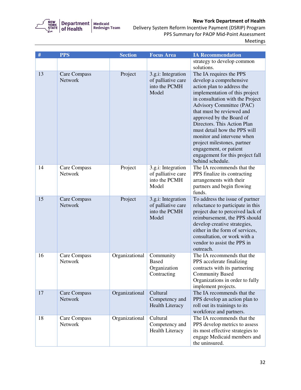

| $\#$ | <b>PPS</b>                     | <b>Section</b> | <b>Focus Area</b>                                                  | <b>IA Recommendation</b>                                                                                                                                                                                                                                                                                                                                                                                                                                  |
|------|--------------------------------|----------------|--------------------------------------------------------------------|-----------------------------------------------------------------------------------------------------------------------------------------------------------------------------------------------------------------------------------------------------------------------------------------------------------------------------------------------------------------------------------------------------------------------------------------------------------|
|      |                                |                |                                                                    | strategy to develop common<br>solutions.                                                                                                                                                                                                                                                                                                                                                                                                                  |
| 13   | Care Compass<br>Network        | Project        | 3.g.i: Integration<br>of palliative care<br>into the PCMH<br>Model | The IA requires the PPS<br>develop a comprehensive<br>action plan to address the<br>implementation of this project<br>in consultation with the Project<br>Advisory Committee (PAC)<br>that must be reviewed and<br>approved by the Board of<br>Directors. This Action Plan<br>must detail how the PPS will<br>monitor and intervene when<br>project milestones, partner<br>engagement, or patient<br>engagement for this project fall<br>behind schedule. |
| 14   | Care Compass<br>Network        | Project        | 3.g.i: Integration<br>of palliative care<br>into the PCMH<br>Model | The IA recommends that the<br>PPS finalize its contracting<br>arrangements with their<br>partners and begin flowing<br>funds.                                                                                                                                                                                                                                                                                                                             |
| 15   | Care Compass<br><b>Network</b> | Project        | 3.g.i: Integration<br>of palliative care<br>into the PCMH<br>Model | To address the issue of partner<br>reluctance to participate in this<br>project due to perceived lack of<br>reimbursement, the PPS should<br>develop creative strategies,<br>either in the form of services,<br>consultation, or work with a<br>vendor to assist the PPS in<br>outreach.                                                                                                                                                                  |
| 16   | Care Compass<br>Network        | Organizational | Community<br><b>Based</b><br>Organization<br>Contracting           | The IA recommends that the<br>PPS accelerate finalizing<br>contracts with its partnering<br><b>Community Based</b><br>Organizations in order to fully<br>implement projects.                                                                                                                                                                                                                                                                              |
| 17   | Care Compass<br>Network        | Organizational | Cultural<br>Competency and<br><b>Health Literacy</b>               | The IA recommends that the<br>PPS develop an action plan to<br>roll out its trainings to its<br>workforce and partners.                                                                                                                                                                                                                                                                                                                                   |
| 18   | Care Compass<br>Network        | Organizational | Cultural<br>Competency and<br><b>Health Literacy</b>               | The IA recommends that the<br>PPS develop metrics to assess<br>its most effective strategies to<br>engage Medicaid members and<br>the uninsured.                                                                                                                                                                                                                                                                                                          |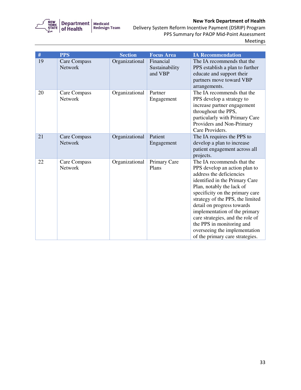

| #  | <b>PPS</b>                     | <b>Section</b> | <b>Focus Area</b>                      | <b>IA Recommendation</b>                                                                                                                                                                                                                                                                                                                                                                                                          |
|----|--------------------------------|----------------|----------------------------------------|-----------------------------------------------------------------------------------------------------------------------------------------------------------------------------------------------------------------------------------------------------------------------------------------------------------------------------------------------------------------------------------------------------------------------------------|
| 19 | Care Compass<br>Network        | Organizational | Financial<br>Sustainability<br>and VBP | The IA recommends that the<br>PPS establish a plan to further<br>educate and support their<br>partners move toward VBP<br>arrangements.                                                                                                                                                                                                                                                                                           |
| 20 | Care Compass<br><b>Network</b> | Organizational | Partner<br>Engagement                  | The IA recommends that the<br>PPS develop a strategy to<br>increase partner engagement<br>throughout the PPS,<br>particularly with Primary Care<br>Providers and Non-Primary<br>Care Providers.                                                                                                                                                                                                                                   |
| 21 | Care Compass<br><b>Network</b> | Organizational | Patient<br>Engagement                  | The IA requires the PPS to<br>develop a plan to increase<br>patient engagement across all<br>projects.                                                                                                                                                                                                                                                                                                                            |
| 22 | Care Compass<br><b>Network</b> | Organizational | Primary Care<br>Plans                  | The IA recommends that the<br>PPS develop an action plan to<br>address the deficiencies<br>identified in the Primary Care<br>Plan, notably the lack of<br>specificity on the primary care<br>strategy of the PPS, the limited<br>detail on progress towards<br>implementation of the primary<br>care strategies, and the role of<br>the PPS in monitoring and<br>overseeing the implementation<br>of the primary care strategies. |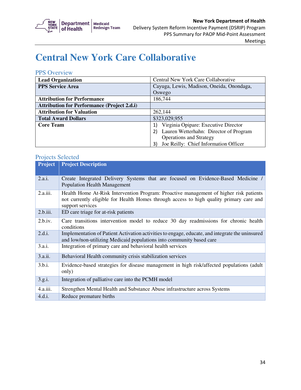

## **Central New York Care Collaborative**

#### PPS Overview

| <b>Lead Organization</b>                           | Central New York Care Collaborative         |  |
|----------------------------------------------------|---------------------------------------------|--|
| <b>PPS Service Area</b>                            | Cayuga, Lewis, Madison, Oneida, Onondaga,   |  |
|                                                    | Oswego                                      |  |
| <b>Attribution for Performance</b>                 | 186,744                                     |  |
| <b>Attribution for Performance (Project 2.d.i)</b> |                                             |  |
| <b>Attribution for Valuation</b>                   | 262,144                                     |  |
| <b>Total Award Dollars</b>                         | \$323,029,955                               |  |
| <b>Core Team</b>                                   | Virginia Opipare: Executive Director        |  |
|                                                    | Lauren Wetterhahn: Director of Program      |  |
|                                                    | <b>Operations and Strategy</b>              |  |
|                                                    | Joe Reilly: Chief Information Officer<br>3) |  |

| <b>Project</b> | <b>Project Description</b>                                                                                                                                                                            |
|----------------|-------------------------------------------------------------------------------------------------------------------------------------------------------------------------------------------------------|
| 2.a.i.         | Create Integrated Delivery Systems that are focused on Evidence-Based Medicine /<br><b>Population Health Management</b>                                                                               |
| 2.a.iii.       | Health Home At-Risk Intervention Program: Proactive management of higher risk patients<br>not currently eligible for Health Homes through access to high quality primary care and<br>support services |
| 2.b.iii.       | ED care triage for at-risk patients                                                                                                                                                                   |
| 2.b.iv.        | Care transitions intervention model to reduce 30 day readmissions for chronic health<br>conditions                                                                                                    |
| 2.d.i.         | Implementation of Patient Activation activities to engage, educate, and integrate the uninsured<br>and low/non-utilizing Medicaid populations into community based care                               |
| 3.a.i.         | Integration of primary care and behavioral health services                                                                                                                                            |
| 3.a.ii.        | Behavioral Health community crisis stabilization services                                                                                                                                             |
| 3.b.i.         | Evidence-based strategies for disease management in high risk/affected populations (adult<br>only)                                                                                                    |
| 3.g.i.         | Integration of palliative care into the PCMH model                                                                                                                                                    |
| 4.a.iii.       | Strengthen Mental Health and Substance Abuse infrastructure across Systems                                                                                                                            |
| 4.d.i.         | Reduce premature births                                                                                                                                                                               |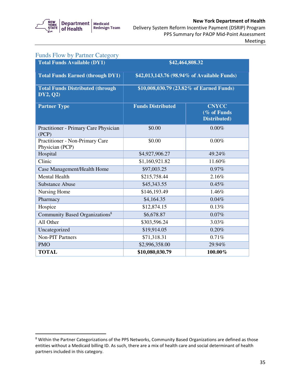

 $\mathbf{H}$ 

#### Delivery System Reform Incentive Payment (DSRIP) Program New York Department of Health PPS Summary for PAOP Mid-Point Assessment

| Meetings |  |
|----------|--|
|----------|--|

| <b>Funds Flow by Partner Category</b>                |                                             |                                             |
|------------------------------------------------------|---------------------------------------------|---------------------------------------------|
| <b>Total Funds Available (DY1)</b>                   |                                             | \$42,464,808.32                             |
| <b>Total Funds Earned (through DY1)</b>              | \$42,013,143.76 (98.94% of Available Funds) |                                             |
| <b>Total Funds Distributed (through)</b><br>DY2, Q2) | \$10,008,030.79 (23.82% of Earned Funds)    |                                             |
| <b>Partner Type</b>                                  | <b>Funds Distributed</b>                    | <b>CNYCC</b><br>(% of Funds<br>Distributed) |
| Practitioner - Primary Care Physician<br>(PCP)       | \$0.00                                      | 0.00%                                       |
| Practitioner - Non-Primary Care<br>Physician (PCP)   | \$0.00                                      | 0.00%                                       |
| Hospital                                             | \$4,927,906.27                              | 49.24%                                      |
| Clinic                                               | \$1,160,921.82                              | 11.60%                                      |
| Case Management/Health Home                          | \$97,003.25                                 | 0.97%                                       |
| <b>Mental Health</b>                                 | \$215,758.44                                | 2.16%                                       |
| <b>Substance Abuse</b>                               | \$45,343.55                                 | 0.45%                                       |
| Nursing Home                                         | \$146,193.49                                | 1.46%                                       |
| Pharmacy                                             | \$4,164.35                                  | 0.04%                                       |
| Hospice                                              | \$12,874.15                                 | 0.13%                                       |
| Community Based Organizations <sup>8</sup>           | \$6,678.87                                  | 0.07%                                       |
| All Other                                            | \$303,596.24                                | 3.03%                                       |
| Uncategorized                                        | \$19,914.05                                 | 0.20%                                       |
| <b>Non-PIT Partners</b>                              | \$71,318.31                                 | 0.71%                                       |
| <b>PMO</b>                                           | \$2,996,358.00                              | 29.94%                                      |
| <b>TOTAL</b>                                         | \$10,080,030.79                             | 100.00%                                     |

<sup>&</sup>lt;sup>8</sup> Within the Partner Categorizations of the PPS Networks, Community Based Organizations are defined as those entities without a Medicaid billing ID. As such, there are a mix of health care and social determinant of health partners included in this category.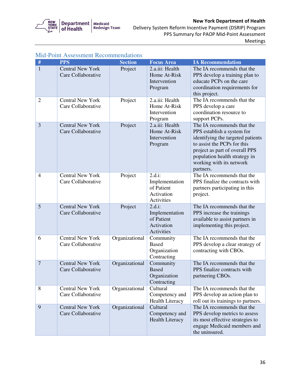

|                | <b>Mid-Point Assessment Recommendations</b>   |                |                                                                       |                                                                                                                                                                                                                                          |  |
|----------------|-----------------------------------------------|----------------|-----------------------------------------------------------------------|------------------------------------------------------------------------------------------------------------------------------------------------------------------------------------------------------------------------------------------|--|
| #              | <b>PPS</b>                                    | <b>Section</b> | <b>Focus Area</b>                                                     | <b>IA Recommendation</b>                                                                                                                                                                                                                 |  |
| $\mathbf{1}$   | <b>Central New York</b><br>Care Collaborative | Project        | 2.a.iii: Health<br>Home At-Risk<br>Intervention<br>Program            | The IA recommends that the<br>PPS develop a training plan to<br>educate PCPs on the care<br>coordination requirements for<br>this project.                                                                                               |  |
| $\overline{2}$ | <b>Central New York</b><br>Care Collaborative | Project        | 2.a.iii: Health<br>Home At-Risk<br>Intervention<br>Program            | The IA recommends that the<br>PPS develop a care<br>coordination resource to<br>support PCPs.                                                                                                                                            |  |
| 3              | <b>Central New York</b><br>Care Collaborative | Project        | 2.a.iii: Health<br>Home At-Risk<br>Intervention<br>Program            | The IA recommends that the<br>PPS establish a system for<br>identifying the targeted patients<br>to assist the PCPs for this<br>project as part of overall PPS<br>population health strategy in<br>working with its network<br>partners. |  |
| $\overline{4}$ | <b>Central New York</b><br>Care Collaborative | Project        | $2.d.i$ :<br>Implementation<br>of Patient<br>Activation<br>Activities | The IA recommends that the<br>PPS finalize the contracts with<br>partners participating in this<br>project.                                                                                                                              |  |
| 5              | <b>Central New York</b><br>Care Collaborative | Project        | $2.d.i$ :<br>Implementation<br>of Patient<br>Activation<br>Activities | The IA recommends that the<br>PPS increase the trainings<br>available to assist partners in<br>implementing this project.                                                                                                                |  |
| 6              | <b>Central New York</b><br>Care Collaborative | Organizational | Community<br><b>Based</b><br>Organization<br>Contracting              | The IA recommends that the<br>PPS develop a clear strategy of<br>contracting with CBOs.                                                                                                                                                  |  |
| $\overline{7}$ | <b>Central New York</b><br>Care Collaborative | Organizational | Community<br><b>Based</b><br>Organization<br>Contracting              | The IA recommends that the<br>PPS finalize contracts with<br>partnering CBOs.                                                                                                                                                            |  |
| 8              | <b>Central New York</b><br>Care Collaborative | Organizational | Cultural<br>Competency and<br><b>Health Literacy</b>                  | The IA recommends that the<br>PPS develop an action plan to<br>roll out its trainings to partners.                                                                                                                                       |  |
| 9              | <b>Central New York</b><br>Care Collaborative | Organizational | Cultural<br>Competency and<br><b>Health Literacy</b>                  | The IA recommends that the<br>PPS develop metrics to assess<br>its most effective strategies to<br>engage Medicaid members and<br>the uninsured.                                                                                         |  |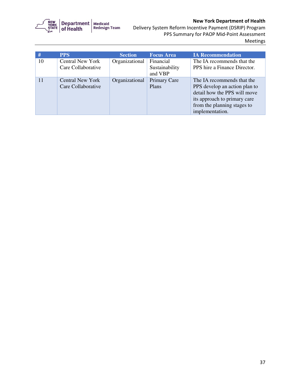

 Delivery System Reform Incentive Payment (DSRIP) Program PPS Summary for PAOP Mid-Point Assessment Meetings

| #  | <b>PPS</b>                                    | <b>Section</b> | <b>Focus Area</b>                      | <b>IA Recommendation</b>                                                                                                                                                      |
|----|-----------------------------------------------|----------------|----------------------------------------|-------------------------------------------------------------------------------------------------------------------------------------------------------------------------------|
| 10 | <b>Central New York</b><br>Care Collaborative | Organizational | Financial<br>Sustainability<br>and VBP | The IA recommends that the<br>PPS hire a Finance Director.                                                                                                                    |
| 11 | <b>Central New York</b><br>Care Collaborative | Organizational | <b>Primary Care</b><br>Plans           | The IA recommends that the<br>PPS develop an action plan to<br>detail how the PPS will move<br>its approach to primary care<br>from the planning stages to<br>implementation. |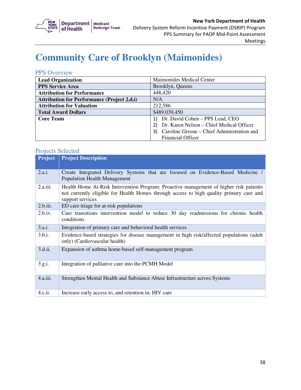

# **Community Care of Brooklyn (Maimonides)**

### PPS Overview

| <b>Lead Organization</b>                           | Maimonides Medical Center                        |  |
|----------------------------------------------------|--------------------------------------------------|--|
| <b>PPS Service Area</b>                            | Brooklyn, Queens                                 |  |
| <b>Attribution for Performance</b>                 | 448,420                                          |  |
| <b>Attribution for Performance (Project 2.d.i)</b> | N/A                                              |  |
| <b>Attribution for Valuation</b>                   | 212,586                                          |  |
| <b>Total Award Dollars</b>                         | \$489,039,450                                    |  |
| <b>Core Team</b>                                   | Dr. David Cohen - PPS Lead, CEO                  |  |
|                                                    | Dr. Karen Nelson - Chief Medical Officer         |  |
|                                                    | Caroline Greene – Chief Administration and<br>3) |  |
|                                                    | <b>Financial Officer</b>                         |  |

| <b>Project</b> | <b>Project Description</b>                                                                                                                                                                            |  |  |
|----------------|-------------------------------------------------------------------------------------------------------------------------------------------------------------------------------------------------------|--|--|
| 2.a.i.         | Create Integrated Delivery Systems that are focused on Evidence-Based Medicine /<br><b>Population Health Management</b>                                                                               |  |  |
| 2.a.iii.       | Health Home At-Risk Intervention Program: Proactive management of higher risk patients<br>not currently eligible for Health Homes through access to high quality primary care and<br>support services |  |  |
| 2.b.iii.       | ED care triage for at-risk populations                                                                                                                                                                |  |  |
| 2.b.i.v.       | Care transitions intervention model to reduce 30 day readmissions for chronic health<br>conditions                                                                                                    |  |  |
| 3.a.i.         | Integration of primary care and behavioral health services                                                                                                                                            |  |  |
| 3.b.i.         | Evidence-based strategies for disease management in high risk/affected populations (adult<br>only) (Cardiovascular health)                                                                            |  |  |
| 3.d.ii.        | Expansion of asthma home-based self-management program                                                                                                                                                |  |  |
| 3.g.i.         | Integration of palliative care into the PCMH Model                                                                                                                                                    |  |  |
| 4.a.iii.       | Strengthen Mental Health and Substance Abuse Infrastructure across Systems                                                                                                                            |  |  |
| 4.c.ii.        | Increase early access to, and retention in, HIV care                                                                                                                                                  |  |  |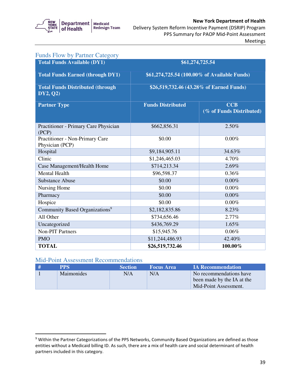

## Delivery System Reform Incentive Payment (DSRIP) Program New York Department of Health PPS Summary for PAOP Mid-Point Assessment

| <b>Funds Flow by Partner Category</b>                |                                              |                                        |  |
|------------------------------------------------------|----------------------------------------------|----------------------------------------|--|
| <b>Total Funds Available (DY1)</b>                   | \$61,274,725.54                              |                                        |  |
| <b>Total Funds Earned (through DY1)</b>              | \$61,274,725.54 (100.00% of Available Funds) |                                        |  |
| <b>Total Funds Distributed (through)</b><br>DY2, Q2) | \$26,519,732.46 (43.28% of Earned Funds)     |                                        |  |
| <b>Partner Type</b>                                  | <b>Funds Distributed</b>                     | <b>CCB</b><br>(% of Funds Distributed) |  |
| Practitioner - Primary Care Physician<br>(PCP)       | \$662,856.31                                 | 2.50%                                  |  |
| Practitioner - Non-Primary Care<br>Physician (PCP)   | \$0.00                                       | 0.00%                                  |  |
| Hospital                                             | \$9,184,905.11                               | 34.63%                                 |  |
| Clinic                                               | \$1,246,465.03                               | 4.70%                                  |  |
| Case Management/Health Home                          | \$714,213.34                                 | 2.69%                                  |  |
| <b>Mental Health</b>                                 | \$96,598.37                                  | 0.36%                                  |  |
| <b>Substance Abuse</b>                               | \$0.00                                       | $0.00\%$                               |  |
| Nursing Home                                         | \$0.00                                       | $0.00\%$                               |  |
| Pharmacy                                             | \$0.00                                       | $0.00\%$                               |  |
| Hospice                                              | \$0.00                                       | 0.00%                                  |  |
| Community Based Organizations <sup>9</sup>           | \$2,182,835.86                               | 8.23%                                  |  |
| All Other                                            | \$734,656.46                                 | 2.77%                                  |  |
| Uncategorized                                        | \$436,769.29                                 | 1.65%                                  |  |
| <b>Non-PIT Partners</b>                              | \$15,945.76                                  | 0.06%                                  |  |
| <b>PMO</b>                                           | \$11,244,486.93                              | 42.40%                                 |  |
| <b>TOTAL</b>                                         | \$26,519,732.46                              | 100.00%                                |  |

### Mid-Point Assessment Recommendations

| <b>PPS</b>        | <b>Section</b> | <b>Focus Area</b> | <b>IA Recommendation</b>   |
|-------------------|----------------|-------------------|----------------------------|
| <b>Maimonides</b> | N/A            | N/A               | No recommendations have    |
|                   |                |                   | been made by the IA at the |
|                   |                |                   | Mid-Point Assessment.      |

 $9$  Within the Partner Categorizations of the PPS Networks, Community Based Organizations are defined as those entities without a Medicaid billing ID. As such, there are a mix of health care and social determinant of health partners included in this category.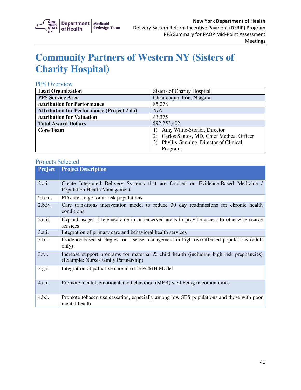

# **Community Partners of Western NY (Sisters of Charity Hospital)**

### PPS Overview

| <b>Lead Organization</b>                           | Sisters of Charity Hospital              |  |
|----------------------------------------------------|------------------------------------------|--|
| <b>PPS Service Area</b>                            | Chautauqua, Erie, Niagara                |  |
| <b>Attribution for Performance</b>                 | 85,278                                   |  |
| <b>Attribution for Performance (Project 2.d.i)</b> | N/A                                      |  |
| <b>Attribution for Valuation</b>                   | 43,375                                   |  |
| <b>Total Award Dollars</b>                         | \$92,253,402                             |  |
| <b>Core Team</b>                                   | Amy White-Storfer, Director              |  |
|                                                    | Carlos Santos, MD, Chief Medical Officer |  |
|                                                    | Phyllis Gunning, Director of Clinical    |  |
|                                                    | Programs                                 |  |

| <b>Project</b> | <b>Project Description</b>                                                                                                        |  |
|----------------|-----------------------------------------------------------------------------------------------------------------------------------|--|
| 2.a.i.         | Create Integrated Delivery Systems that are focused on Evidence-Based Medicine /<br><b>Population Health Management</b>           |  |
| 2.b.iii.       | ED care triage for at-risk populations                                                                                            |  |
| 2.b.iv.        | Care transitions intervention model to reduce 30 day readmissions for chronic health<br>conditions                                |  |
| 2.c.ii.        | Expand usage of telemedicine in underserved areas to provide access to otherwise scarce<br>services                               |  |
| 3.a.i.         | Integration of primary care and behavioral health services                                                                        |  |
| 3.b.i.         | Evidence-based strategies for disease management in high risk/affected populations (adult<br>only)                                |  |
| 3.f.i.         | Increase support programs for maternal $\&$ child health (including high risk pregnancies)<br>(Example: Nurse-Family Partnership) |  |
| 3.g.i.         | Integration of palliative care into the PCMH Model                                                                                |  |
| 4.a.i.         | Promote mental, emotional and behavioral (MEB) well-being in communities                                                          |  |
| 4.b.i.         | Promote tobacco use cessation, especially among low SES populations and those with poor<br>mental health                          |  |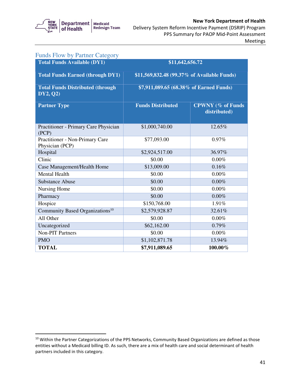

| <b>Funds Flow by Partner Category</b>               |                                             |                                          |  |
|-----------------------------------------------------|---------------------------------------------|------------------------------------------|--|
| <b>Total Funds Available (DY1)</b>                  | \$11,642,656.72                             |                                          |  |
| <b>Total Funds Earned (through DY1)</b>             | \$11,569,832.48 (99.37% of Available Funds) |                                          |  |
| <b>Total Funds Distributed (through</b><br>DY2, Q2) | \$7,911,089.65 (68.38% of Earned Funds)     |                                          |  |
| <b>Partner Type</b>                                 | <b>Funds Distributed</b>                    | <b>CPWNY</b> (% of Funds<br>distributed) |  |
| Practitioner - Primary Care Physician<br>(PCP)      | \$1,000,740.00                              | 12.65%                                   |  |
| Practitioner - Non-Primary Care<br>Physician (PCP)  | \$77,093.00                                 | 0.97%                                    |  |
| Hospital                                            | \$2,924,517.00                              | 36.97%                                   |  |
| Clinic                                              | \$0.00                                      | $0.00\%$                                 |  |
| Case Management/Health Home                         | \$13,009.00                                 | 0.16%                                    |  |
| <b>Mental Health</b>                                | \$0.00                                      | 0.00%                                    |  |
| <b>Substance Abuse</b>                              | \$0.00                                      | 0.00%                                    |  |
| Nursing Home                                        | \$0.00                                      | 0.00%                                    |  |
| Pharmacy                                            | \$0.00                                      | 0.00%                                    |  |
| Hospice                                             | \$150,768.00                                | 1.91%                                    |  |
| Community Based Organizations <sup>10</sup>         | \$2,579,928.87                              | 32.61%                                   |  |
| All Other                                           | \$0.00                                      | $0.00\%$                                 |  |
| Uncategorized                                       | \$62,162.00                                 | 0.79%                                    |  |
| <b>Non-PIT Partners</b>                             | \$0.00                                      | $0.00\%$                                 |  |
| <b>PMO</b>                                          | \$1,102,871.78                              | 13.94%                                   |  |
| <b>TOTAL</b>                                        | \$7,911,089.65                              | 100.00%                                  |  |

 $10$  Within the Partner Categorizations of the PPS Networks, Community Based Organizations are defined as those entities without a Medicaid billing ID. As such, there are a mix of health care and social determinant of health partners included in this category.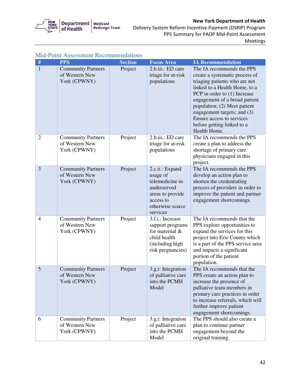

 Delivery System Reform Incentive Payment (DSRIP) Program PPS Summary for PAOP Mid-Point Assessment Meetings

| #              | <b>PPS</b>                                                  | <b>Section</b> | <b>Focus Area</b>                                                                                                              | <b>IA Recommendation</b>                                                                                                                                                                                                                                                                                                                 |
|----------------|-------------------------------------------------------------|----------------|--------------------------------------------------------------------------------------------------------------------------------|------------------------------------------------------------------------------------------------------------------------------------------------------------------------------------------------------------------------------------------------------------------------------------------------------------------------------------------|
| $\mathbf{1}$   | <b>Community Partners</b><br>of Western New<br>York (CPWNY) | Project        | 2.b.iii.: ED care<br>triage for at-risk<br>populations                                                                         | The IA recommends the PPS<br>create a systematic process of<br>triaging patients who are not<br>linked to a Health Home, to a<br>PCP in order to (1) Increase<br>engagement of a broad patient<br>population; (2) Meet patient<br>engagement targets; and (3)<br>Ensure access to services<br>before getting linked to a<br>Health Home. |
| $\overline{2}$ | <b>Community Partners</b><br>of Western New<br>York (CPWNY) | Project        | 2.b.iii.: ED care<br>triage for at-risk<br>populations                                                                         | The IA recommends the PPS<br>create a plan to address the<br>shortage of primary care<br>physicians engaged in this<br>project.                                                                                                                                                                                                          |
| 3              | <b>Community Partners</b><br>of Western New<br>York (CPWNY) | Project        | 2.c.ii.: Expand<br>usage of<br>telemedicine in<br>underserved<br>areas to provide<br>access to<br>otherwise scarce<br>services | The IA recommends the PPS<br>develop an action plan to<br>shorten the credentialing<br>process of providers in order to<br>improve the patient and partner<br>engagement shortcomings.                                                                                                                                                   |
| $\overline{4}$ | <b>Community Partners</b><br>of Western New<br>York (CPWNY) | Project        | 3.f.i.: Increase<br>support programs<br>for maternal &<br>child health<br>(including high<br>risk pregnancies)                 | The IA recommends that the<br>PPS explore opportunities to<br>expand the services for this<br>project into Erie County which<br>is a part of the PPS service area<br>and impacts a significant<br>portion of the patient<br>population.                                                                                                  |
| 5              | <b>Community Partners</b><br>of Western New<br>York (CPWNY) | Project        | 3.g.i: Integration<br>of palliative care<br>into the PCMH<br>Model                                                             | The IA recommends that the<br>PPS create an action plan to<br>increase the presence of<br>palliative team members in<br>primary care practices in order<br>to increase referrals, which will<br>further improve patient<br>engagement shortcomings.                                                                                      |
| 6              | <b>Community Partners</b><br>of Western New<br>York (CPWNY) | Project        | 3.g.i: Integration<br>of palliative care<br>into the PCMH<br>Model                                                             | The PPS should also create a<br>plan to continue partner<br>engagement beyond the<br>original training.                                                                                                                                                                                                                                  |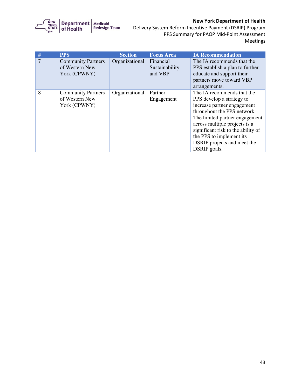

 Delivery System Reform Incentive Payment (DSRIP) Program PPS Summary for PAOP Mid-Point Assessment Meetings

| #              | <b>PPS</b>                                                  | <b>Section</b> | <b>Focus Area</b>                      | <b>IA Recommendation</b>                                                                                                                                                                                                                                                                                  |
|----------------|-------------------------------------------------------------|----------------|----------------------------------------|-----------------------------------------------------------------------------------------------------------------------------------------------------------------------------------------------------------------------------------------------------------------------------------------------------------|
| $\overline{7}$ | <b>Community Partners</b><br>of Western New<br>York (CPWNY) | Organizational | Financial<br>Sustainability<br>and VBP | The IA recommends that the<br>PPS establish a plan to further<br>educate and support their<br>partners move toward VBP<br>arrangements.                                                                                                                                                                   |
| 8              | <b>Community Partners</b><br>of Western New<br>York (CPWNY) | Organizational | Partner<br>Engagement                  | The IA recommends that the<br>PPS develop a strategy to<br>increase partner engagement<br>throughout the PPS network.<br>The limited partner engagement<br>across multiple projects is a<br>significant risk to the ability of<br>the PPS to implement its<br>DSRIP projects and meet the<br>DSRIP goals. |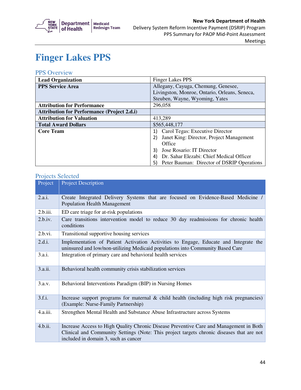

# **Finger Lakes PPS**

### PPS Overview

| <b>Lead Organization</b>                           | <b>Finger Lakes PPS</b>                          |  |
|----------------------------------------------------|--------------------------------------------------|--|
| <b>PPS Service Area</b>                            | Allegany, Cayuga, Chemung, Genesee,              |  |
|                                                    | Livingston, Monroe, Ontario, Orleans, Seneca,    |  |
|                                                    | Steuben, Wayne, Wyoming, Yates                   |  |
| <b>Attribution for Performance</b>                 | 296,058                                          |  |
| <b>Attribution for Performance (Project 2.d.i)</b> |                                                  |  |
| <b>Attribution for Valuation</b>                   | 413,289                                          |  |
| <b>Total Award Dollars</b>                         | \$565,448,177                                    |  |
| <b>Core Team</b>                                   | Carol Tegas: Executive Director<br>1)            |  |
|                                                    | Janet King: Director, Project Management         |  |
|                                                    | Office                                           |  |
|                                                    | Jose Rosario: IT Director<br>3)                  |  |
|                                                    | Dr. Sahar Elezabi: Chief Medical Officer<br>4)   |  |
|                                                    | Peter Bauman: Director of DSRIP Operations<br>5) |  |

| Project  | <b>Project Description</b>                                                                                                                                                                                                  |
|----------|-----------------------------------------------------------------------------------------------------------------------------------------------------------------------------------------------------------------------------|
| 2.a.i.   | Create Integrated Delivery Systems that are focused on Evidence-Based Medicine /<br><b>Population Health Management</b>                                                                                                     |
| 2.b.iii. | ED care triage for at-risk populations                                                                                                                                                                                      |
| 2.b.iv.  | Care transitions intervention model to reduce 30 day readmissions for chronic health<br>conditions                                                                                                                          |
| 2.b.vi.  | Transitional supportive housing services                                                                                                                                                                                    |
| 2.d.i.   | Implementation of Patient Activation Activities to Engage, Educate and Integrate the<br>uninsured and low/non-utilizing Medicaid populations into Community Based Care                                                      |
| 3.a.i.   | Integration of primary care and behavioral health services                                                                                                                                                                  |
| 3.a.ii.  | Behavioral health community crisis stabilization services                                                                                                                                                                   |
| 3.a.v.   | Behavioral Interventions Paradigm (BIP) in Nursing Homes                                                                                                                                                                    |
| 3.f.i.   | Increase support programs for maternal $\&$ child health (including high risk pregnancies)<br>(Example: Nurse-Family Partnership)                                                                                           |
| 4.a.iii. | Strengthen Mental Health and Substance Abuse Infrastructure across Systems                                                                                                                                                  |
| 4.b.ii.  | Increase Access to High Quality Chronic Disease Preventive Care and Management in Both<br>Clinical and Community Settings (Note: This project targets chronic diseases that are not<br>included in domain 3, such as cancer |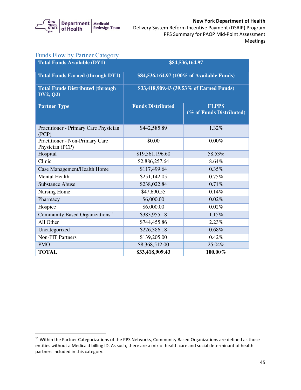

| <b>Funds Flow by Partner Category</b>               |                                           |                                          |  |  |
|-----------------------------------------------------|-------------------------------------------|------------------------------------------|--|--|
| <b>Total Funds Available (DY1)</b>                  |                                           | \$84,536,164.97                          |  |  |
| <b>Total Funds Earned (through DY1)</b>             | \$84,536,164.97 (100% of Available Funds) |                                          |  |  |
| <b>Total Funds Distributed (through</b><br>DY2, Q2) | \$33,418,909.43 (39.53% of Earned Funds)  |                                          |  |  |
| <b>Partner Type</b>                                 | <b>Funds Distributed</b>                  | <b>FLPPS</b><br>(% of Funds Distributed) |  |  |
| Practitioner - Primary Care Physician<br>(PCP)      | \$442,585.89                              | 1.32%                                    |  |  |
| Practitioner - Non-Primary Care<br>Physician (PCP)  | \$0.00                                    | $0.00\%$                                 |  |  |
| Hospital                                            | \$19,561,196.60                           | 58.53%                                   |  |  |
| Clinic                                              | \$2,886,257.64                            | 8.64%                                    |  |  |
| Case Management/Health Home                         | \$117,499.64                              | 0.35%                                    |  |  |
| <b>Mental Health</b>                                | \$251,142.05                              | 0.75%                                    |  |  |
| <b>Substance Abuse</b>                              | \$238,022.84                              | 0.71%                                    |  |  |
| Nursing Home                                        | \$47,690.55                               | 0.14%                                    |  |  |
| Pharmacy                                            | \$6,000.00                                | 0.02%                                    |  |  |
| Hospice                                             | \$6,000.00                                | 0.02%                                    |  |  |
| Community Based Organizations <sup>11</sup>         | \$383,955.18                              | 1.15%                                    |  |  |
| All Other                                           | \$744,455.86                              | 2.23%                                    |  |  |
| Uncategorized                                       | \$226,386.18                              | 0.68%                                    |  |  |
| <b>Non-PIT Partners</b>                             | \$139,205.00                              | 0.42%                                    |  |  |
| <b>PMO</b>                                          | \$8,368,512.00                            | 25.04%                                   |  |  |
| <b>TOTAL</b>                                        | \$33,418,909.43                           | 100.00%                                  |  |  |

 $11$  Within the Partner Categorizations of the PPS Networks, Community Based Organizations are defined as those entities without a Medicaid billing ID. As such, there are a mix of health care and social determinant of health partners included in this category.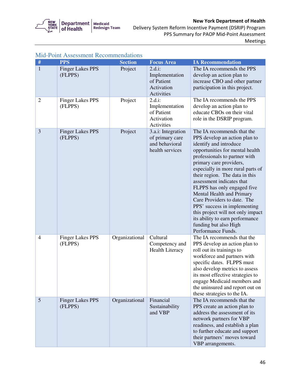

 Delivery System Reform Incentive Payment (DSRIP) Program PPS Summary for PAOP Mid-Point Assessment Meetings

| #              | <b>PPS</b>                         | <b>Section</b> | <b>Focus Area</b>                                                          | <b>IA Recommendation</b>                                                                                                                                                                                                                                                                                                                                                                                                                                                                                                                   |
|----------------|------------------------------------|----------------|----------------------------------------------------------------------------|--------------------------------------------------------------------------------------------------------------------------------------------------------------------------------------------------------------------------------------------------------------------------------------------------------------------------------------------------------------------------------------------------------------------------------------------------------------------------------------------------------------------------------------------|
| $\mathbf{1}$   | <b>Finger Lakes PPS</b><br>(FLPPS) | Project        | 2.d.i:<br>Implementation<br>of Patient<br>Activation<br>Activities         | The IA recommends the PPS<br>develop an action plan to<br>increase CBO and other partner<br>participation in this project.                                                                                                                                                                                                                                                                                                                                                                                                                 |
| $\overline{2}$ | <b>Finger Lakes PPS</b><br>(FLPPS) | Project        | $2.d.i$ :<br>Implementation<br>of Patient<br>Activation<br>Activities      | The IA recommends the PPS<br>develop an action plan to<br>educate CBOs on their vital<br>role in the DSRIP program.                                                                                                                                                                                                                                                                                                                                                                                                                        |
| 3              | <b>Finger Lakes PPS</b><br>(FLPPS) | Project        | 3.a.i: Integration<br>of primary care<br>and behavioral<br>health services | The IA recommends that the<br>PPS develop an action plan to<br>identify and introduce<br>opportunities for mental health<br>professionals to partner with<br>primary care providers,<br>especially in more rural parts of<br>their region. The data in this<br>assessment indicates that<br>FLPPS has only engaged five<br>Mental Health and Primary<br>Care Providers to date. The<br>PPS' success in implementing<br>this project will not only impact<br>its ability to earn performance<br>funding but also High<br>Performance Funds. |
| $\overline{4}$ | <b>Finger Lakes PPS</b><br>(FLPPS) | Organizational | Cultural<br>Competency and<br><b>Health Literacy</b>                       | The IA recommends that the<br>PPS develop an action plan to<br>roll out its trainings to<br>workforce and partners with<br>specific dates. FLPPS must<br>also develop metrics to assess<br>its most effective strategies to<br>engage Medicaid members and<br>the uninsured and report out on<br>these strategies to the IA.                                                                                                                                                                                                               |
| 5              | <b>Finger Lakes PPS</b><br>(FLPPS) | Organizational | Financial<br>Sustainability<br>and VBP                                     | The IA recommends that the<br>PPS create an action plan to<br>address the assessment of its<br>network partners for VBP<br>readiness, and establish a plan<br>to further educate and support<br>their partners' moves toward<br>VBP arrangements.                                                                                                                                                                                                                                                                                          |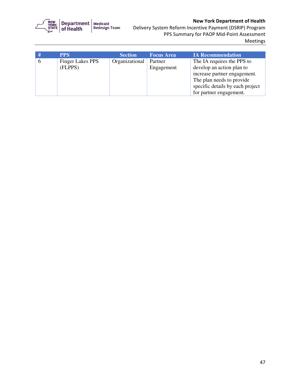

 Delivery System Reform Incentive Payment (DSRIP) Program PPS Summary for PAOP Mid-Point Assessment Meetings

|             | <b>PPS</b>              | <b>Section</b> | <b>Focus Area</b> | <b>IA Recommendation</b>         |
|-------------|-------------------------|----------------|-------------------|----------------------------------|
| $\mathbf b$ | <b>Finger Lakes PPS</b> | Organizational | Partner           | The IA requires the PPS to       |
|             | (FLPPS)                 |                | Engagement        | develop an action plan to        |
|             |                         |                |                   | increase partner engagement.     |
|             |                         |                |                   | The plan needs to provide        |
|             |                         |                |                   | specific details by each project |
|             |                         |                |                   | for partner engagement.          |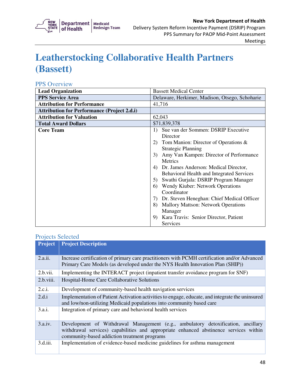

# **Leatherstocking Collaborative Health Partners (Bassett)**

### PPS Overview

| <b>Lead Organization</b>                           | <b>Bassett Medical Center</b>                                                                                                                                                                                                                                                                                                                                                                                                                                                                                                                                                                                            |
|----------------------------------------------------|--------------------------------------------------------------------------------------------------------------------------------------------------------------------------------------------------------------------------------------------------------------------------------------------------------------------------------------------------------------------------------------------------------------------------------------------------------------------------------------------------------------------------------------------------------------------------------------------------------------------------|
| <b>PPS Service Area</b>                            | Delaware, Herkimer, Madison, Otsego, Schoharie                                                                                                                                                                                                                                                                                                                                                                                                                                                                                                                                                                           |
| <b>Attribution for Performance</b>                 | 41,716                                                                                                                                                                                                                                                                                                                                                                                                                                                                                                                                                                                                                   |
| <b>Attribution for Performance (Project 2.d.i)</b> |                                                                                                                                                                                                                                                                                                                                                                                                                                                                                                                                                                                                                          |
| <b>Attribution for Valuation</b>                   | 62,043                                                                                                                                                                                                                                                                                                                                                                                                                                                                                                                                                                                                                   |
| <b>Total Award Dollars</b>                         | \$71,839,378                                                                                                                                                                                                                                                                                                                                                                                                                                                                                                                                                                                                             |
| <b>Core Team</b>                                   | Sue van der Sommen: DSRIP Executive<br>$\left( \right)$<br>Director<br>Tom Manion: Director of Operations $\&$<br>2)<br><b>Strategic Planning</b><br>Amy Van Kampen: Director of Performance<br>3 <sup>)</sup><br><b>Metrics</b><br>Dr. James Anderson: Medical Director,<br>4)<br><b>Behavioral Health and Integrated Services</b><br>Swathi Gurjala: DSRIP Program Manager<br>5)<br>Wendy Kiuber: Network Operations<br>6)<br>Coordinator<br>Dr. Steven Heneghan: Chief Medical Officer<br>7)<br><b>Mallory Mattson: Network Operations</b><br>8)<br>Manager<br>Kara Travis: Senior Director, Patient<br>9<br>Services |

| <b>Project</b> | <b>Project Description</b>                                                                                                                                                                                                |
|----------------|---------------------------------------------------------------------------------------------------------------------------------------------------------------------------------------------------------------------------|
| 2.a.ii.        | Increase certification of primary care practitioners with PCMH certification and/or Advanced<br>Primary Care Models (as developed under the NYS Health Innovation Plan (SHIP))                                            |
| 2.b.vii.       | Implementing the INTERACT project (inpatient transfer avoidance program for SNF)                                                                                                                                          |
| 2.b.viii.      | Hospital-Home Care Collaborative Solutions                                                                                                                                                                                |
| 2.c.i.         | Development of community-based health navigation services                                                                                                                                                                 |
| 2.d.i          | Implementation of Patient Activation activities to engage, educate, and integrate the uninsured<br>and low/non-utilizing Medicaid populations into community based care                                                   |
| 3.a.i.         | Integration of primary care and behavioral health services                                                                                                                                                                |
| 3.a.iv.        | Development of Withdrawal Management (e.g., ambulatory detoxification, ancillary<br>withdrawal services) capabilities and appropriate enhanced abstinence services within<br>community-based addiction treatment programs |
| 3.d.iii.       | Implementation of evidence-based medicine guidelines for asthma management                                                                                                                                                |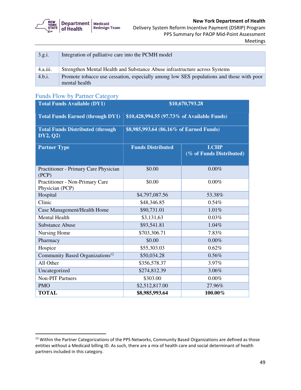|  | <b>STATE</b> Department Medicaid<br>STATE of Health Redesign Team |  |
|--|-------------------------------------------------------------------|--|
|--|-------------------------------------------------------------------|--|

| 3.g.i.   | Integration of palliative care into the PCMH model                                                       |
|----------|----------------------------------------------------------------------------------------------------------|
| 4.a.iii. | Strengthen Mental Health and Substance Abuse infrastructure across Systems                               |
| 4.b.i.   | Promote tobacco use cessation, especially among low SES populations and those with poor<br>mental health |

## Funds Flow by Partner Category

| <b>Total Funds Available (DY1)</b>                  | \$10,670,793.28                             |                                         |  |
|-----------------------------------------------------|---------------------------------------------|-----------------------------------------|--|
| <b>Total Funds Earned (through DY1)</b>             | \$10,428,994.55 (97.73% of Available Funds) |                                         |  |
| <b>Total Funds Distributed (through</b><br>DY2, Q2) | \$8,985,993.64 (86.16% of Earned Funds)     |                                         |  |
| <b>Partner Type</b>                                 | <b>Funds Distributed</b>                    | <b>LCHP</b><br>(% of Funds Distributed) |  |
| Practitioner - Primary Care Physician<br>(PCP)      | \$0.00                                      | $0.00\%$                                |  |
| Practitioner - Non-Primary Care<br>Physician (PCP)  | \$0.00                                      | 0.00%                                   |  |
| Hospital                                            | \$4,797,087.56                              | 53.38%                                  |  |
| Clinic                                              | \$48,346.85                                 | 0.54%                                   |  |
| Case Management/Health Home                         | \$90,731.01                                 | 1.01%                                   |  |
| <b>Mental Health</b>                                | \$3,131,63                                  | 0.03%                                   |  |
| <b>Substance Abuse</b>                              | \$93,541.81                                 | 1.04%                                   |  |
| Nursing Home                                        | \$703,306.71                                | 7.83%                                   |  |
| Pharmacy                                            | \$0.00                                      | 0.00%                                   |  |
| Hospice                                             | \$55,303.03                                 | 0.62%                                   |  |
| Community Based Organizations <sup>12</sup>         | \$50,034.28                                 | 0.56%                                   |  |
| All Other                                           | \$356,578.37                                | 3.97%                                   |  |
| Uncategorized                                       | \$274,812.39                                | 3.06%                                   |  |
| <b>Non-PIT Partners</b>                             | \$303.00                                    | 0.00%                                   |  |
| <b>PMO</b>                                          | \$2,512,817.00                              | 27.96%                                  |  |
| <b>TOTAL</b>                                        | \$8,985,993.64                              | 100.00%                                 |  |

 $12$  Within the Partner Categorizations of the PPS Networks, Community Based Organizations are defined as those entities without a Medicaid billing ID. As such, there are a mix of health care and social determinant of health partners included in this category.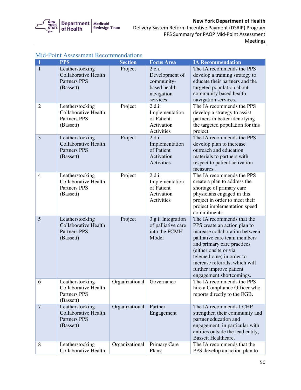

 Delivery System Reform Incentive Payment (DSRIP) Program PPS Summary for PAOP Mid-Point Assessment Meetings

| $\mathbf{1}$   | <b>PPS</b>                                                                         | <b>Section</b> | <b>Focus Area</b>                                                                    | <b>IA Recommendation</b>                                                                                                                                                                                                                                                                                  |
|----------------|------------------------------------------------------------------------------------|----------------|--------------------------------------------------------------------------------------|-----------------------------------------------------------------------------------------------------------------------------------------------------------------------------------------------------------------------------------------------------------------------------------------------------------|
| $\mathbf{1}$   | Leatherstocking<br><b>Collaborative Health</b><br><b>Partners PPS</b><br>(Bassett) | Project        | $2.c.i.$ :<br>Development of<br>community-<br>based health<br>navigation<br>services | The IA recommends the PPS<br>develop a training strategy to<br>educate their partners and the<br>targeted population about<br>community based health<br>navigation services.                                                                                                                              |
| $\overline{2}$ | Leatherstocking<br><b>Collaborative Health</b><br><b>Partners PPS</b><br>(Bassett) | Project        | $2.d.i$ :<br>Implementation<br>of Patient<br>Activation<br>Activities                | The IA recommends the PPS<br>develop a strategy to assist<br>partners in better identifying<br>the targeted population for this<br>project.                                                                                                                                                               |
| 3              | Leatherstocking<br><b>Collaborative Health</b><br><b>Partners PPS</b><br>(Bassett) | Project        | $2.d.i$ :<br>Implementation<br>of Patient<br>Activation<br>Activities                | The IA recommends the PPS<br>develop plan to increase<br>outreach and education<br>materials to partners with<br>respect to patient activation<br>measures.                                                                                                                                               |
| $\overline{4}$ | Leatherstocking<br><b>Collaborative Health</b><br><b>Partners PPS</b><br>(Bassett) | Project        | $2.d.i$ :<br>Implementation<br>of Patient<br>Activation<br>Activities                | The IA recommends the PPS<br>create a plan to address the<br>shortage of primary care<br>physicians engaged in this<br>project in order to meet their<br>project implementation speed<br>commitments.                                                                                                     |
| 5              | Leatherstocking<br><b>Collaborative Health</b><br><b>Partners PPS</b><br>(Bassett) | Project        | 3.g.i: Integration<br>of palliative care<br>into the PCMH<br>Model                   | The IA recommends that the<br>PPS create an action plan to<br>increase collaboration between<br>palliative care team members<br>and primary care practices<br>(either onsite or via<br>telemedicine) in order to<br>increase referrals, which will<br>further improve patient<br>engagement shortcomings. |
| 6              | Leatherstocking<br><b>Collaborative Health</b><br><b>Partners PPS</b><br>(Bassett) | Organizational | Governance                                                                           | The IA recommends the PPS<br>hire a Compliance Officer who<br>reports directly to the EGB.                                                                                                                                                                                                                |
| $\overline{7}$ | Leatherstocking<br><b>Collaborative Health</b><br><b>Partners PPS</b><br>(Bassett) | Organizational | Partner<br>Engagement                                                                | The IA recommends LCHP<br>strengthen their community and<br>partner education and<br>engagement, in particular with<br>entities outside the lead entity,<br><b>Bassett Healthcare.</b>                                                                                                                    |
| 8              | Leatherstocking<br>Collaborative Health                                            | Organizational | Primary Care<br>Plans                                                                | The IA recommends that the<br>PPS develop an action plan to                                                                                                                                                                                                                                               |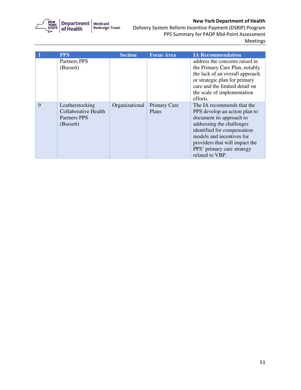

 Delivery System Reform Incentive Payment (DSRIP) Program PPS Summary for PAOP Mid-Point Assessment Meetings

|   | <b>PPS</b>                                                                         | <b>Section</b> | <b>Focus Area</b>            | <b>IA Recommendation</b>                                                                                                                                                                                                                                            |
|---|------------------------------------------------------------------------------------|----------------|------------------------------|---------------------------------------------------------------------------------------------------------------------------------------------------------------------------------------------------------------------------------------------------------------------|
|   | Partners PPS<br>(Bassett)                                                          |                |                              | address the concerns raised in<br>the Primary Care Plan, notably<br>the lack of an overall approach<br>or strategic plan for primary<br>care and the limited detail on<br>the scale of implementation<br>efforts.                                                   |
| 9 | Leatherstocking<br><b>Collaborative Health</b><br><b>Partners PPS</b><br>(Bassett) | Organizational | <b>Primary Care</b><br>Plans | The IA recommends that the<br>PPS develop an action plan to<br>document its approach to<br>addressing the challenges<br>identified for compensation<br>models and incentives for<br>providers that will impact the<br>PPS' primary care strategy<br>related to VBP. |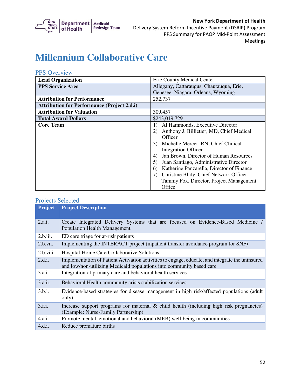

## **Millennium Collaborative Care**

### PPS Overview

| <b>Lead Organization</b>                           | Erie County Medical Center                          |
|----------------------------------------------------|-----------------------------------------------------|
| <b>PPS Service Area</b>                            | Allegany, Cattaraugus, Chautauqua, Erie,            |
|                                                    | Genesee, Niagara, Orleans, Wyoming                  |
| <b>Attribution for Performance</b>                 | 252,737                                             |
| <b>Attribution for Performance (Project 2.d.i)</b> |                                                     |
| <b>Attribution for Valuation</b>                   | 309,457                                             |
| <b>Total Award Dollars</b>                         | \$243,019,729                                       |
| <b>Core Team</b>                                   | Al Hammonds, Executive Director<br>$\left  \right $ |
|                                                    | Anthony J. Billietier, MD, Chief Medical<br>2)      |
|                                                    | Officer                                             |
|                                                    | Michelle Mercer, RN, Chief Clinical<br>3)           |
|                                                    | <b>Integration Officer</b>                          |
|                                                    | Jan Brown, Director of Human Resources<br>4)        |
|                                                    | Juan Santiago, Administrative Director<br>5)        |
|                                                    | Katherine Panzarella, Director of Finance<br>6)     |
|                                                    | Christine Blidy, Chief Network Officer<br>7)        |
|                                                    | Tammy Fox, Director, Project Management             |
|                                                    | Office                                              |

| <b>Project</b> | <b>Project Description</b>                                                                                                                                              |  |  |
|----------------|-------------------------------------------------------------------------------------------------------------------------------------------------------------------------|--|--|
| 2.a.i.         | Create Integrated Delivery Systems that are focused on Evidence-Based Medicine /<br><b>Population Health Management</b>                                                 |  |  |
| 2.b.iii.       | ED care triage for at-risk patients                                                                                                                                     |  |  |
| 2.b.vii.       | Implementing the INTERACT project (inpatient transfer avoidance program for SNF)                                                                                        |  |  |
| 2.b.viii.      | Hospital-Home Care Collaborative Solutions                                                                                                                              |  |  |
| 2.d.i.         | Implementation of Patient Activation activities to engage, educate, and integrate the uninsured<br>and low/non-utilizing Medicaid populations into community based care |  |  |
| 3.a.i.         | Integration of primary care and behavioral health services                                                                                                              |  |  |
| 3.a.ii.        | Behavioral Health community crisis stabilization services                                                                                                               |  |  |
| 3.b.i.         | Evidence-based strategies for disease management in high risk/affected populations (adult<br>only)                                                                      |  |  |
| 3.f.i.         | Increase support programs for maternal $\&$ child health (including high risk pregnancies)<br>(Example: Nurse-Family Partnership)                                       |  |  |
| 4.a.i.         | Promote mental, emotional and behavioral (MEB) well-being in communities                                                                                                |  |  |
| 4.d.i.         | Reduce premature births                                                                                                                                                 |  |  |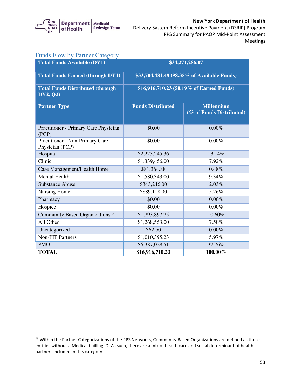

Meetings

| <b>Funds Flow by Partner Category</b>                |                          |                                               |  |
|------------------------------------------------------|--------------------------|-----------------------------------------------|--|
| <b>Total Funds Available (DY1)</b>                   | \$34,271,286.07          |                                               |  |
| <b>Total Funds Earned (through DY1)</b>              |                          | \$33,704,481.48 (98.35% of Available Funds)   |  |
| <b>Total Funds Distributed (through)</b><br>DY2, Q2) |                          | \$16,916,710.23 (50.19% of Earned Funds)      |  |
| <b>Partner Type</b>                                  | <b>Funds Distributed</b> | <b>Millennium</b><br>(% of Funds Distributed) |  |
| Practitioner - Primary Care Physician<br>(PCP)       | \$0.00                   | 0.00%                                         |  |
| Practitioner - Non-Primary Care<br>Physician (PCP)   | \$0.00                   | $0.00\%$                                      |  |
| Hospital                                             | \$2,223,245.36           | 13.14%                                        |  |
| Clinic                                               | \$1,339,456.00           | 7.92%                                         |  |
| Case Management/Health Home                          | \$81,364.88              | 0.48%                                         |  |
| <b>Mental Health</b>                                 | \$1,580,343.00           | 9.34%                                         |  |
| <b>Substance Abuse</b>                               | \$343,246.00             | 2.03%                                         |  |
| Nursing Home                                         | \$889,118.00             | 5.26%                                         |  |
| Pharmacy                                             | \$0.00                   | 0.00%                                         |  |
| Hospice                                              | \$0.00                   | $0.00\%$                                      |  |
| Community Based Organizations <sup>13</sup>          | \$1,793,897.75           | 10.60%                                        |  |
| All Other                                            | \$1,268,553.00           | 7.50%                                         |  |
| Uncategorized                                        | \$62.50                  | 0.00%                                         |  |
| <b>Non-PIT Partners</b>                              | \$1,010,395.23           | 5.97%                                         |  |
| <b>PMO</b>                                           | \$6,387,028.51           | 37.76%                                        |  |
| <b>TOTAL</b>                                         | \$16,916,710.23          | 100.00%                                       |  |

 $13$  Within the Partner Categorizations of the PPS Networks, Community Based Organizations are defined as those entities without a Medicaid billing ID. As such, there are a mix of health care and social determinant of health partners included in this category.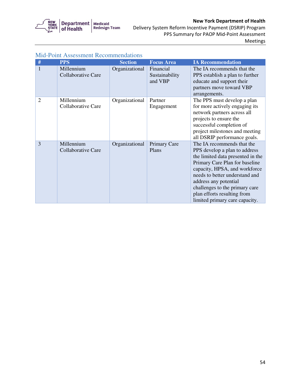

 Delivery System Reform Incentive Payment (DSRIP) Program PPS Summary for PAOP Mid-Point Assessment Meetings

| #              | <b>PPS</b>                              | <b>Section</b> | <b>Focus Area</b>                      | <b>IA Recommendation</b>                                                                                                                                                                                                                                                                                                          |
|----------------|-----------------------------------------|----------------|----------------------------------------|-----------------------------------------------------------------------------------------------------------------------------------------------------------------------------------------------------------------------------------------------------------------------------------------------------------------------------------|
| 1              | Millennium<br>Collaborative Care        | Organizational | Financial<br>Sustainability<br>and VBP | The IA recommends that the<br>PPS establish a plan to further<br>educate and support their<br>partners move toward VBP<br>arrangements.                                                                                                                                                                                           |
| $\overline{2}$ | Millennium<br>Collaborative Care        | Organizational | Partner<br>Engagement                  | The PPS must develop a plan<br>for more actively engaging its<br>network partners across all<br>projects to ensure the<br>successful completion of<br>project milestones and meeting<br>all DSRIP performance goals.                                                                                                              |
| 3              | Millennium<br><b>Collaborative Care</b> | Organizational | Primary Care<br>Plans                  | The IA recommends that the<br>PPS develop a plan to address<br>the limited data presented in the<br>Primary Care Plan for baseline<br>capacity, HPSA, and workforce<br>needs to better understand and<br>address any potential<br>challenges to the primary care<br>plan efforts resulting from<br>limited primary care capacity. |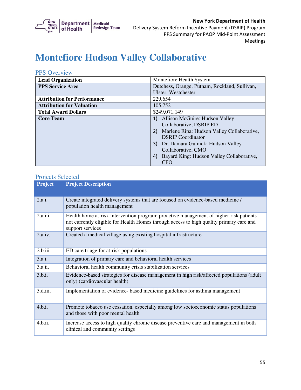

# **Montefiore Hudson Valley Collaborative**

### PPS Overview

| <b>Lead Organization</b>           | Montefiore Health System                         |
|------------------------------------|--------------------------------------------------|
| <b>PPS Service Area</b>            | Dutchess, Orange, Putnam, Rockland, Sullivan,    |
|                                    | Ulster, Westchester                              |
| <b>Attribution for Performance</b> | 229,654                                          |
| <b>Attribution for Valuation</b>   | 105,752                                          |
| <b>Total Award Dollars</b>         | \$249,071,149                                    |
| <b>Core Team</b>                   | Allison McGuire: Hudson Valley                   |
|                                    | Collaborative, DSRIP ED                          |
|                                    | Marlene Ripa: Hudson Valley Collaborative,<br>2) |
|                                    | <b>DSRIP</b> Coordinator                         |
|                                    | Dr. Damara Gutnick: Hudson Valley                |
|                                    | Collaborative, CMO                               |
|                                    | Bayard King: Hudson Valley Collaborative,<br>4)  |
|                                    | <b>CFO</b>                                       |

| <b>Project</b> | <b>Project Description</b>                                                                                                                                                                            |
|----------------|-------------------------------------------------------------------------------------------------------------------------------------------------------------------------------------------------------|
| 2.a.i.         | Create integrated delivery systems that are focused on evidence-based medicine /<br>population health management                                                                                      |
| 2.a.iii.       | Health home at-risk intervention program: proactive management of higher risk patients<br>not currently eligible for Health Homes through access to high quality primary care and<br>support services |
| 2.a.iv.        | Created a medical village using existing hospital infrastructure                                                                                                                                      |
| 2.b.iii.       | ED care triage for at-risk populations                                                                                                                                                                |
| 3.a.i.         | Integration of primary care and behavioral health services                                                                                                                                            |
| 3.a.ii.        | Behavioral health community crisis stabilization services                                                                                                                                             |
| 3.b.i.         | Evidence-based strategies for disease management in high risk/affected populations (adult<br>only) (cardiovascular health)                                                                            |
| 3.d.iii.       | Implementation of evidence- based medicine guidelines for asthma management                                                                                                                           |
| 4.b.i.         | Promote tobacco use cessation, especially among low socioeconomic status populations<br>and those with poor mental health                                                                             |
| 4.b.ii.        | Increase access to high quality chronic disease preventive care and management in both<br>clinical and community settings                                                                             |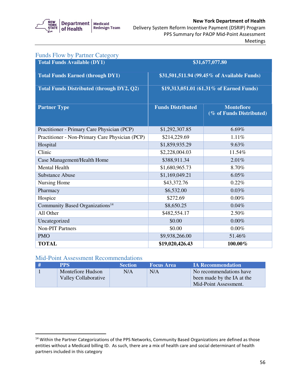

## Delivery System Reform Incentive Payment (DSRIP) Program New York Department of Health PPS Summary for PAOP Mid-Point Assessment

Meetings

| <b>Funds Flow by Partner Category</b>            |                                             |                                               |  |
|--------------------------------------------------|---------------------------------------------|-----------------------------------------------|--|
| <b>Total Funds Available (DY1)</b>               |                                             | \$31,677,077.80                               |  |
| <b>Total Funds Earned (through DY1)</b>          | \$31,501,511.94 (99.45% of Available Funds) |                                               |  |
| <b>Total Funds Distributed (through DY2, Q2)</b> | \$19,313,051.01 (61.31% of Earned Funds)    |                                               |  |
| <b>Partner Type</b>                              | <b>Funds Distributed</b>                    | <b>Montefiore</b><br>(% of Funds Distributed) |  |
| Practitioner - Primary Care Physician (PCP)      | \$1,292,307.85                              | 6.69%                                         |  |
| Practitioner - Non-Primary Care Physician (PCP)  | \$214,229.69                                | 1.11%                                         |  |
| Hospital                                         | \$1,859,935.29                              | 9.63%                                         |  |
| Clinic                                           | \$2,228,004.03                              | 11.54%                                        |  |
| Case Management/Health Home                      | \$388,911.34                                | 2.01%                                         |  |
| <b>Mental Health</b>                             | \$1,680,965.73                              | 8.70%                                         |  |
| <b>Substance Abuse</b>                           | \$1,169,049.21                              | 6.05%                                         |  |
| Nursing Home                                     | \$43,372.76                                 | 0.22%                                         |  |
| Pharmacy                                         | \$6,532.00                                  | 0.03%                                         |  |
| Hospice                                          | \$272.69                                    | 0.00%                                         |  |
| Community Based Organizations <sup>14</sup>      | \$8,650.25                                  | 0.04%                                         |  |
| All Other                                        | \$482,554.17                                | 2.50%                                         |  |
| Uncategorized                                    | \$0.00                                      | $0.00\%$                                      |  |
| Non-PIT Partners                                 | \$0.00                                      | 0.00%                                         |  |
| <b>PMO</b>                                       | \$9,938,266.00                              | 51.46%                                        |  |
| <b>TOTAL</b>                                     | \$19,020,426.43                             | 100.00%                                       |  |

### Mid-Point Assessment Recommendations

| <b>PPS</b>           | <b>Section</b> | <b>Focus Area</b> | <b>IA Recommendation</b>   |
|----------------------|----------------|-------------------|----------------------------|
| Montefiore Hudson    | N/A            | N/A               | No recommendations have    |
| Valley Collaborative |                |                   | been made by the IA at the |
|                      |                |                   | Mid-Point Assessment.      |

 $14$  Within the Partner Categorizations of the PPS Networks, Community Based Organizations are defined as those entities without a Medicaid billing ID. As such, there are a mix of health care and social determinant of health partners included in this category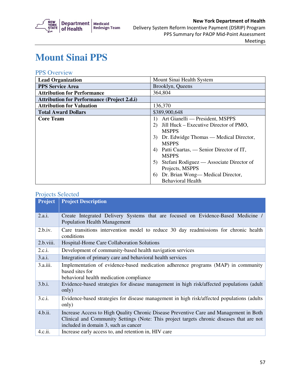

# **Mount Sinai PPS**

## PPS Overview

| <b>Lead Organization</b>                           | Mount Sinai Health System                       |
|----------------------------------------------------|-------------------------------------------------|
| <b>PPS Service Area</b>                            | Brooklyn, Queens                                |
| <b>Attribution for Performance</b>                 | 364,804                                         |
| <b>Attribution for Performance (Project 2.d.i)</b> |                                                 |
| <b>Attribution for Valuation</b>                   | 136,370                                         |
| <b>Total Award Dollars</b>                         | \$389,900,648                                   |
| <b>Core Team</b>                                   | Art Gianelli — President, MSPPS<br>$\mathbf{D}$ |
|                                                    | Jill Huck – Executive Director of PMO,<br>2)    |
|                                                    | <b>MSPPS</b>                                    |
|                                                    | Dr. Edwidge Thomas — Medical Director,<br>3)    |
|                                                    | <b>MSPPS</b>                                    |
|                                                    | Patti Cuartas, — Senior Director of IT,<br>4)   |
|                                                    | <b>MSPPS</b>                                    |
|                                                    | Stefani Rodiguez — Associate Director of<br>5)  |
|                                                    | Projects, MSPPS                                 |
|                                                    | Dr. Brian Wong—Medical Director,<br>6)          |
|                                                    | <b>Behavioral Health</b>                        |

| <b>Project</b> | <b>Project Description</b>                                                                 |  |  |
|----------------|--------------------------------------------------------------------------------------------|--|--|
|                |                                                                                            |  |  |
| 2.a.i.         | Create Integrated Delivery Systems that are focused on Evidence-Based Medicine /           |  |  |
|                | <b>Population Health Management</b>                                                        |  |  |
| 2.b.i.v.       | Care transitions intervention model to reduce 30 day readmissions for chronic health       |  |  |
|                | conditions                                                                                 |  |  |
| 2.b.viii.      | Hospital-Home Care Collaboration Solutions                                                 |  |  |
| 2.c.i.         | Development of community-based health navigation services                                  |  |  |
| 3.a.i.         | Integration of primary care and behavioral health services                                 |  |  |
| 3.a.iii.       | Implementation of evidence-based medication adherence programs (MAP) in community          |  |  |
|                | based sites for                                                                            |  |  |
|                | behavioral health medication compliance                                                    |  |  |
| 3.b.i.         | Evidence-based strategies for disease management in high risk/affected populations (adult  |  |  |
|                | only)                                                                                      |  |  |
| 3.c.i.         | Evidence-based strategies for disease management in high risk/affected populations (adults |  |  |
|                | only)                                                                                      |  |  |
|                |                                                                                            |  |  |
| 4.b.ii.        | Increase Access to High Quality Chronic Disease Preventive Care and Management in Both     |  |  |
|                | Clinical and Community Settings (Note: This project targets chronic diseases that are not  |  |  |
|                | included in domain 3, such as cancer                                                       |  |  |
| 4.c.ii.        | Increase early access to, and retention in, HIV care                                       |  |  |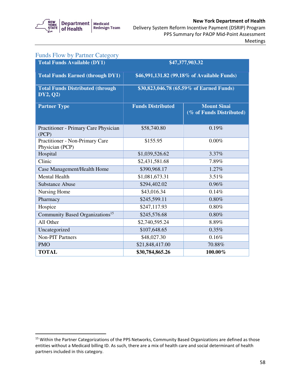

#### Delivery System Reform Incentive Payment (DSRIP) Program New York Department of Health PPS Summary for PAOP Mid-Point Assessment Meetings

| <b>Funds Flow by Partner Category</b>                |                          |                                                |  |
|------------------------------------------------------|--------------------------|------------------------------------------------|--|
| <b>Total Funds Available (DY1)</b>                   | \$47,377,903.32          |                                                |  |
| <b>Total Funds Earned (through DY1)</b>              |                          | \$46,991,131.82 (99.18% of Available Funds)    |  |
| <b>Total Funds Distributed (through)</b><br>DY2, Q2) |                          | \$30,823,046.78 (65.59% of Earned Funds)       |  |
| <b>Partner Type</b>                                  | <b>Funds Distributed</b> | <b>Mount Sinai</b><br>(% of Funds Distributed) |  |
| Practitioner - Primary Care Physician<br>(PCP)       | \$58,740.80              | 0.19%                                          |  |
| Practitioner - Non-Primary Care<br>Physician (PCP)   | \$155.95                 | $0.00\%$                                       |  |
| Hospital                                             | \$1,039,526.62           | 3.37%                                          |  |
| Clinic                                               | \$2,431,581.68           | 7.89%                                          |  |
| Case Management/Health Home                          | \$390,968.17             | 1.27%                                          |  |
| <b>Mental Health</b>                                 | \$1,081,673.31           | 3.51%                                          |  |
| <b>Substance Abuse</b>                               | \$294,402.02             | 0.96%                                          |  |
| Nursing Home                                         | \$43,016.34              | 0.14%                                          |  |
| Pharmacy                                             | \$245,599.11             | 0.80%                                          |  |
| Hospice                                              | \$247,117.93             | 0.80%                                          |  |
| Community Based Organizations <sup>15</sup>          | \$245,576.68             | 0.80%                                          |  |
| All Other                                            | \$2,740,595.24           | 8.89%                                          |  |
| Uncategorized                                        | \$107,648.65             | 0.35%                                          |  |
| <b>Non-PIT Partners</b>                              | \$48,027.30              | 0.16%                                          |  |
| <b>PMO</b>                                           | \$21,848,417.00          | 70.88%                                         |  |
| <b>TOTAL</b>                                         | \$30,784,865.26          | 100.00%                                        |  |

<sup>&</sup>lt;sup>15</sup> Within the Partner Categorizations of the PPS Networks, Community Based Organizations are defined as those entities without a Medicaid billing ID. As such, there are a mix of health care and social determinant of health partners included in this category.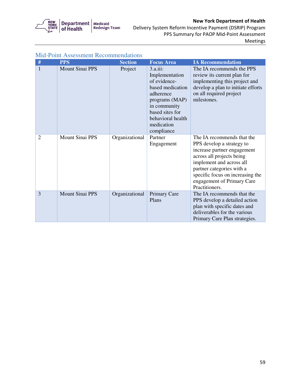

 Delivery System Reform Incentive Payment (DSRIP) Program PPS Summary for PAOP Mid-Point Assessment Meetings

| #              | <b>PPS</b>             | <b>Section</b> | <b>Focus Area</b>                                                                                                                                                                    | <b>IA Recommendation</b>                                                                                                                                                                                                                                         |
|----------------|------------------------|----------------|--------------------------------------------------------------------------------------------------------------------------------------------------------------------------------------|------------------------------------------------------------------------------------------------------------------------------------------------------------------------------------------------------------------------------------------------------------------|
| 1              | <b>Mount Sinai PPS</b> | Project        | $3.a.iii$ :<br>Implementation<br>of evidence-<br>based medication<br>adherence<br>programs (MAP)<br>in community<br>based sites for<br>behavioral health<br>medication<br>compliance | The IA recommends the PPS<br>review its current plan for<br>implementing this project and<br>develop a plan to initiate efforts<br>on all required project<br>milestones.                                                                                        |
| $\overline{2}$ | <b>Mount Sinai PPS</b> | Organizational | Partner<br>Engagement                                                                                                                                                                | The IA recommends that the<br>PPS develop a strategy to<br>increase partner engagement<br>across all projects being<br>implement and across all<br>partner categories with a<br>specific focus on increasing the<br>engagement of Primary Care<br>Practitioners. |
| 3              | <b>Mount Sinai PPS</b> | Organizational | Primary Care<br>Plans                                                                                                                                                                | The IA recommends that the<br>PPS develop a detailed action<br>plan with specific dates and<br>deliverables for the various<br>Primary Care Plan strategies.                                                                                                     |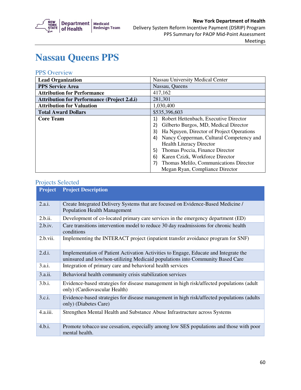

## **Nassau Queens PPS**

### PPS Overview

| <b>Lead Organization</b>                           | <b>Nassau University Medical Center</b>         |
|----------------------------------------------------|-------------------------------------------------|
| <b>PPS Service Area</b>                            | Nassau, Queens                                  |
| <b>Attribution for Performance</b>                 | 417,162                                         |
| <b>Attribution for Performance (Project 2.d.i)</b> | 281,301                                         |
| <b>Attribution for Valuation</b>                   | 1,030,400                                       |
| <b>Total Award Dollars</b>                         | \$535,396,603                                   |
| <b>Core Team</b>                                   | Robert Hettenbach, Executive Director<br>1)     |
|                                                    | Gilberto Burgos, MD, Medical Director           |
|                                                    | Ha Nguyen, Director of Project Operations<br>3) |
|                                                    | Nancy Copperman, Cultural Competency and        |
|                                                    | <b>Health Literacy Director</b>                 |
|                                                    | Thomas Poccia, Finance Director<br>5)           |
|                                                    | Karen Czizk, Workforce Director<br>6)           |
|                                                    | Thomas Melilo, Communications Director          |
|                                                    | Megan Ryan, Compliance Director                 |

| <b>Project</b> | <b>Project Description</b>                                                                                                                                             |
|----------------|------------------------------------------------------------------------------------------------------------------------------------------------------------------------|
| 2.a.i.         | Create Integrated Delivery Systems that are focused on Evidence-Based Medicine /<br><b>Population Health Management</b>                                                |
| 2.b.ii.        | Development of co-located primary care services in the emergency department (ED)                                                                                       |
| 2.b.iv.        | Care transitions intervention model to reduce 30 day readmissions for chronic health<br>conditions                                                                     |
| 2.b.vii.       | Implementing the INTERACT project (inpatient transfer avoidance program for SNF)                                                                                       |
| 2.d.i.         | Implementation of Patient Activation Activities to Engage, Educate and Integrate the<br>uninsured and low/non-utilizing Medicaid populations into Community Based Care |
| 3.a.i.         | Integration of primary care and behavioral health services                                                                                                             |
| 3.a.ii.        | Behavioral health community crisis stabilization services                                                                                                              |
| 3.b.i.         | Evidence-based strategies for disease management in high risk/affected populations (adult<br>only) (Cardiovascular Health)                                             |
| 3.c.i.         | Evidence-based strategies for disease management in high risk/affected populations (adults)<br>only) (Diabetes Care)                                                   |
| 4.a.iii.       | Strengthen Mental Health and Substance Abuse Infrastructure across Systems                                                                                             |
| 4.b.i.         | Promote tobacco use cessation, especially among low SES populations and those with poor<br>mental health.                                                              |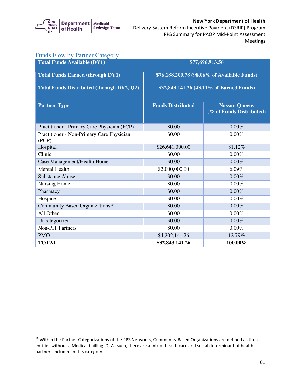

#### Delivery System Reform Incentive Payment (DSRIP) Program New York Department of Health PPS Summary for PAOP Mid-Point Assessment Meetings

| <b>Funds Flow by Partner Category</b>              |                                             |                                                  |  |
|----------------------------------------------------|---------------------------------------------|--------------------------------------------------|--|
| <b>Total Funds Available (DY1)</b>                 |                                             | \$77,696,913.56                                  |  |
| <b>Total Funds Earned (through DY1)</b>            | \$76,188,200.78 (98.06% of Available Funds) |                                                  |  |
| <b>Total Funds Distributed (through DY2, Q2)</b>   | \$32,843,141.26 (43.11% of Earned Funds)    |                                                  |  |
| <b>Partner Type</b>                                | <b>Funds Distributed</b>                    | <b>Nassau Queens</b><br>(% of Funds Distributed) |  |
| Practitioner - Primary Care Physician (PCP)        | \$0.00                                      | 0.00%                                            |  |
| Practitioner - Non-Primary Care Physician<br>(PCP) | \$0.00                                      | 0.00%                                            |  |
| Hospital                                           | \$26,641,000.00                             | 81.12%                                           |  |
| Clinic                                             | \$0.00                                      | $0.00\%$                                         |  |
| Case Management/Health Home                        | \$0.00                                      | 0.00%                                            |  |
| <b>Mental Health</b>                               | \$2,000,000.00                              | 6.09%                                            |  |
| <b>Substance Abuse</b>                             | \$0.00                                      | 0.00%                                            |  |
| Nursing Home                                       | \$0.00                                      | $0.00\%$                                         |  |
| Pharmacy                                           | \$0.00                                      | 0.00%                                            |  |
| Hospice                                            | \$0.00                                      | 0.00%                                            |  |
| Community Based Organizations <sup>16</sup>        | \$0.00                                      | 0.00%                                            |  |
| All Other                                          | \$0.00                                      | 0.00%                                            |  |
| Uncategorized                                      | \$0.00                                      | 0.00%                                            |  |
| <b>Non-PIT Partners</b>                            | \$0.00                                      | 0.00%                                            |  |
| <b>PMO</b>                                         | \$4,202,141.26                              | 12.79%                                           |  |
| <b>TOTAL</b>                                       | \$32,843,141.26                             | 100.00%                                          |  |

 $16$  Within the Partner Categorizations of the PPS Networks, Community Based Organizations are defined as those entities without a Medicaid billing ID. As such, there are a mix of health care and social determinant of health partners included in this category.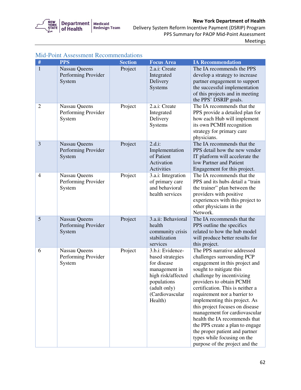

 Delivery System Reform Incentive Payment (DSRIP) Program PPS Summary for PAOP Mid-Point Assessment Meetings

| #              | <b>PPS</b>                                            | <b>Section</b> | <b>Focus Area</b>                                                                                                                                       | <b>IA Recommendation</b>                                                                                                                                                                                                                                                                                                                                                                                                                                                                                                         |
|----------------|-------------------------------------------------------|----------------|---------------------------------------------------------------------------------------------------------------------------------------------------------|----------------------------------------------------------------------------------------------------------------------------------------------------------------------------------------------------------------------------------------------------------------------------------------------------------------------------------------------------------------------------------------------------------------------------------------------------------------------------------------------------------------------------------|
| $\mathbf{1}$   | <b>Nassau Queens</b><br>Performing Provider<br>System | Project        | 2.a.i: Create<br>Integrated<br>Delivery<br>Systems                                                                                                      | The IA recommends the PPS<br>develop a strategy to increase<br>partner engagement to support<br>the successful implementation<br>of this projects and in meeting<br>the PPS' DSRIP goals.                                                                                                                                                                                                                                                                                                                                        |
| $\overline{2}$ | Nassau Queens<br>Performing Provider<br>System        | Project        | 2.a.i: Create<br>Integrated<br>Delivery<br>Systems                                                                                                      | The IA recommends that the<br>PPS provide a detailed plan for<br>how each Hub will implement<br>its own PCMH recognition<br>strategy for primary care<br>physicians.                                                                                                                                                                                                                                                                                                                                                             |
| 3              | Nassau Queens<br>Performing Provider<br>System        | Project        | $2.d.i$ :<br>Implementation<br>of Patient<br>Activation<br>Activities                                                                                   | The IA recommends that the<br>PPS detail how the new vendor<br>IT platform will accelerate the<br>low Partner and Patient<br>Engagement for this project.                                                                                                                                                                                                                                                                                                                                                                        |
| $\overline{4}$ | Nassau Queens<br>Performing Provider<br>System        | Project        | 3.a.i: Integration<br>of primary care<br>and behavioral<br>health services                                                                              | The IA recommends that the<br>PPS and its hubs detail a "train<br>the trainer" plan between the<br>providers with positive<br>experiences with this project to<br>other physicians in the<br>Network.                                                                                                                                                                                                                                                                                                                            |
| 5              | <b>Nassau Queens</b><br>Performing Provider<br>System | Project        | 3.a.ii: Behavioral<br>health<br>community crisis<br>stabilization<br>services                                                                           | The IA recommends that the<br>PPS outline the specifics<br>related to how the hub model<br>will produce better results for<br>this project.                                                                                                                                                                                                                                                                                                                                                                                      |
| 6              | Nassau Queens<br>Performing Provider<br>System        | Project        | 3.b.i: Evidence-<br>based strategies<br>for disease<br>management in<br>high risk/affected<br>populations<br>(adult only)<br>(Cardiovascular<br>Health) | The PPS narrative addressed<br>challenges surrounding PCP<br>engagement in this project and<br>sought to mitigate this<br>challenge by incentivizing<br>providers to obtain PCMH<br>certification. This is neither a<br>requirement nor a barrier to<br>implementing this project. As<br>this project focuses on disease<br>management for cardiovascular<br>health the IA recommends that<br>the PPS create a plan to engage<br>the proper patient and partner<br>types while focusing on the<br>purpose of the project and the |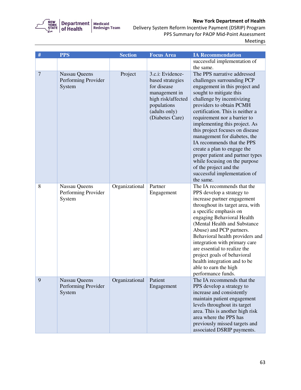

 Delivery System Reform Incentive Payment (DSRIP) Program PPS Summary for PAOP Mid-Point Assessment Meetings

| $\#$           | <b>PPS</b>                                  | <b>Section</b> | <b>Focus Area</b>                    | <b>IA Recommendation</b>                                         |
|----------------|---------------------------------------------|----------------|--------------------------------------|------------------------------------------------------------------|
|                |                                             |                |                                      | successful implementation of                                     |
|                |                                             |                |                                      | the same.                                                        |
| $\overline{7}$ | <b>Nassau Queens</b><br>Performing Provider | Project        | 3.c.i: Evidence-<br>based strategies | The PPS narrative addressed<br>challenges surrounding PCP        |
|                | System                                      |                | for disease                          | engagement in this project and                                   |
|                |                                             |                | management in                        | sought to mitigate this                                          |
|                |                                             |                | high risk/affected                   | challenge by incentivizing                                       |
|                |                                             |                | populations                          | providers to obtain PCMH                                         |
|                |                                             |                | (adults only)                        | certification. This is neither a                                 |
|                |                                             |                | (Diabetes Care)                      | requirement nor a barrier to                                     |
|                |                                             |                |                                      | implementing this project. As<br>this project focuses on disease |
|                |                                             |                |                                      | management for diabetes, the                                     |
|                |                                             |                |                                      | IA recommends that the PPS                                       |
|                |                                             |                |                                      | create a plan to engage the                                      |
|                |                                             |                |                                      | proper patient and partner types                                 |
|                |                                             |                |                                      | while focusing on the purpose                                    |
|                |                                             |                |                                      | of the project and the<br>successful implementation of           |
|                |                                             |                |                                      | the same.                                                        |
| 8              | Nassau Queens                               | Organizational | Partner                              | The IA recommends that the                                       |
|                | Performing Provider                         |                | Engagement                           | PPS develop a strategy to                                        |
|                | System                                      |                |                                      | increase partner engagement                                      |
|                |                                             |                |                                      | throughout its target area, with                                 |
|                |                                             |                |                                      | a specific emphasis on<br>engaging Behavioral Health             |
|                |                                             |                |                                      | (Mental Health and Substance                                     |
|                |                                             |                |                                      | Abuse) and PCP partners.                                         |
|                |                                             |                |                                      | Behavioral health providers and                                  |
|                |                                             |                |                                      | integration with primary care                                    |
|                |                                             |                |                                      | are essential to realize the                                     |
|                |                                             |                |                                      | project goals of behavioral<br>health integration and to be      |
|                |                                             |                |                                      | able to earn the high                                            |
|                |                                             |                |                                      | performance funds.                                               |
| 9              | <b>Nassau Queens</b>                        | Organizational | Patient                              | The IA recommends that the                                       |
|                | Performing Provider                         |                | Engagement                           | PPS develop a strategy to                                        |
|                | System                                      |                |                                      | increase and consistently                                        |
|                |                                             |                |                                      | maintain patient engagement<br>levels throughout its target      |
|                |                                             |                |                                      | area. This is another high risk                                  |
|                |                                             |                |                                      | area where the PPS has                                           |
|                |                                             |                |                                      | previously missed targets and                                    |
|                |                                             |                |                                      | associated DSRIP payments.                                       |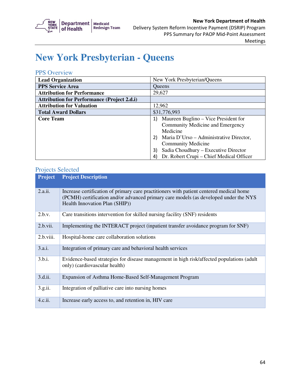

## **New York Presbyterian - Queens**

### PPS Overview

| <b>Lead Organization</b>                           | New York Presbyterian/Queens                                                                                                                                                                                                                                 |
|----------------------------------------------------|--------------------------------------------------------------------------------------------------------------------------------------------------------------------------------------------------------------------------------------------------------------|
| <b>PPS Service Area</b>                            | <b>Oueens</b>                                                                                                                                                                                                                                                |
| <b>Attribution for Performance</b>                 | 29,627                                                                                                                                                                                                                                                       |
| <b>Attribution for Performance (Project 2.d.i)</b> |                                                                                                                                                                                                                                                              |
| <b>Attribution for Valuation</b>                   | 12,962                                                                                                                                                                                                                                                       |
| <b>Total Award Dollars</b>                         | \$31,776,993                                                                                                                                                                                                                                                 |
| <b>Core Team</b>                                   | Maureen Buglino – Vice President for<br>Community Medicine and Emergency<br>Medicine<br>Maria D'Urso – Administrative Director,<br><b>Community Medicine</b><br>Sadia Choudhury - Executive Director<br>3)<br>Dr. Robert Crupi – Chief Medical Officer<br>41 |

| <b>Project</b> | <b>Project Description</b>                                                                                                                                                                                        |
|----------------|-------------------------------------------------------------------------------------------------------------------------------------------------------------------------------------------------------------------|
| 2.a.ii.        | Increase certification of primary care practitioners with patient centered medical home<br>(PCMH) certification and/or advanced primary care models (as developed under the NYS<br>Health Innovation Plan (SHIP)) |
| 2.b.v.         | Care transitions intervention for skilled nursing facility (SNF) residents                                                                                                                                        |
| 2.b.vii.       | Implementing the INTERACT project (inpatient transfer avoidance program for SNF)                                                                                                                                  |
| 2.b.viii.      | Hospital-home care collaboration solutions                                                                                                                                                                        |
| 3.a.i.         | Integration of primary care and behavioral health services                                                                                                                                                        |
| 3.b.i.         | Evidence-based strategies for disease management in high risk/affected populations (adult<br>only) (cardiovascular health)                                                                                        |
| 3.d.ii.        | Expansion of Asthma Home-Based Self-Management Program                                                                                                                                                            |
| 3.g.ii.        | Integration of palliative care into nursing homes                                                                                                                                                                 |
| 4.c.ii.        | Increase early access to, and retention in, HIV care                                                                                                                                                              |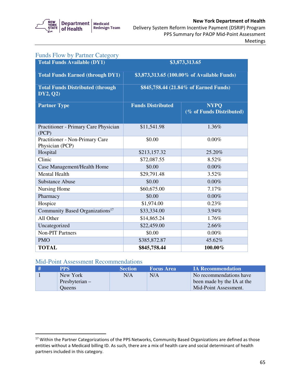

| <b>Funds Flow by Partner Category</b>                |                                             |                                         |  |
|------------------------------------------------------|---------------------------------------------|-----------------------------------------|--|
| <b>Total Funds Available (DY1)</b>                   |                                             | \$3,873,313.65                          |  |
| <b>Total Funds Earned (through DY1)</b>              | \$3,873,313.65 (100.00% of Available Funds) |                                         |  |
| <b>Total Funds Distributed (through)</b><br>DY2, Q2) | \$845,758.44 (21.84% of Earned Funds)       |                                         |  |
| <b>Partner Type</b>                                  | <b>Funds Distributed</b>                    | <b>NYPO</b><br>(% of Funds Distributed) |  |
| Practitioner - Primary Care Physician<br>(PCP)       | \$11,541.98                                 | 1.36%                                   |  |
| Practitioner - Non-Primary Care<br>Physician (PCP)   | \$0.00                                      | 0.00%                                   |  |
| Hospital                                             | \$213,157.32                                | 25.20%                                  |  |
| Clinic                                               | \$72,087.55                                 | 8.52%                                   |  |
| Case Management/Health Home                          | \$0.00                                      | 0.00%                                   |  |
| <b>Mental Health</b>                                 | \$29,791.48                                 | 3.52%                                   |  |
| <b>Substance Abuse</b>                               | \$0.00                                      | 0.00%                                   |  |
| Nursing Home                                         | \$60,675.00                                 | 7.17%                                   |  |
| Pharmacy                                             | \$0.00                                      | 0.00%                                   |  |
| Hospice                                              | \$1,974.00                                  | 0.23%                                   |  |
| Community Based Organizations <sup>17</sup>          | \$33,334.00                                 | 3.94%                                   |  |
| All Other                                            | \$14,865.24                                 | 1.76%                                   |  |
| Uncategorized                                        | \$22,459.00                                 | 2.66%                                   |  |
| <b>Non-PIT Partners</b>                              | \$0.00                                      | $0.00\%$                                |  |
| <b>PMO</b>                                           | \$385,872.87                                | 45.62%                                  |  |
| <b>TOTAL</b>                                         | \$845,758.44                                | 100.00%                                 |  |

### Mid-Point Assessment Recommendations

| <b>PPS</b>     | <b>Section</b> | <b>Focus Area</b> | <b>IA Recommendation</b>   |
|----------------|----------------|-------------------|----------------------------|
| New York       | N/A            | N/A               | No recommendations have    |
| Presbyterian – |                |                   | been made by the IA at the |
| <b>Oueens</b>  |                |                   | Mid-Point Assessment.      |

 $17$  Within the Partner Categorizations of the PPS Networks, Community Based Organizations are defined as those entities without a Medicaid billing ID. As such, there are a mix of health care and social determinant of health partners included in this category.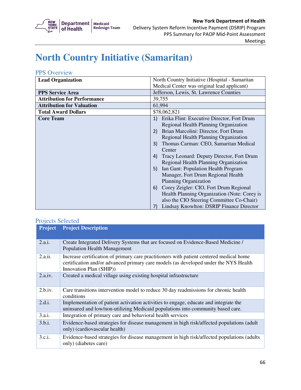

# **North Country Initiative (Samaritan)**

### PPS Overview

| <b>Lead Organization</b>           | North Country Initiative (Hospital - Samaritan                                                                                                                                                                                                                                                                                                                                                                                                                                                                                                                                                                                                          |  |
|------------------------------------|---------------------------------------------------------------------------------------------------------------------------------------------------------------------------------------------------------------------------------------------------------------------------------------------------------------------------------------------------------------------------------------------------------------------------------------------------------------------------------------------------------------------------------------------------------------------------------------------------------------------------------------------------------|--|
|                                    | Medical Center was original lead applicant)                                                                                                                                                                                                                                                                                                                                                                                                                                                                                                                                                                                                             |  |
| <b>PPS Service Area</b>            | Jefferson, Lewis, St. Lawrence Counties                                                                                                                                                                                                                                                                                                                                                                                                                                                                                                                                                                                                                 |  |
| <b>Attribution for Performance</b> | 39,755                                                                                                                                                                                                                                                                                                                                                                                                                                                                                                                                                                                                                                                  |  |
| <b>Attribution for Valuation</b>   | 61,994                                                                                                                                                                                                                                                                                                                                                                                                                                                                                                                                                                                                                                                  |  |
| <b>Total Award Dollars</b>         | \$78,062,821                                                                                                                                                                                                                                                                                                                                                                                                                                                                                                                                                                                                                                            |  |
| <b>Core Team</b>                   | Erika Flint: Executive Director, Fort Drum<br>1)<br>Regional Health Planning Organization<br>Brian Marcolini: Director, Fort Drum<br>2)<br>Regional Health Planning Organization<br>Thomas Carman: CEO, Samaritan Medical<br>3)<br>Center<br>Tracy Leonard: Deputy Director, Fort Drum<br>4)<br>Regional Health Planning Organization<br>Ian Gant: Population Health Program<br>5)<br>Manager, Fort Drum Regional Health<br><b>Planning Organization</b><br>Corey Zeigler: CIO, Fort Drum Regional<br>6)<br>Health Planning Organization (Note: Corey is<br>also the CIO Steering Committee Co-Chair)<br>Lindsay Knowlton: DSRIP Finance Director<br>7) |  |

| <b>Project</b> | <b>Project Description</b>                                                                                                                                                                                 |
|----------------|------------------------------------------------------------------------------------------------------------------------------------------------------------------------------------------------------------|
| 2.a.i.         | Create Integrated Delivery Systems that are focused on Evidence-Based Medicine /<br><b>Population Health Management</b>                                                                                    |
| 2.a.ii.        | Increase certification of primary care practitioners with patient centered medical home<br>certification and/or advanced primary care models (as developed under the NYS Health<br>Innovation Plan (SHIP)) |
| 2.a.iv.        | Created a medical village using existing hospital infrastructure                                                                                                                                           |
| 2.b.iv.        | Care transitions intervention model to reduce 30 day readmissions for chronic health<br>conditions                                                                                                         |
| 2.d.i.         | Implementation of patient activation activities to engage, educate and integrate the<br>uninsured and low/non-utilizing Medicaid populations into community based care.                                    |
| 3.a.i.         | Integration of primary care and behavioral health services                                                                                                                                                 |
| 3.b.i.         | Evidence-based strategies for disease management in high risk/affected populations (adult<br>only) (cardiovascular health)                                                                                 |
| 3.c.i.         | Evidence-based strategies for disease management in high risk/affected populations (adults)<br>only) (diabetes care)                                                                                       |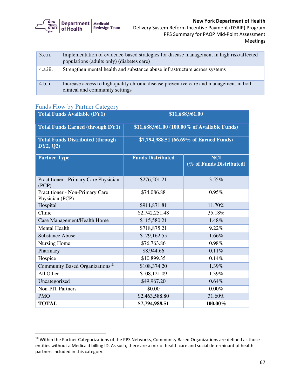

| 3.c.ii.  | Implementation of evidence-based strategies for disease management in high risk/affected<br>populations (adults only) (diabetes care) |
|----------|---------------------------------------------------------------------------------------------------------------------------------------|
| 4.a.iii. | Strengthen mental health and substance abuse infrastructure across systems                                                            |
| 4.b.ii.  | Increase access to high quality chronic disease preventive care and management in both<br>clinical and community settings             |

### Funds Flow by Partner Category

| <b>Total Funds Available (DY1)</b>                   | \$11,688,961.00                              |                                        |  |
|------------------------------------------------------|----------------------------------------------|----------------------------------------|--|
| <b>Total Funds Earned (through DY1)</b>              | \$11,688,961.00 (100.00% of Available Funds) |                                        |  |
| <b>Total Funds Distributed (through)</b><br>DY2, Q2) | \$7,794,988.51 (66.69% of Earned Funds)      |                                        |  |
| <b>Partner Type</b>                                  | <b>Funds Distributed</b>                     | <b>NCI</b><br>(% of Funds Distributed) |  |
| Practitioner - Primary Care Physician<br>(PCP)       | \$276,501.21                                 | 3.55%                                  |  |
| Practitioner - Non-Primary Care<br>Physician (PCP)   | \$74,086.88                                  | 0.95%                                  |  |
| Hospital                                             | \$911,871.81                                 | 11.70%                                 |  |
| Clinic                                               | \$2,742,251.48                               | 35.18%                                 |  |
| Case Management/Health Home                          | \$115,580.21                                 | 1.48%                                  |  |
| <b>Mental Health</b>                                 | \$718,875.21                                 | 9.22%                                  |  |
| <b>Substance Abuse</b>                               | \$129,162.55                                 | 1.66%                                  |  |
| Nursing Home                                         | \$76,763.86                                  | 0.98%                                  |  |
| Pharmacy                                             | \$8,944.66                                   | 0.11%                                  |  |
| Hospice                                              | \$10,899.35                                  | 0.14%                                  |  |
| Community Based Organizations <sup>18</sup>          | \$108,374.20                                 | 1.39%                                  |  |
| All Other                                            | \$108,121.09                                 | 1.39%                                  |  |
| Uncategorized                                        | \$49,967.20                                  | 0.64%                                  |  |
| <b>Non-PIT Partners</b>                              | \$0.00                                       | $0.00\%$                               |  |
| <b>PMO</b>                                           | \$2,463,588.80                               | 31.60%                                 |  |
| <b>TOTAL</b>                                         | \$7,794,988.51                               | 100.00%                                |  |

 $18$  Within the Partner Categorizations of the PPS Networks, Community Based Organizations are defined as those entities without a Medicaid billing ID. As such, there are a mix of health care and social determinant of health partners included in this category.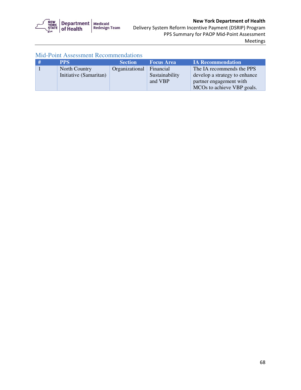

| - # | <b>PPS</b>             | <b>Section</b> | <b>Focus Area</b> | <b>IA Recommendation</b>      |
|-----|------------------------|----------------|-------------------|-------------------------------|
|     | North Country          | Organizational | Financial         | The IA recommends the PPS     |
|     | Initiative (Samaritan) |                | Sustainability    | develop a strategy to enhance |
|     |                        |                | and VBP           | partner engagement with       |
|     |                        |                |                   | MCOs to achieve VBP goals.    |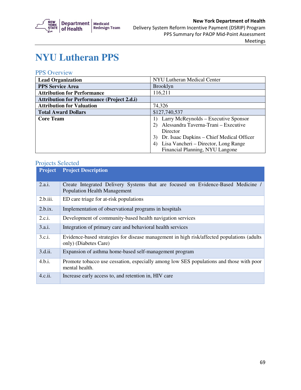

## **NYU Lutheran PPS**

### PPS Overview

| <b>Lead Organization</b>                           | NYU Lutheran Medical Center                     |
|----------------------------------------------------|-------------------------------------------------|
| <b>PPS Service Area</b>                            | <b>Brooklyn</b>                                 |
| <b>Attribution for Performance</b>                 | 116,211                                         |
| <b>Attribution for Performance (Project 2.d.i)</b> |                                                 |
| <b>Attribution for Valuation</b>                   | 74,326                                          |
| <b>Total Award Dollars</b>                         | \$127,740,537                                   |
| <b>Core Team</b>                                   | Larry McReynolds – Executive Sponsor            |
|                                                    | Alessandra Taverna-Trani – Executive            |
|                                                    | Director                                        |
|                                                    | Dr. Isaac Dapkins – Chief Medical Officer<br>3) |
|                                                    | Lisa Vancheri – Director, Long Range<br>4)      |
|                                                    | Financial Planning, NYU Langone                 |

| <b>Project</b> | <b>Project Description</b>                                                                                              |
|----------------|-------------------------------------------------------------------------------------------------------------------------|
| 2.a.i.         | Create Integrated Delivery Systems that are focused on Evidence-Based Medicine /<br><b>Population Health Management</b> |
| 2.b.iii.       | ED care triage for at-risk populations                                                                                  |
| 2.b.ix.        | Implementation of observational programs in hospitals                                                                   |
| 2.c.i.         | Development of community-based health navigation services                                                               |
| 3.a.i.         | Integration of primary care and behavioral health services                                                              |
| 3.c.i.         | Evidence-based strategies for disease management in high risk/affected populations (adults)<br>only) (Diabetes Care)    |
| 3.d.ii.        | Expansion of asthma home-based self-management program                                                                  |
| 4.b.i.         | Promote tobacco use cessation, especially among low SES populations and those with poor<br>mental health.               |
| 4.c.ii.        | Increase early access to, and retention in, HIV care                                                                    |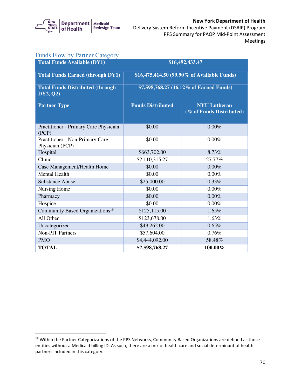

| <b>Funds Flow by Partner Category</b>               |                          |                                                 |
|-----------------------------------------------------|--------------------------|-------------------------------------------------|
| <b>Total Funds Available (DY1)</b>                  |                          | \$16,492,433.47                                 |
| <b>Total Funds Earned (through DY1)</b>             |                          | \$16,475,414.50 (99.90% of Available Funds)     |
| <b>Total Funds Distributed (through</b><br>DY2, Q2) |                          | \$7,598,768.27 (46.12% of Earned Funds)         |
| <b>Partner Type</b>                                 | <b>Funds Distributed</b> | <b>NYU</b> Lutheran<br>(% of Funds Distributed) |
| Practitioner - Primary Care Physician<br>(PCP)      | \$0.00                   | 0.00%                                           |
| Practitioner - Non-Primary Care<br>Physician (PCP)  | \$0.00                   | $0.00\%$                                        |
| Hospital                                            | \$663,702.00             | 8.73%                                           |
| Clinic                                              | \$2,110,315.27           | 27.77%                                          |
| Case Management/Health Home                         | \$0.00                   | 0.00%                                           |
| <b>Mental Health</b>                                | \$0.00                   | 0.00%                                           |
| <b>Substance Abuse</b>                              | \$25,000.00              | 0.33%                                           |
| Nursing Home                                        | \$0.00                   | $0.00\%$                                        |
| Pharmacy                                            | \$0.00                   | 0.00%                                           |
| Hospice                                             | \$0.00                   | $0.00\%$                                        |
| Community Based Organizations <sup>19</sup>         | \$125,115.00             | 1.65%                                           |
| All Other                                           | \$123,678.00             | 1.63%                                           |
| Uncategorized                                       | \$49,262.00              | 0.65%                                           |
| <b>Non-PIT Partners</b>                             | \$57,604.00              | 0.76%                                           |
| <b>PMO</b>                                          | \$4,444,092.00           | 58.48%                                          |
| <b>TOTAL</b>                                        | \$7,598,768.27           | 100.00%                                         |

 $19$  Within the Partner Categorizations of the PPS Networks, Community Based Organizations are defined as those entities without a Medicaid billing ID. As such, there are a mix of health care and social determinant of health partners included in this category.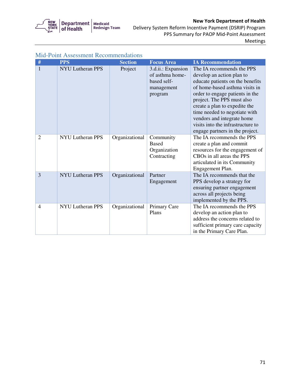

 Delivery System Reform Incentive Payment (DSRIP) Program PPS Summary for PAOP Mid-Point Assessment Meetings

| #              | <b>PPS</b>              | <b>Section</b> | <b>Focus Area</b>                                                             | <b>IA Recommendation</b>                                                                                                                                                                                                                                                                                                                                              |
|----------------|-------------------------|----------------|-------------------------------------------------------------------------------|-----------------------------------------------------------------------------------------------------------------------------------------------------------------------------------------------------------------------------------------------------------------------------------------------------------------------------------------------------------------------|
| $\mathbf{1}$   | <b>NYU Lutheran PPS</b> | Project        | 3.d.ii.: Expansion<br>of asthma home-<br>based self-<br>management<br>program | The IA recommends the PPS<br>develop an action plan to<br>educate patients on the benefits<br>of home-based asthma visits in<br>order to engage patients in the<br>project. The PPS must also<br>create a plan to expedite the<br>time needed to negotiate with<br>vendors and integrate home<br>visits into the infrastructure to<br>engage partners in the project. |
| $\overline{2}$ | <b>NYU Lutheran PPS</b> | Organizational | Community<br><b>Based</b><br>Organization<br>Contracting                      | The IA recommends the PPS<br>create a plan and commit<br>resources for the engagement of<br>CBOs in all areas the PPS<br>articulated in its Community<br>Engagement Plan.                                                                                                                                                                                             |
| $\overline{3}$ | <b>NYU Lutheran PPS</b> | Organizational | Partner<br>Engagement                                                         | The IA recommends that the<br>PPS develop a strategy for<br>ensuring partner engagement<br>across all projects being<br>implemented by the PPS.                                                                                                                                                                                                                       |
| $\overline{4}$ | <b>NYU Lutheran PPS</b> | Organizational | Primary Care<br>Plans                                                         | The IA recommends the PPS<br>develop an action plan to<br>address the concerns related to<br>sufficient primary care capacity<br>in the Primary Care Plan.                                                                                                                                                                                                            |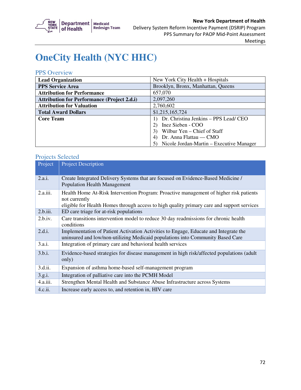

# **OneCity Health (NYC HHC)**

### PPS Overview

| <b>Lead Organization</b>                           | New York City Health + Hospitals         |
|----------------------------------------------------|------------------------------------------|
| <b>PPS Service Area</b>                            | Brooklyn, Bronx, Manhattan, Queens       |
| <b>Attribution for Performance</b>                 | 657,070                                  |
| <b>Attribution for Performance (Project 2.d.i)</b> | 2,097,260                                |
| <b>Attribution for Valuation</b>                   | 2,760,602                                |
| <b>Total Award Dollars</b>                         | \$1,215,165,724                          |
| <b>Core Team</b>                                   | Dr. Christina Jenkins - PPS Lead/ CEO    |
|                                                    | Inez Sieben - COO                        |
|                                                    | Wilbur Yen – Chief of Staff              |
|                                                    | Dr. Anna Flattau — CMO                   |
|                                                    | Nicole Jordan-Martin – Executive Manager |

| Project  | <b>Project Description</b>                                                                                                                                                                            |
|----------|-------------------------------------------------------------------------------------------------------------------------------------------------------------------------------------------------------|
| 2.a.i.   | Create Integrated Delivery Systems that are focused on Evidence-Based Medicine /<br><b>Population Health Management</b>                                                                               |
| 2.a.iii. | Health Home At-Risk Intervention Program: Proactive management of higher risk patients<br>not currently<br>eligible for Health Homes through access to high quality primary care and support services |
| 2.b.iii. | ED care triage for at-risk populations                                                                                                                                                                |
| 2.b.iv.  | Care transitions intervention model to reduce 30 day readmissions for chronic health<br>conditions                                                                                                    |
| 2.d.i.   | Implementation of Patient Activation Activities to Engage, Educate and Integrate the<br>uninsured and low/non-utilizing Medicaid populations into Community Based Care                                |
| 3.a.i.   | Integration of primary care and behavioral health services                                                                                                                                            |
| 3.b.i.   | Evidence-based strategies for disease management in high risk/affected populations (adult<br>only)                                                                                                    |
| 3.d.ii.  | Expansion of asthma home-based self-management program                                                                                                                                                |
| 3.g.i.   | Integration of palliative care into the PCMH Model                                                                                                                                                    |
| 4.a.iii. | Strengthen Mental Health and Substance Abuse Infrastructure across Systems                                                                                                                            |
| 4.c.ii.  | Increase early access to, and retention in, HIV care                                                                                                                                                  |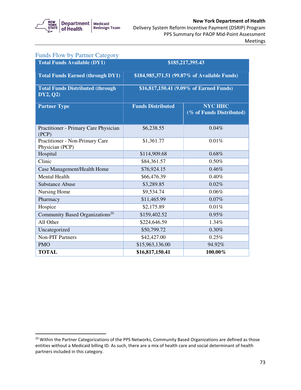

| <b>Funds Flow by Partner Category</b>                |                                         |                                              |
|------------------------------------------------------|-----------------------------------------|----------------------------------------------|
| <b>Total Funds Available (DY1)</b>                   |                                         | \$185,217,395.43                             |
| <b>Total Funds Earned (through DY1)</b>              |                                         | \$184,985,371.51 (99.87% of Available Funds) |
| <b>Total Funds Distributed (through)</b><br>DY2, Q2) | \$16,817,150.41 (9.09% of Earned Funds) |                                              |
| <b>Partner Type</b>                                  | <b>Funds Distributed</b>                | <b>NYC HHC</b><br>(% of Funds Distributed)   |
| Practitioner - Primary Care Physician<br>(PCP)       | \$6,238.55                              | 0.04%                                        |
| Practitioner - Non-Primary Care<br>Physician (PCP)   | \$1,361.77                              | 0.01%                                        |
| Hospital                                             | \$114,909.68                            | 0.68%                                        |
| Clinic                                               | \$84,361.57                             | 0.50%                                        |
| Case Management/Health Home                          | \$76,924.15                             | 0.46%                                        |
| <b>Mental Health</b>                                 | \$66,476.39                             | 0.40%                                        |
| <b>Substance Abuse</b>                               | \$3,289.85                              | 0.02%                                        |
| Nursing Home                                         | \$9,534.74                              | 0.06%                                        |
| Pharmacy                                             | \$11,465.99                             | 0.07%                                        |
| Hospice                                              | \$2,175.89                              | 0.01%                                        |
| Community Based Organizations <sup>20</sup>          | \$159,402.52                            | 0.95%                                        |
| All Other                                            | \$224,646.59                            | 1.34%                                        |
| Uncategorized                                        | \$50,799.72                             | 0.30%                                        |
| <b>Non-PIT Partners</b>                              | \$42,427.00                             | 0.25%                                        |
| <b>PMO</b>                                           | \$15,963,136.00                         | 94.92%                                       |
| <b>TOTAL</b>                                         | \$16,817,150.41                         | 100.00%                                      |

<sup>&</sup>lt;sup>20</sup> Within the Partner Categorizations of the PPS Networks, Community Based Organizations are defined as those entities without a Medicaid billing ID. As such, there are a mix of health care and social determinant of health partners included in this category.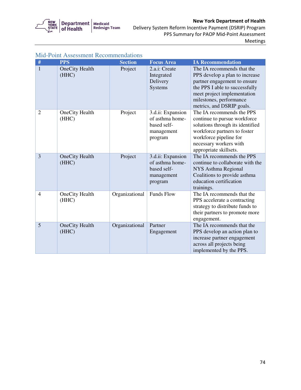

# New York Department of Health

 Delivery System Reform Incentive Payment (DSRIP) Program PPS Summary for PAOP Mid-Point Assessment Meetings

|                | <b>Mid-Point Assessment Recommendations</b> |                |                                                                              |                                                                                                                                                                                                                       |  |
|----------------|---------------------------------------------|----------------|------------------------------------------------------------------------------|-----------------------------------------------------------------------------------------------------------------------------------------------------------------------------------------------------------------------|--|
| $\#$           | <b>PPS</b>                                  | <b>Section</b> | <b>Focus Area</b>                                                            | <b>IA Recommendation</b>                                                                                                                                                                                              |  |
| $\mathbf{1}$   | <b>OneCity Health</b><br>(HHC)              | Project        | 2.a.i: Create<br>Integrated<br>Delivery<br>Systems                           | The IA recommends that the<br>PPS develop a plan to increase<br>partner engagement to ensure<br>the PPS I able to successfully<br>meet project implementation<br>milestones, performance<br>metrics, and DSRIP goals. |  |
| $\overline{2}$ | OneCity Health<br>(HHC)                     | Project        | 3.d.ii: Expansion<br>of asthma home-<br>based self-<br>management<br>program | The IA recommends the PPS<br>continue to pursue workforce<br>solutions through its identified<br>workforce partners to foster<br>workforce pipeline for<br>necessary workers with<br>appropriate skillsets.           |  |
| $\overline{3}$ | <b>OneCity Health</b><br>(HHC)              | Project        | 3.d.ii: Expansion<br>of asthma home-<br>based self-<br>management<br>program | The IA recommends the PPS<br>continue to collaborate with the<br>NYS Asthma Regional<br>Coalitions to provide asthma<br>education certification<br>trainings.                                                         |  |
| $\overline{4}$ | OneCity Health<br>(HHC)                     | Organizational | <b>Funds Flow</b>                                                            | The IA recommends that the<br>PPS accelerate a contracting<br>strategy to distribute funds to<br>their partners to promote more<br>engagement.                                                                        |  |
| 5              | <b>OneCity Health</b><br>(HHC)              | Organizational | Partner<br>Engagement                                                        | The IA recommends that the<br>PPS develop an action plan to<br>increase partner engagement<br>across all projects being<br>implemented by the PPS.                                                                    |  |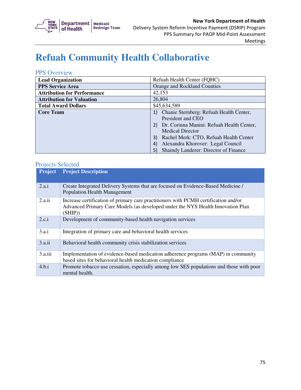

# **Refuah Community Health Collaborative**

#### PPS Overview

| <b>Lead Organization</b>           | Refuah Health Center (FQHC)                  |
|------------------------------------|----------------------------------------------|
| <b>PPS Service Area</b>            | Orange and Rockland Counties                 |
| <b>Attribution for Performance</b> | 42,153                                       |
| <b>Attribution for Valuation</b>   | 26,804                                       |
| <b>Total Award Dollars</b>         | \$45,634,589                                 |
| <b>Core Team</b>                   | Chanie Sternberg: Refuah Health Center,      |
|                                    | President and CEO                            |
|                                    | 2) Dr. Corinna Manini: Refuah Health Center, |
|                                    | <b>Medical Director</b>                      |
|                                    | Rachel Merk: CTO, Refuah Health Center<br>3) |
|                                    | Alexandra Khorover: Legal Council            |
|                                    | Shaindy Landerer: Director of Finance        |

| <b>Project</b> | <b>Project Description</b>                                                                                                                                                       |
|----------------|----------------------------------------------------------------------------------------------------------------------------------------------------------------------------------|
| 2.a.i          | Create Integrated Delivery Systems that are focused on Evidence-Based Medicine /<br><b>Population Health Management</b>                                                          |
| 2.a.ii         | Increase certification of primary care practitioners with PCMH certification and/or<br>Advanced Primary Care Models (as developed under the NYS Health Innovation Plan<br>(SHIP) |
| 2.c.i          | Development of community-based health navigation services                                                                                                                        |
| 3.a.i          | Integration of primary care and behavioral health services                                                                                                                       |
| 3.a.ii         | Behavioral health community crisis stabilization services                                                                                                                        |
| 3.a.iii        | Implementation of evidence-based medication adherence programs (MAP) in community<br>based sites for behavioral health medication compliance                                     |
| 4.b.i          | Promote tobacco use cessation, especially among low SES populations and those with poor<br>mental health.                                                                        |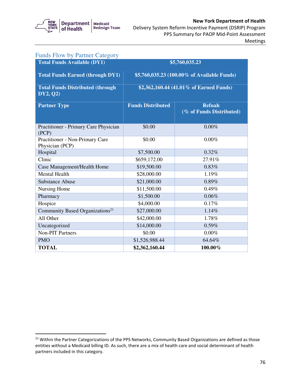

| <b>Funds Flow by Partner Category</b>                |                                             |                                           |
|------------------------------------------------------|---------------------------------------------|-------------------------------------------|
| <b>Total Funds Available (DY1)</b>                   |                                             | \$5,760,035.23                            |
| <b>Total Funds Earned (through DY1)</b>              | \$5,760,035.23 (100.00% of Available Funds) |                                           |
| <b>Total Funds Distributed (through)</b><br>DY2, Q2) | \$2,362,160.44 (41.01% of Earned Funds)     |                                           |
| <b>Partner Type</b>                                  | <b>Funds Distributed</b>                    | <b>Refuah</b><br>(% of Funds Distributed) |
| Practitioner - Primary Care Physician<br>(PCP)       | \$0.00                                      | 0.00%                                     |
| Practitioner - Non-Primary Care<br>Physician (PCP)   | \$0.00                                      | 0.00%                                     |
| Hospital                                             | \$7,500.00                                  | 0.32%                                     |
| Clinic                                               | \$659,172.00                                | 27.91%                                    |
| Case Management/Health Home                          | \$19,500.00                                 | 0.83%                                     |
| <b>Mental Health</b>                                 | \$28,000.00                                 | 1.19%                                     |
| <b>Substance Abuse</b>                               | \$21,000.00                                 | 0.89%                                     |
| Nursing Home                                         | \$11,500.00                                 | 0.49%                                     |
| Pharmacy                                             | \$1,500.00                                  | 0.06%                                     |
| Hospice                                              | \$4,000.00                                  | 0.17%                                     |
| Community Based Organizations <sup>21</sup>          | \$27,000.00                                 | 1.14%                                     |
| All Other                                            | \$42,000.00                                 | 1.78%                                     |
| Uncategorized                                        | \$14,000.00                                 | 0.59%                                     |
| <b>Non-PIT Partners</b>                              | \$0.00                                      | $0.00\%$                                  |
| <b>PMO</b>                                           | \$1,526,988.44                              | 64.64%                                    |
| <b>TOTAL</b>                                         | \$2,362,160.44                              | $100.00\%$                                |

 $21$  Within the Partner Categorizations of the PPS Networks, Community Based Organizations are defined as those entities without a Medicaid billing ID. As such, there are a mix of health care and social determinant of health partners included in this category.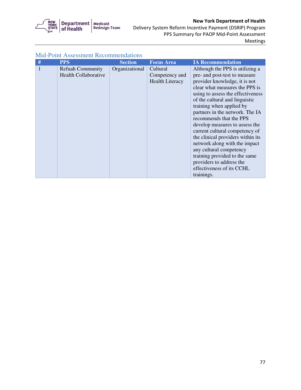

 Delivery System Reform Incentive Payment (DSRIP) Program PPS Summary for PAOP Mid-Point Assessment Meetings

| # | <b>PPS</b>                  | <b>Section</b> | <b>Focus Area</b>      | <b>IA Recommendation</b>          |
|---|-----------------------------|----------------|------------------------|-----------------------------------|
|   | <b>Refuah Community</b>     | Organizational | Cultural               | Although the PPS is utilizing a   |
|   | <b>Health Collaborative</b> |                | Competency and         | pre- and post-test to measure     |
|   |                             |                | <b>Health Literacy</b> | provider knowledge, it is not     |
|   |                             |                |                        | clear what measures the PPS is    |
|   |                             |                |                        | using to assess the effectiveness |
|   |                             |                |                        | of the cultural and linguistic    |
|   |                             |                |                        | training when applied by          |
|   |                             |                |                        | partners in the network. The IA   |
|   |                             |                |                        | recommends that the PPS           |
|   |                             |                |                        | develop measures to assess the    |
|   |                             |                |                        | current cultural competency of    |
|   |                             |                |                        | the clinical providers within its |
|   |                             |                |                        | network along with the impact     |
|   |                             |                |                        | any cultural competency           |
|   |                             |                |                        | training provided to the same     |
|   |                             |                |                        | providers to address the          |
|   |                             |                |                        | effectiveness of its CCHL         |
|   |                             |                |                        | trainings.                        |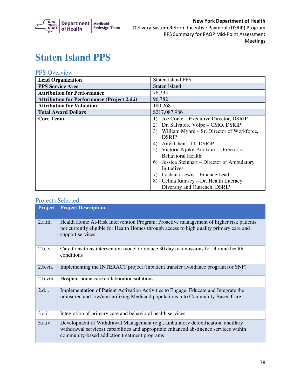

#### Delivery System Reform Incentive Payment (DSRIP) Program New York Department of Health PPS Summary for PAOP Mid-Point Assessment Meetings

# **Staten Island PPS**

### PPS Overview

| <b>Lead Organization</b>                           | <b>Staten Island PPS</b>                                  |  |
|----------------------------------------------------|-----------------------------------------------------------|--|
| <b>PPS Service Area</b>                            | Staten Island                                             |  |
| <b>Attribution for Performance</b>                 | 76,295                                                    |  |
| <b>Attribution for Performance (Project 2.d.i)</b> | 96,782                                                    |  |
| <b>Attribution for Valuation</b>                   | 180,268                                                   |  |
| <b>Total Award Dollars</b>                         | \$217,087,986                                             |  |
| <b>Core Team</b>                                   | Joe Conte – Executive Director, DSRIP<br>$\left  \right $ |  |
|                                                    | Dr. Salvatore Volpe – CMO, DSRIP<br>2)                    |  |
|                                                    | William Myhre - Sr. Director of Workforce,<br>3)          |  |
|                                                    | <b>DSRIP</b>                                              |  |
|                                                    | Anyi Chen - IT, DSRIP<br>4)                               |  |
|                                                    | Victoria Njoku-Anokam – Director of<br>5)                 |  |
|                                                    | <b>Behavioral Health</b>                                  |  |
|                                                    | Jessica Steinhart – Director of Ambulatory<br>6)          |  |
|                                                    | Initiatives                                               |  |
|                                                    | Lashana Lewis – Finance Lead<br>7)                        |  |
|                                                    | Celina Ramsey – Dr. Health Literacy,<br>8)                |  |
|                                                    | Diversity and Outreach, DSRIP                             |  |

|           | <b>Project Project Description</b>                                                                                                                                                                                        |
|-----------|---------------------------------------------------------------------------------------------------------------------------------------------------------------------------------------------------------------------------|
| 2.a.iii.  | Health Home At-Risk Intervention Program: Proactive management of higher risk patients<br>not currently eligible for Health Homes through access to high quality primary care and<br>support services                     |
| 2.b.iv.   | Care transitions intervention model to reduce 30 day readmissions for chronic health<br>conditions                                                                                                                        |
| 2.b.vii.  | Implementing the INTERACT project (inpatient transfer avoidance program for SNF)                                                                                                                                          |
| 2.b.viii. | Hospital-home care collaboration solutions                                                                                                                                                                                |
| 2.d.i.    | Implementation of Patient Activation Activities to Engage, Educate and Integrate the<br>uninsured and low/non-utilizing Medicaid populations into Community Based Care                                                    |
| 3.a.i.    | Integration of primary care and behavioral health services                                                                                                                                                                |
| 3.a.iv.   | Development of Withdrawal Management (e.g., ambulatory detoxification, ancillary<br>withdrawal services) capabilities and appropriate enhanced abstinence services within<br>community-based addiction treatment programs |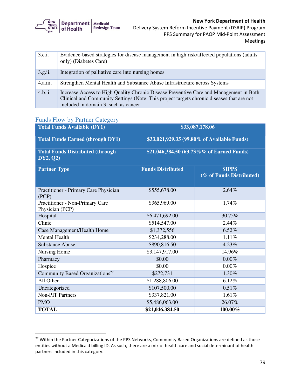

| 3.c.i.   | Evidence-based strategies for disease management in high risk/affected populations (adults)<br>only) (Diabetes Care) |
|----------|----------------------------------------------------------------------------------------------------------------------|
| 3.g.ii.  | Integration of palliative care into nursing homes                                                                    |
|          |                                                                                                                      |
| 4.a.iii. | Strengthen Mental Health and Substance Abuse Infrastructure across Systems                                           |
|          |                                                                                                                      |
| 4.b.ii.  | Increase Access to High Quality Chronic Disease Preventive Care and Management in Both                               |
|          |                                                                                                                      |
|          | Clinical and Community Settings (Note: This project targets chronic diseases that are not                            |
|          | included in domain 3, such as cancer                                                                                 |
|          |                                                                                                                      |

## Funds Flow by Partner Category

| <b>Total Funds Available (DY1)</b>                  | \$33,087,178.06                             |                                          |
|-----------------------------------------------------|---------------------------------------------|------------------------------------------|
| <b>Total Funds Earned (through DY1)</b>             | \$33,021,929.35 (99.80% of Available Funds) |                                          |
| <b>Total Funds Distributed (through</b><br>DY2, Q2) | \$21,046,384.50 (63.73%% of Earned Funds)   |                                          |
| <b>Partner Type</b>                                 | <b>Funds Distributed</b>                    | <b>SIPPS</b><br>(% of Funds Distributed) |
| Practitioner - Primary Care Physician<br>(PCP)      | \$555,678.00                                | 2.64%                                    |
| Practitioner - Non-Primary Care<br>Physician (PCP)  | \$365,969.00                                | 1.74%                                    |
| Hospital                                            | \$6,471,692.00                              | 30.75%                                   |
| Clinic                                              | \$514,547.00                                | 2.44%                                    |
| Case Management/Health Home                         | \$1,372,556                                 | 6.52%                                    |
| <b>Mental Health</b>                                | \$234,288.00                                | 1.11%                                    |
| <b>Substance Abuse</b>                              | \$890,816.50                                | 4.23%                                    |
| Nursing Home                                        | \$3,147,917.00                              | 14.96%                                   |
| Pharmacy                                            | \$0.00                                      | 0.00%                                    |
| Hospice                                             | \$0.00                                      | 0.00%                                    |
| Community Based Organizations <sup>22</sup>         | \$272,731                                   | 1.30%                                    |
| All Other                                           | \$1,288,806.00                              | 6.12%                                    |
| Uncategorized                                       | \$107,500.00                                | 0.51%                                    |
| <b>Non-PIT Partners</b>                             | \$337,821.00                                | 1.61%                                    |
| <b>PMO</b>                                          | \$5,486,063.00                              | 26.07%                                   |
| <b>TOTAL</b>                                        | \$21,046,384.50                             | 100.00%                                  |

 $22$  Within the Partner Categorizations of the PPS Networks, Community Based Organizations are defined as those entities without a Medicaid billing ID. As such, there are a mix of health care and social determinant of health partners included in this category.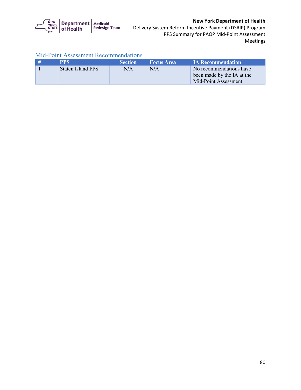

| <b>Mid-Point Assessment Recommendations</b> |  |
|---------------------------------------------|--|
|---------------------------------------------|--|

| <b>PPS</b>        | <b>Section</b> | <b>Focus Area</b> | <b>IA Recommendation</b>                                                       |
|-------------------|----------------|-------------------|--------------------------------------------------------------------------------|
| Staten Island PPS | N/A            | N/A               | No recommendations have<br>been made by the IA at the<br>Mid-Point Assessment. |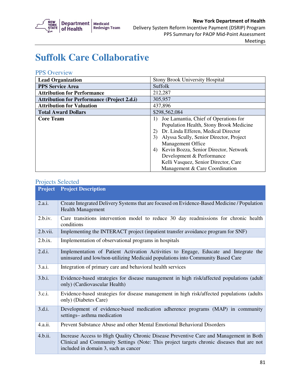

#### Delivery System Reform Incentive Payment (DSRIP) Program New York Department of Health PPS Summary for PAOP Mid-Point Assessment Meetings

# **Suffolk Care Collaborative**

#### PPS Overview

| <b>Lead Organization</b>                           | <b>Stony Brook University Hospital</b>                                                                                                                                                                                                                                                                                                       |
|----------------------------------------------------|----------------------------------------------------------------------------------------------------------------------------------------------------------------------------------------------------------------------------------------------------------------------------------------------------------------------------------------------|
| <b>PPS Service Area</b>                            | Suffolk                                                                                                                                                                                                                                                                                                                                      |
| <b>Attribution for Performance</b>                 | 212,287                                                                                                                                                                                                                                                                                                                                      |
| <b>Attribution for Performance (Project 2.d.i)</b> | 305,957                                                                                                                                                                                                                                                                                                                                      |
| <b>Attribution for Valuation</b>                   | 437,896                                                                                                                                                                                                                                                                                                                                      |
| <b>Total Award Dollars</b>                         | \$298,562,084                                                                                                                                                                                                                                                                                                                                |
| <b>Core Team</b>                                   | Joe Lamantia, Chief of Operations for<br>$\left  \right $<br>Population Health, Stony Brook Medicine<br>Dr. Linda Efferen, Medical Director<br>Alyssa Scully, Senior Director, Project<br>3)<br><b>Management Office</b><br>Kevin Bozza, Senior Director, Network<br>4)<br>Development & Performance<br>Kelli Vasquez, Senior Director, Care |
|                                                    | Management & Care Coordination                                                                                                                                                                                                                                                                                                               |

| <b>Project</b> | <b>Project Description</b>                                                                                                                                                                                                  |
|----------------|-----------------------------------------------------------------------------------------------------------------------------------------------------------------------------------------------------------------------------|
| 2.a.i.         | Create Integrated Delivery Systems that are focused on Evidence-Based Medicine / Population<br><b>Health Management</b>                                                                                                     |
| 2.b.i.v.       | Care transitions intervention model to reduce 30 day readmissions for chronic health<br>conditions                                                                                                                          |
| 2.b.vii.       | Implementing the INTERACT project (inpatient transfer avoidance program for SNF)                                                                                                                                            |
| 2.b.ix.        | Implementation of observational programs in hospitals                                                                                                                                                                       |
| 2.d.i.         | Implementation of Patient Activation Activities to Engage, Educate and Integrate the<br>uninsured and low/non-utilizing Medicaid populations into Community Based Care                                                      |
| 3.a.i.         | Integration of primary care and behavioral health services                                                                                                                                                                  |
| 3.b.i.         | Evidence-based strategies for disease management in high risk/affected populations (adult<br>only) (Cardiovascular Health)                                                                                                  |
| 3.c.i.         | Evidence-based strategies for disease management in high risk/affected populations (adults<br>only) (Diabetes Care)                                                                                                         |
| 3.d.i.         | Development of evidence-based medication adherence programs (MAP) in community<br>settings-asthma medication                                                                                                                |
| 4.a.ii.        | Prevent Substance Abuse and other Mental Emotional Behavioral Disorders                                                                                                                                                     |
| 4.b.ii.        | Increase Access to High Quality Chronic Disease Preventive Care and Management in Both<br>Clinical and Community Settings (Note: This project targets chronic diseases that are not<br>included in domain 3, such as cancer |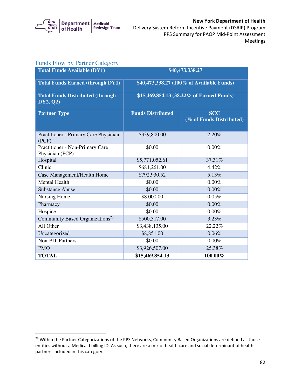

| <b>Funds Flow by Partner Category</b>                |                                           |                                        |
|------------------------------------------------------|-------------------------------------------|----------------------------------------|
| <b>Total Funds Available (DY1)</b>                   | \$40,473,338.27                           |                                        |
| <b>Total Funds Earned (through DY1)</b>              | \$40,473,338.27 (100% of Available Funds) |                                        |
| <b>Total Funds Distributed (through)</b><br>DY2, Q2) | \$15,469,854.13 (38.22% of Earned Funds)  |                                        |
| <b>Partner Type</b>                                  | <b>Funds Distributed</b>                  | <b>SCC</b><br>(% of Funds Distributed) |
| Practitioner - Primary Care Physician<br>(PCP)       | \$339,800.00                              | 2.20%                                  |
| Practitioner - Non-Primary Care<br>Physician (PCP)   | \$0.00                                    | $0.00\%$                               |
| Hospital                                             | \$5,771,052.61                            | 37.31%                                 |
| Clinic                                               | \$684,261.00                              | 4.42%                                  |
| Case Management/Health Home                          | \$792,930.52                              | 5.13%                                  |
| <b>Mental Health</b>                                 | \$0.00                                    | 0.00%                                  |
| <b>Substance Abuse</b>                               | \$0.00                                    | $0.00\%$                               |
| Nursing Home                                         | \$8,000.00                                | 0.05%                                  |
| Pharmacy                                             | \$0.00                                    | $0.00\%$                               |
| Hospice                                              | \$0.00                                    | $0.00\%$                               |
| Community Based Organizations <sup>23</sup>          | \$500,317.00                              | 3.23%                                  |
| All Other                                            | \$3,438,135.00                            | 22.22%                                 |
| Uncategorized                                        | \$8,851.00                                | 0.06%                                  |
| <b>Non-PIT Partners</b>                              | \$0.00                                    | $0.00\%$                               |
| <b>PMO</b>                                           | \$3,926,507.00                            | 25.38%                                 |
| <b>TOTAL</b>                                         | \$15,469,854.13                           | 100.00%                                |

 $23$  Within the Partner Categorizations of the PPS Networks, Community Based Organizations are defined as those entities without a Medicaid billing ID. As such, there are a mix of health care and social determinant of health partners included in this category.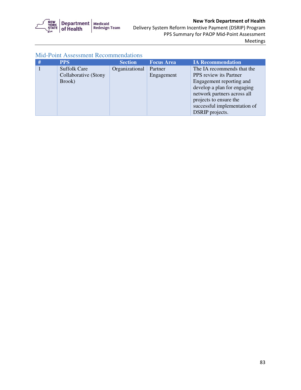

| <b>PPS</b>           | <b>Section</b> | <b>Focus Area</b> | <b>IA Recommendation</b>      |
|----------------------|----------------|-------------------|-------------------------------|
| <b>Suffolk Care</b>  | Organizational | Partner           | The IA recommends that the    |
| Collaborative (Stony |                | Engagement        | <b>PPS</b> review its Partner |
| Brook)               |                |                   | Engagement reporting and      |
|                      |                |                   | develop a plan for engaging   |
|                      |                |                   | network partners across all   |
|                      |                |                   | projects to ensure the        |
|                      |                |                   | successful implementation of  |
|                      |                |                   | DSRIP projects.               |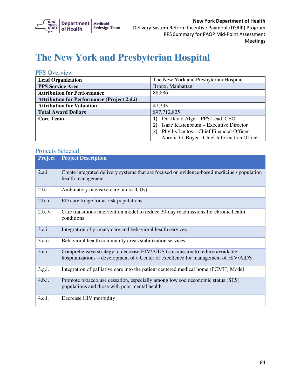

# **The New York and Presbyterian Hospital**

#### PPS Overview

| <b>Lead Organization</b>                           | The New York and Presbyterian Hospital         |  |
|----------------------------------------------------|------------------------------------------------|--|
| <b>PPS Service Area</b>                            | Bronx, Manhattan                               |  |
| <b>Attribution for Performance</b>                 | 88,886                                         |  |
| <b>Attribution for Performance (Project 2.d.i)</b> |                                                |  |
| <b>Attribution for Valuation</b>                   | 47,293                                         |  |
| <b>Total Award Dollars</b>                         | \$97,712,825                                   |  |
| <b>Core Team</b>                                   | Dr. David Alge – PPS Lead, CEO                 |  |
|                                                    | Isaac Kastenbaum - Executive Director          |  |
|                                                    | Phyllis Lantos – Chief Financial Officer<br>3) |  |
|                                                    | Aurelia G. Boyer-Chief Information Officer     |  |

| <b>Project</b> | <b>Project Description</b>                                                                                                                                          |
|----------------|---------------------------------------------------------------------------------------------------------------------------------------------------------------------|
| 2.a.i.         | Create integrated delivery systems that are focused on evidence-based medicine / population<br>health management                                                    |
| 2.b.i.         | Ambulatory intensive care units (ICUs)                                                                                                                              |
| 2.b.iii.       | ED care triage for at-risk populations                                                                                                                              |
| 2.b.iv.        | Care transitions intervention model to reduce 30-day readmissions for chronic health<br>conditions                                                                  |
| 3.a.i.         | Integration of primary care and behavioral health services                                                                                                          |
| 3.a.ii.        | Behavioral health community crisis stabilization services                                                                                                           |
| 3.e.i.         | Comprehensive strategy to decrease HIV/AIDS transmission to reduce avoidable<br>hospitalizations – development of a Center of excellence for management of HIV/AIDS |
| 3.g.i.         | Integration of palliative care into the patient centered medical home (PCMH) Model                                                                                  |
| 4.b.i.         | Promote tobacco use cessation, especially among low socioeconomic status (SES)<br>populations and those with poor mental health                                     |
| 4.c.i.         | Decrease HIV morbidity                                                                                                                                              |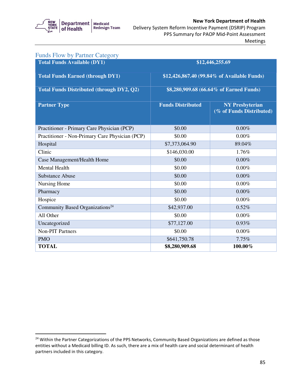

#### Delivery System Reform Incentive Payment (DSRIP) Program New York Department of Health PPS Summary for PAOP Mid-Point Assessment Meetings

| <b>Funds Flow by Partner Category</b>            |                                             |                                                    |
|--------------------------------------------------|---------------------------------------------|----------------------------------------------------|
| <b>Total Funds Available (DY1)</b>               |                                             | \$12,446,255.69                                    |
| <b>Total Funds Earned (through DY1)</b>          | \$12,426,867.40 (99.84% of Available Funds) |                                                    |
| <b>Total Funds Distributed (through DY2, Q2)</b> | \$8,280,909.68 (66.64% of Earned Funds)     |                                                    |
| <b>Partner Type</b>                              | <b>Funds Distributed</b>                    | <b>NY Presbyterian</b><br>(% of Funds Distributed) |
| Practitioner - Primary Care Physician (PCP)      | \$0.00                                      | 0.00%                                              |
| Practitioner - Non-Primary Care Physician (PCP)  | \$0.00                                      | 0.00%                                              |
| Hospital                                         | \$7,373,064.90                              | 89.04%                                             |
| Clinic                                           | \$146,030.00                                | 1.76%                                              |
| Case Management/Health Home                      | \$0.00                                      | $0.00\%$                                           |
| Mental Health                                    | \$0.00                                      | $0.00\%$                                           |
| <b>Substance Abuse</b>                           | \$0.00                                      | 0.00%                                              |
| Nursing Home                                     | \$0.00                                      | 0.00%                                              |
| Pharmacy                                         | \$0.00                                      | 0.00%                                              |
| Hospice                                          | \$0.00                                      | 0.00%                                              |
| Community Based Organizations <sup>24</sup>      | \$42,937.00                                 | 0.52%                                              |
| All Other                                        | \$0.00                                      | 0.00%                                              |
| Uncategorized                                    | \$77,127.00                                 | 0.93%                                              |
| <b>Non-PIT Partners</b>                          | \$0.00                                      | 0.00%                                              |
| <b>PMO</b>                                       | \$641,750.78                                | 7.75%                                              |
| <b>TOTAL</b>                                     | \$8,280,909.68                              | 100.00%                                            |

<sup>&</sup>lt;sup>24</sup> Within the Partner Categorizations of the PPS Networks, Community Based Organizations are defined as those entities without a Medicaid billing ID. As such, there are a mix of health care and social determinant of health partners included in this category.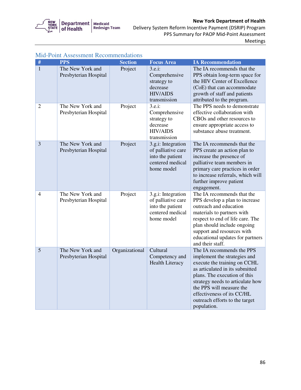

# New York Department of Health

 Delivery System Reform Incentive Payment (DSRIP) Program PPS Summary for PAOP Mid-Point Assessment Meetings

| $\#$           | <b>PPS</b>                                | <b>Section</b> | <b>Focus Area</b>                                                                              | <b>IA Recommendation</b>                                                                                                                                                                                                                                                                                    |
|----------------|-------------------------------------------|----------------|------------------------------------------------------------------------------------------------|-------------------------------------------------------------------------------------------------------------------------------------------------------------------------------------------------------------------------------------------------------------------------------------------------------------|
| $\mathbf{1}$   | The New York and<br>Presbyterian Hospital | Project        | 3.e.i:<br>Comprehensive<br>strategy to<br>decrease<br><b>HIV/AIDS</b><br>transmission          | The IA recommends that the<br>PPS obtain long-term space for<br>the HIV Center of Excellence<br>(CoE) that can accommodate<br>growth of staff and patients<br>attributed to the program.                                                                                                                    |
| $\overline{2}$ | The New York and<br>Presbyterian Hospital | Project        | 3.e.i:<br>Comprehensive<br>strategy to<br>decrease<br><b>HIV/AIDS</b><br>transmission          | The PPS needs to demonstrate<br>effective collaboration with<br>CBOs and other resources to<br>ensure appropriate access to<br>substance abuse treatment.                                                                                                                                                   |
| 3              | The New York and<br>Presbyterian Hospital | Project        | 3.g.i: Integration<br>of palliative care<br>into the patient<br>centered medical<br>home model | The IA recommends that the<br>PPS create an action plan to<br>increase the presence of<br>palliative team members in<br>primary care practices in order<br>to increase referrals, which will<br>further improve patient<br>engagement.                                                                      |
| 4              | The New York and<br>Presbyterian Hospital | Project        | 3.g.i: Integration<br>of palliative care<br>into the patient<br>centered medical<br>home model | The IA recommends that the<br>PPS develop a plan to increase<br>outreach and education<br>materials to partners with<br>respect to end of life care. The<br>plan should include ongoing<br>support and resources with<br>educational updates for partners<br>and their staff.                               |
| 5              | The New York and<br>Presbyterian Hospital | Organizational | Cultural<br>Competency and<br><b>Health Literacy</b>                                           | The IA recommends the PPS<br>implement the strategies and<br>execute the training on CCHL<br>as articulated in its submitted<br>plans. The execution of this<br>strategy needs to articulate how<br>the PPS will measure the<br>effectiveness of its CC/HL<br>outreach efforts to the target<br>population. |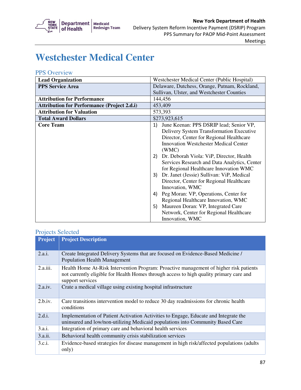

# **Westchester Medical Center**

#### PPS Overview

| <b>Lead Organization</b>                           | Westchester Medical Center (Public Hospital)                                                                                                                                                                                                                                                                                                                                                                                                                                                                                                                                                                                                                            |  |  |
|----------------------------------------------------|-------------------------------------------------------------------------------------------------------------------------------------------------------------------------------------------------------------------------------------------------------------------------------------------------------------------------------------------------------------------------------------------------------------------------------------------------------------------------------------------------------------------------------------------------------------------------------------------------------------------------------------------------------------------------|--|--|
| <b>PPS Service Area</b>                            | Delaware, Dutchess, Orange, Putnam, Rockland,                                                                                                                                                                                                                                                                                                                                                                                                                                                                                                                                                                                                                           |  |  |
|                                                    | Sullivan, Ulster, and Westchester Counties                                                                                                                                                                                                                                                                                                                                                                                                                                                                                                                                                                                                                              |  |  |
| <b>Attribution for Performance</b>                 | 144,456                                                                                                                                                                                                                                                                                                                                                                                                                                                                                                                                                                                                                                                                 |  |  |
| <b>Attribution for Performance (Project 2.d.i)</b> | 453,409                                                                                                                                                                                                                                                                                                                                                                                                                                                                                                                                                                                                                                                                 |  |  |
| <b>Attribution for Valuation</b>                   |                                                                                                                                                                                                                                                                                                                                                                                                                                                                                                                                                                                                                                                                         |  |  |
| <b>Total Award Dollars</b>                         | \$273,923,615                                                                                                                                                                                                                                                                                                                                                                                                                                                                                                                                                                                                                                                           |  |  |
| <b>Core Team</b>                                   | 573,393<br>June Keenan: PPS DSRIP lead; Senior VP,<br>1)<br>Delivery System Transformation Executive<br>Director, Center for Regional Healthcare<br><b>Innovation Westchester Medical Center</b><br>(WMC)<br>Dr. Deborah Viola: ViP, Director, Health<br>2)<br>Services Research and Data Analytics, Center<br>for Regional Healthcare Innovation WMC<br>Dr. Janet (Jessie) Sullivan: ViP, Medical<br>3)<br>Director, Center for Regional Healthcare<br>Innovation, WMC<br>Peg Moran: VP, Operations, Center for<br>4)<br>Regional Healthcare Innovation, WMC<br>Maureen Doran: VP, Integrated Care<br>5)<br>Network, Center for Regional Healthcare<br>Innovation, WMC |  |  |

| <b>Project</b> | <b>Project Description</b>                                                                                                                                                                            |
|----------------|-------------------------------------------------------------------------------------------------------------------------------------------------------------------------------------------------------|
| 2.a.i.         | Create Integrated Delivery Systems that are focused on Evidence-Based Medicine /<br><b>Population Health Management</b>                                                                               |
| 2.a.iii.       | Health Home At-Risk Intervention Program: Proactive management of higher risk patients<br>not currently eligible for Health Homes through access to high quality primary care and<br>support services |
| 2.a.iv.        | Crate a medical village using existing hospital infrastructure                                                                                                                                        |
| 2.b.i.v.       | Care transitions intervention model to reduce 30 day readmissions for chronic health<br>conditions                                                                                                    |
| 2.d.i.         | Implementation of Patient Activation Activities to Engage, Educate and Integrate the<br>uninsured and low/non-utilizing Medicaid populations into Community Based Care                                |
| 3.a.i.         | Integration of primary care and behavioral health services                                                                                                                                            |
| 3.a.ii.        | Behavioral health community crisis stabilization services                                                                                                                                             |
| 3.c.i.         | Evidence-based strategies for disease management in high risk/affected populations (adults)<br>only)                                                                                                  |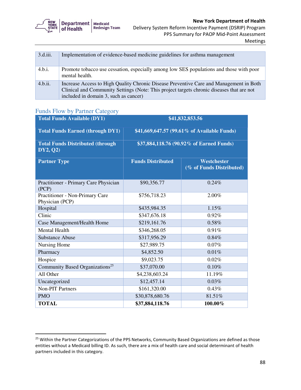

| 3.d.iii. | Implementation of evidence-based medicine guidelines for asthma management                                                                                                                                                   |
|----------|------------------------------------------------------------------------------------------------------------------------------------------------------------------------------------------------------------------------------|
| 4.b.i.   | Promote tobacco use cessation, especially among low SES populations and those with poor<br>mental health.                                                                                                                    |
| 4.b.ii.  | Increase Access to High Quality Chronic Disease Preventive Care and Management in Both<br>Clinical and Community Settings (Note: This project targets chronic diseases that are not<br>included in domain 3, such as cancer) |

### Funds Flow by Partner Category

| <b>Total Funds Available (DY1)</b>                  | \$41,832,853.56                             |                                         |
|-----------------------------------------------------|---------------------------------------------|-----------------------------------------|
| <b>Total Funds Earned (through DY1)</b>             | \$41,669,647.57 (99.61% of Available Funds) |                                         |
| <b>Total Funds Distributed (through</b><br>DY2, Q2) | \$37,884,118.76 (90.92% of Earned Funds)    |                                         |
| <b>Partner Type</b>                                 | <b>Funds Distributed</b>                    | Westchester<br>(% of Funds Distributed) |
| Practitioner - Primary Care Physician<br>(PCP)      | \$90,356.77                                 | 0.24%                                   |
| Practitioner - Non-Primary Care<br>Physician (PCP)  | \$756,718.23                                | 2.00%                                   |
| Hospital                                            | \$435,984.35                                | 1.15%                                   |
| Clinic                                              | \$347,676.18                                | 0.92%                                   |
| Case Management/Health Home                         | \$219,161.76                                | 0.58%                                   |
| <b>Mental Health</b>                                | \$346,268.05                                | 0.91%                                   |
| <b>Substance Abuse</b>                              | \$317,956.29                                | 0.84%                                   |
| Nursing Home                                        | \$27,989.75                                 | 0.07%                                   |
| Pharmacy                                            | \$4,852.50                                  | 0.01%                                   |
| Hospice                                             | \$9,023.75                                  | 0.02%                                   |
| Community Based Organizations <sup>25</sup>         | \$37,070.00                                 | 0.10%                                   |
| All Other                                           | \$4,238,603.24                              | 11.19%                                  |
| Uncategorized                                       | \$12,457.14                                 | 0.03%                                   |
| <b>Non-PIT Partners</b>                             | \$161,320.00                                | 0.43%                                   |
| <b>PMO</b>                                          | \$30,878,680.76                             | 81.51%                                  |
| <b>TOTAL</b>                                        | \$37,884,118.76                             | 100.00%                                 |

<sup>&</sup>lt;sup>25</sup> Within the Partner Categorizations of the PPS Networks, Community Based Organizations are defined as those entities without a Medicaid billing ID. As such, there are a mix of health care and social determinant of health partners included in this category.